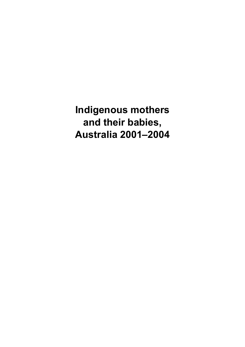**Indigenous mothers and their babies, Australia 2001–2004**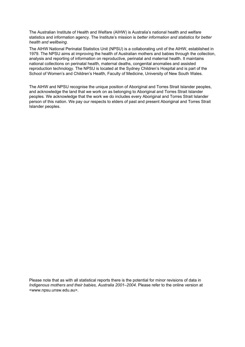The Australian Institute of Health and Welfare (AIHW) is Australia's national health and welfare statistics and information agency. The Institute's mission is *better information and statistics for better health and wellbeing*.

The AIHW National Perinatal Statistics Unit (NPSU) is a collaborating unit of the AIHW, established in 1979. The NPSU aims at improving the health of Australian mothers and babies through the collection, analysis and reporting of information on reproductive, perinatal and maternal health. It maintains national collections on perinatal health, maternal deaths, congenital anomalies and assisted reproduction technology. The NPSU is located at the Sydney Children's Hospital and is part of the School of Women's and Children's Health, Faculty of Medicine, University of New South Wales.

The AIHW and NPSU recognise the unique position of Aboriginal and Torres Strait Islander peoples, and acknowledge the land that we work on as belonging to Aboriginal and Torres Strait Islander peoples. We acknowledge that the work we do includes every Aboriginal and Torres Strait Islander person of this nation. We pay our respects to elders of past and present Aboriginal and Torres Strait Islander peoples.

Please note that as with all statistical reports there is the potential for minor revisions of data in *Indigenous mothers and their babies, Australia 2001–2004*. Please refer to the online version at <www.npsu.unsw.edu.au>.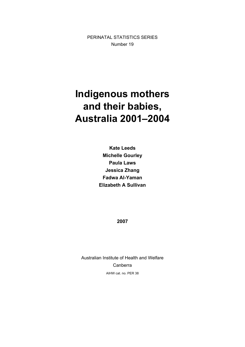PERINATAL STATISTICS SERIES Number 19

# **Indigenous mothers and their babies, Australia 2001–2004**

**Kate Leeds Michelle Gourley Paula Laws Jessica Zhang Fadwa Al-Yaman Elizabeth A Sullivan** 

**2007** 

Australian Institute of Health and Welfare Canberra AIHW cat. no. PER 38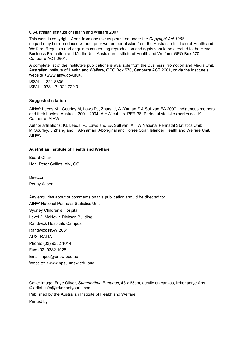© Australian Institute of Health and Welfare 2007

This work is copyright. Apart from any use as permitted under the *Copyright Act 1968*, no part may be reproduced without prior written permission from the Australian Institute of Health and Welfare. Requests and enquiries concerning reproduction and rights should be directed to the Head, Business Promotion and Media Unit, Australian Institute of Health and Welfare, GPO Box 570, Canberra ACT 2601.

A complete list of the Institute's publications is available from the Business Promotion and Media Unit, Australian Institute of Health and Welfare, GPO Box 570, Canberra ACT 2601, or via the Institute's website <www.aihw.gov.au>.

ISSN 1321-8336 ISBN 978 1 74024 729 0

#### **Suggested citation**

AIHW: Leeds KL, Gourley M, Laws PJ, Zhang J, Al-Yaman F & Sullivan EA 2007. Indigenous mothers and their babies, Australia 2001–2004. AIHW cat. no. PER 38. Perinatal statistics series no. 19. Canberra: AIHW.

Author affiliations: KL Leeds, PJ Laws and EA Sullivan, AIHW National Perinatal Statistics Unit; M Gourley, J Zhang and F Al-Yaman, Aboriginal and Torres Strait Islander Health and Welfare Unit, AIHW.

#### **Australian Institute of Health and Welfare**

Board Chair Hon. Peter Collins, AM, QC

**Director** Penny Allbon

Any enquiries about or comments on this publication should be directed to: AIHW National Perinatal Statistics Unit Sydney Children's Hospital Level 2, McNevin Dickson Building Randwick Hospitals Campus Randwick NSW 2031 AUSTRALIA Phone: (02) 9382 1014 Fax: (02) 9382 1025 Email: npsu@unsw.edu.au Website: <www.npsu.unsw.edu.au>

Cover image: Faye Oliver, *Summertime Bananas*, 43 x 65cm, acrylic on canvas, Irrkerlantye Arts, © artist. info@irrkerlantyearts.com

Published by the Australian Institute of Health and Welfare

Printed by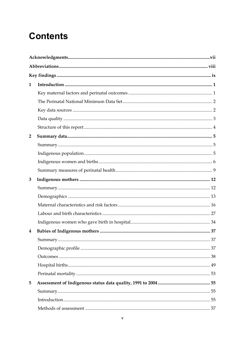# **Contents**

| $\mathbf{1}$   |  |
|----------------|--|
|                |  |
|                |  |
|                |  |
|                |  |
|                |  |
| $\overline{2}$ |  |
|                |  |
|                |  |
|                |  |
|                |  |
| 3              |  |
|                |  |
|                |  |
|                |  |
|                |  |
|                |  |
| 4              |  |
|                |  |
|                |  |
|                |  |
|                |  |
|                |  |
| 5              |  |
|                |  |
|                |  |
|                |  |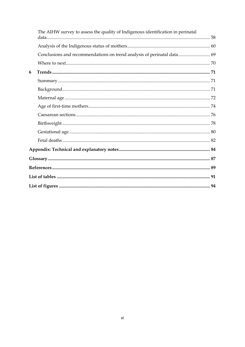|   | The AIHW survey to assess the quality of Indigenous identification in perinatal |  |
|---|---------------------------------------------------------------------------------|--|
|   |                                                                                 |  |
|   | Conclusions and recommendations on trend analysis of perinatal data 69          |  |
|   |                                                                                 |  |
| 6 |                                                                                 |  |
|   |                                                                                 |  |
|   |                                                                                 |  |
|   |                                                                                 |  |
|   |                                                                                 |  |
|   |                                                                                 |  |
|   |                                                                                 |  |
|   |                                                                                 |  |
|   |                                                                                 |  |
|   |                                                                                 |  |
|   |                                                                                 |  |
|   |                                                                                 |  |
|   |                                                                                 |  |
|   |                                                                                 |  |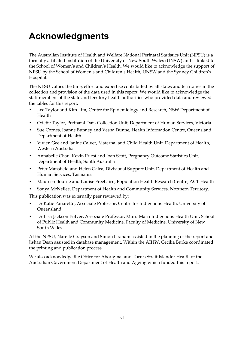# <span id="page-6-1"></span><span id="page-6-0"></span>**Acknowledgments**

The Australian Institute of Health and Welfare National Perinatal Statistics Unit (NPSU) is a formally affiliated institution of the University of New South Wales (UNSW) and is linked to the School of Women's and Children's Health. We would like to acknowledge the support of NPSU by the School of Women's and Children's Health, UNSW and the Sydney Children's Hospital.

The NPSU values the time, effort and expertise contributed by all states and territories in the collection and provision of the data used in this report. We would like to acknowledge the staff members of the state and territory health authorities who provided data and reviewed the tables for this report:

- Lee Taylor and Kim Lim, Centre for Epidemiology and Research, NSW Department of Health
- Odette Taylor, Perinatal Data Collection Unit, Department of Human Services, Victoria
- Sue Cornes, Joanne Bunney and Vesna Dunne, Health Information Centre, Queensland Department of Health
- Vivien Gee and Janine Calver, Maternal and Child Health Unit, Department of Health, Western Australia
- Annabelle Chan, Kevin Priest and Joan Scott, Pregnancy Outcome Statistics Unit, Department of Health, South Australia
- Peter Mansfield and Helen Galea, Divisional Support Unit, Department of Health and Human Services, Tasmania
- Maureen Bourne and Louise Freebairn, Population Health Research Centre, ACT Health
- Sonya McNellee, Department of Health and Community Services, Northern Territory.

This publication was externally peer reviewed by:

- Dr Katie Panaretto, Associate Professor, Centre for Indigenous Health, University of Queensland
- Dr Lisa Jackson Pulver, Associate Professor, Muru Marri Indigenous Health Unit, School of Public Health and Community Medicine, Faculty of Medicine, University of New South Wales

At the NPSU, Narelle Grayson and Simon Graham assisted in the planning of the report and Jishan Dean assisted in database management. Within the AIHW, Cecilia Burke coordinated the printing and publication process.

We also acknowledge the Office for Aboriginal and Torres Strait Islander Health of the Australian Government Department of Health and Ageing which funded this report.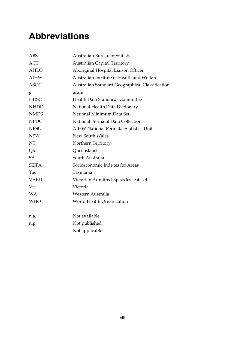# <span id="page-7-1"></span><span id="page-7-0"></span>**Abbreviations**

| <b>ABS</b>   | <b>Australian Bureau of Statistics</b>          |
|--------------|-------------------------------------------------|
| <b>ACT</b>   | <b>Australian Capital Territory</b>             |
| <b>AHLO</b>  | Aboriginal Hospital Liaison Officer             |
| <b>AIHW</b>  | Australian Institute of Health and Welfare      |
| <b>ASGC</b>  | Australian Standard Geographical Classification |
| g            | gram                                            |
| <b>HDSC</b>  | Health Data Standards Committee                 |
| <b>NHDD</b>  | National Health Data Dictionary                 |
| <b>NMDS</b>  | National Minimum Data Set                       |
| <b>NPDC</b>  | National Perinatal Data Collection              |
| <b>NPSU</b>  | <b>AIHW National Perinatal Statistics Unit</b>  |
| <b>NSW</b>   | New South Wales                                 |
| NT           | Northern Territory                              |
| Qld          | Queensland                                      |
| SA           | South Australia                                 |
| <b>SEIFA</b> | Socioeconomic Indexes for Areas                 |
| Tas          | Tasmania                                        |
| <b>VAED</b>  | Victorian Admitted Episodes Dataset             |
| Vic          | Victoria                                        |
| <b>WA</b>    | Western Australia                               |
| <b>WHO</b>   | World Health Organization                       |
|              |                                                 |
| n.a.         | Not available                                   |
| n.p.         | Not published                                   |
|              | Not applicable                                  |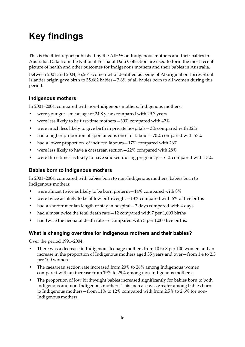# <span id="page-8-1"></span><span id="page-8-0"></span>**Key findings**

This is the third report published by the AIHW on Indigenous mothers and their babies in Australia. Data from the National Perinatal Data Collection are used to form the most recent picture of health and other outcomes for Indigenous mothers and their babies in Australia.

Between 2001 and 2004, 35,264 women who identified as being of Aboriginal or Torres Strait Islander origin gave birth to 35,682 babies—3.6% of all babies born to all women during this period.

#### **Indigenous mothers**

In 2001–2004, compared with non-Indigenous mothers, Indigenous mothers:

- were younger—mean age of 24.8 years compared with 29.7 years
- were less likely to be first-time mothers—30% compared with 42%
- were much less likely to give birth in private hospitals—3% compared with 32%
- had a higher proportion of spontaneous onset of labour 70% compared with 57%
- had a lower proportion of induced labours 17% compared with 26%
- were less likely to have a caesarean section—22% compared with 28%
- were three times as likely to have smoked during pregnancy—51% compared with 17%.

#### **Babies born to Indigenous mothers**

In 2001–2004, compared with babies born to non-Indigenous mothers, babies born to Indigenous mothers:

- were almost twice as likely to be born preterm—14% compared with 8%
- were twice as likely to be of low birthweight $-13%$  compared with 6% of live births
- had a shorter median length of stay in hospital 3 days compared with 4 days
- had almost twice the fetal death rate 12 compared with 7 per 1,000 births
- had twice the neonatal death rate 6 compared with 3 per 1,000 live births.

#### **What is changing over time for Indigenous mothers and their babies?**

Over the period 1991–2004:

- There was a decrease in Indigenous teenage mothers from 10 to 8 per 100 women and an increase in the proportion of Indigenous mothers aged 35 years and over—from 1.4 to 2.3 per 100 women.
- The caesarean section rate increased from 20% to 26% among Indigenous women compared with an increase from 19% to 29% among non-Indigenous mothers.
- The proportion of low birthweight babies increased significantly for babies born to both Indigenous and non-Indigenous mothers. This increase was greater among babies born to Indigenous mothers—from 11% to 12% compared with from 2.5% to 2.6% for non-Indigenous mothers.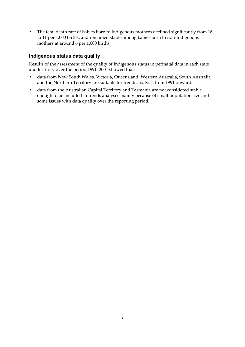• The fetal death rate of babies born to Indigenous mothers declined significantly from 16 to 11 per 1,000 births, and remained stable among babies born to non-Indigenous mothers at around 6 per 1,000 births.

#### **Indigenous status data quality**

Results of the assessment of the quality of Indigenous status in perinatal data in each state and territory over the period 1991–2004 showed that:

- data from New South Wales, Victoria, Queensland, Western Australia, South Australia and the Northern Territory are suitable for trends analysis from 1991 onwards
- data from the Australian Capital Territory and Tasmania are not considered stable enough to be included in trends analyses mainly because of small population size and some issues with data quality over the reporting period.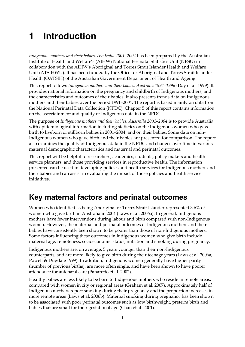# <span id="page-10-1"></span><span id="page-10-0"></span>**1 Introduction**

*Indigenous mothers and their babies, Australia 2001–2004* has been prepared by the Australian Institute of Health and Welfare's (AIHW) National Perinatal Statistics Unit (NPSU) in collaboration with the AIHW's Aboriginal and Torres Strait Islander Health and Welfare Unit (ATSIHWU). It has been funded by the Office for Aboriginal and Torres Strait Islander Health (OATSIH) of the Australian Government Department of Health and Ageing.

This report follows *Indigenous mothers and their babies, Australia* 1994-1996 (Day et al. 1999). It provides national information on the pregnancy and childbirth of Indigenous mothers, and the characteristics and outcomes of their babies. It also presents trends data on Indigenous mothers and their babies over the period 1991–2004. The report is based mainly on data from the National Perinatal Data Collection (NPDC). Chapter 5 of this report contains information on the ascertainment and quality of Indigenous data in the NPDC.

The purpose of *Indigenous mothers and their babies, Australia 2001–2004* is to provide Australia with epidemiological information including statistics on the Indigenous women who gave birth to liveborn or stillborn babies in 2001–2004, and on their babies. Some data on non-Indigenous women who gave birth and their babies are presented for comparison. The report also examines the quality of Indigenous data in the NPDC and changes over time in various maternal demographic characteristics and maternal and perinatal outcomes.

This report will be helpful to researchers, academics, students, policy makers and health service planners, and those providing services in reproductive health. The information presented can be used in developing policies and health services for Indigenous mothers and their babies and can assist in evaluating the impact of those policies and health service initiatives.

## <span id="page-10-2"></span>**Key maternal factors and perinatal outcomes**

Women who identified as being Aboriginal or Torres Strait Islander represented 3.6% of women who gave birth in Australia in 2004 (Laws et al. 2006a). In general, Indigenous mothers have fewer interventions during labour and birth compared with non-Indigenous women. However, the maternal and perinatal outcomes of Indigenous mothers and their babies have consistently been shown to be poorer than those of non-Indigenous mothers. Some factors influencing these outcomes in Indigenous women who give birth include maternal age, remoteness, socioeconomic status, nutrition and smoking during pregnancy.

Indigenous mothers are, on average, 5 years younger than their non-Indigenous counterparts, and are more likely to give birth during their teenage years (Laws et al. 2006a; Powell & Dugdale 1999). In addition, Indigenous women generally have higher parity (number of previous births), are more often single, and have been shown to have poorer attendance for antenatal care (Panaretto et al. 2002).

Healthy babies are less likely to be born to Indigenous mothers who reside in remote areas, compared with women in city or regional areas (Graham et al. 2007). Approximately half of Indigenous mothers report smoking during their pregnancy and the proportion increases in more remote areas (Laws et al. 2006b). Maternal smoking during pregnancy has been shown to be associated with poor perinatal outcomes such as low birthweight, preterm birth and babies that are small for their gestational age (Chan et al. 2001).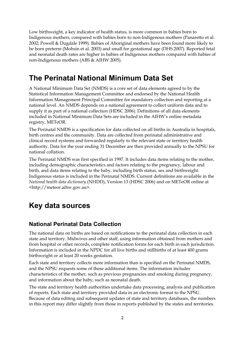<span id="page-11-0"></span>Low birthweight, a key indicator of health status, is more common in babies born to Indigenous mothers, compared with babies born to non-Indigenous mothers (Panaretto et al. 2002; Powell & Dugdale 1999). Babies of Aboriginal mothers have been found more likely to be born preterm (Mohsin et al. 2003) and small for gestational age (DHS 2007). Reported fetal and neonatal death rates are higher in babies of Indigenous mothers compared with babies of non-Indigenous mothers (ABS & AIHW 2005).

### <span id="page-11-1"></span>**The Perinatal National Minimum Data Set**

A National Minimum Data Set (NMDS) is a core set of data elements agreed to by the Statistical Information Management Committee and endorsed by the National Health Information Management Principal Committee for mandatory collection and reporting at a national level. An NMDS depends on a national agreement to collect uniform data and to supply it as part of a national collection (HDSC 2006). Definitions of all data elements included in National Minimum Data Sets are included in the AIHW's online metadata registry, METeOR.

The Perinatal NMDS is a specification for data collected on all births in Australia in hospitals, birth centres and the community. Data are collected from perinatal administrative and clinical record systems and forwarded regularly to the relevant state or territory health authority. Data for the year ending 31 December are then provided annually to the NPSU for national collation.

The Perinatal NMDS was first specified in 1997. It includes data items relating to the mother, including demographic characteristics and factors relating to the pregnancy, labour and birth, and data items relating to the baby, including birth status, sex and birthweight. Indigenous status is included in the Perinatal NMDS. Current definitions are available in the *National health data dictionary* (NHDD), Version 13 (HDSC 2006) and on METeOR online at <http://meteor.aihw.gov.au>.

## <span id="page-11-2"></span>**Key data sources**

### **National Perinatal Data Collection**

The national data on births are based on notifications to the perinatal data collection in each state and territory. Midwives and other staff, using information obtained from mothers and from hospital or other records, complete notification forms for each birth in each jurisdiction. Information is included in the NPDC for all live births and stillbirths of at least 400 grams birthweight or at least 20 weeks gestation.

Each state and territory collects more information than is specified on the Perinatal NMDS, and the NPSU requests some of these additional items. The information includes characteristics of the mother, such as previous pregnancies and smoking during pregnancy, and information about the baby, such as neonatal death.

The state and territory health authorities undertake data processing, analysis and publication of reports. Each state and territory provided data in an electronic format to the NPSU. Because of data editing and subsequent updates of state and territory databases, the numbers in this report may differ slightly from those in reports published by the states and territories.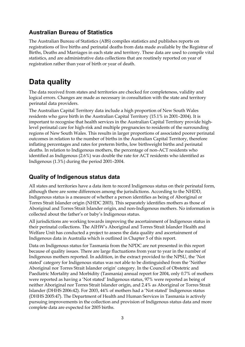### <span id="page-12-0"></span>**Australian Bureau of Statistics**

The Australian Bureau of Statistics (ABS) compiles statistics and publishes reports on registrations of live births and perinatal deaths from data made available by the Registrar of Births, Deaths and Marriages in each state and territory. These data are used to compile vital statistics, and are administrative data collections that are routinely reported on year of registration rather than year of birth or year of death.

### <span id="page-12-1"></span>**Data quality**

The data received from states and territories are checked for completeness, validity and logical errors. Changes are made as necessary in consultation with the state and territory perinatal data providers.

The Australian Capital Territory data include a high proportion of New South Wales residents who gave birth in the Australian Capital Territory (15.1% in 2001–2004). It is important to recognise that health services in the Australian Capital Territory provide highlevel perinatal care for high-risk and multiple pregnancies to residents of the surrounding regions of New South Wales. This results in larger proportions of associated poorer perinatal outcomes in relation to the number of births in the Australian Capital Territory, therefore inflating percentages and rates for preterm births, low birthweight births and perinatal deaths. In relation to Indigenous mothers, the percentage of non-ACT residents who identified as Indigenous (2.6%) was double the rate for ACT residents who identified as Indigenous (1.3%) during the period 2001–2004.

### **Quality of Indigenous status data**

All states and territories have a data item to record Indigenous status on their perinatal form, although there are some differences among the jurisdictions. According to the NHDD, Indigenous status is a measure of whether a person identifies as being of Aboriginal or Torres Strait Islander origin (NHDC 2003). This separately identifies mothers as those of Aboriginal and Torres Strait Islander origin, and non-Indigenous mothers. No information is collected about the father's or baby's Indigenous status.

All jurisdictions are working towards improving the ascertainment of Indigenous status in their perinatal collections. The AIHW's Aboriginal and Torres Strait Islander Health and Welfare Unit has conducted a project to assess the data quality and ascertainment of Indigenous data in Australia which is outlined in Chapter 5 of this report.

Data on Indigenous status for Tasmania from the NPDC are not presented in this report because of quality issues. There are large fluctuations from year to year in the number of Indigenous mothers reported. In addition, in the extract provided to the NPSU, the 'Not stated' category for Indigenous status was not able to be distinguished from the 'Neither Aboriginal nor Torres Strait Islander origin' category. In the Council of Obstetric and Paediatric Mortality and Morbidity (Tasmania) annual report for 2004, only 0.7% of mothers were reported as having a 'Not stated' Indigenous status, 97% were reported as being of neither Aboriginal nor Torres Strait Islander origin, and 2.4% as Aboriginal or Torres Strait Islander (DHHS 2006:42). For 2003, 44% of mothers had a 'Not stated' Indigenous status (DHHS 2005:47). The Department of Health and Human Services in Tasmania is actively pursuing improvements in the collection and provision of Indigenous status data and more complete data are expected for 2005 births.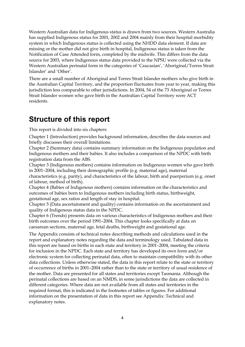<span id="page-13-0"></span>Western Australian data for Indigenous status is drawn from two sources. Western Australia has supplied Indigenous status for 2001, 2002 and 2004 mainly from their hospital morbidity system in which Indigenous status is collected using the NHDD data element. If data are missing or the mother did not give birth in hospital, Indigenous status is taken from the Notification of Case Attended form, completed by the midwife. This differs from the data source for 2003, where Indigenous status data provided to the NPSU were collected via the Western Australian perinatal form in the categories of 'Caucasian', 'Aboriginal/Torres Strait Islander' and 'Other'.

There are a small number of Aboriginal and Torres Strait Islander mothers who give birth in the Australian Capital Territory, and the proportion fluctuates from year to year, making this jurisdiction less comparable to other jurisdictions. In 2004, 54 of the 73 Aboriginal or Torres Strait Islander women who gave birth in the Australian Capital Territory were ACT residents.

### <span id="page-13-1"></span>**Structure of this report**

This report is divided into six chapters:

Chapter 1 (Introduction) provides background information, describes the data sources and briefly discusses their overall limitations.

Chapter 2 (Summary data) contains summary information on the Indigenous population and Indigenous mothers and their babies. It also includes a comparison of the NPDC with birth registration data from the ABS.

Chapter 3 (Indigenous mothers) contains information on Indigenous women who gave birth in 2001–2004, including their demographic profile (e.g. maternal age), maternal characteristics (e.g. parity), and characteristics of the labour, birth and puerperium (e.g. onset

of labour, method of birth).

Chapter 4 (Babies of Indigenous mothers) contains information on the characteristics and outcomes of babies born to Indigenous mothers including birth status, birthweight, gestational age, sex ratios and length of stay in hospital.

Chapter 5 (Data ascertainment and quality) contains information on the ascertainment and quality of Indigenous status data in the NPDC.

Chapter 6 (Trends) presents data on various characteristics of Indigenous mothers and their birth outcomes over the period 1991–2004. This chapter looks specifically at data on caesarean sections, maternal age, fetal deaths, birthweight and gestational age.

The Appendix consists of technical notes describing methods and calculations used in the report and explanatory notes regarding the data and terminology used. Tabulated data in this report are based on births in each state and territory in 2001–2004, meeting the criteria for inclusion in the NPDC. Each state and territory has developed its own form and/or electronic system for collecting perinatal data, often to maintain compatibility with its other data collections. Unless otherwise stated, the data in this report relate to the state or territory of occurrence of births in 2001–2004 rather than to the state or territory of usual residence of the mother. Data are presented for all states and territories except Tasmania. Although the perinatal collections are based on an NMDS, in some jurisdictions the data are collected in different categories. Where data are not available from all states and territories in the required format, this is indicated in the footnotes of tables or figures. For additional information on the presentation of data in this report see Appendix: Technical and explanatory notes.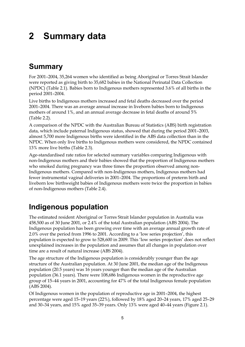## <span id="page-14-1"></span><span id="page-14-0"></span>**2 Summary data**

## <span id="page-14-2"></span>**Summary**

For 2001–2004, 35,264 women who identified as being Aboriginal or Torres Strait Islander were reported as giving birth to 35,682 babies in the National Perinatal Data Collection (NPDC) (Table 2.1). Babies born to Indigenous mothers represented 3.6% of all births in the period 2001–2004.

Live births to Indigenous mothers increased and fetal deaths decreased over the period 2001–2004. There was an average annual increase in liveborn babies born to Indigenous mothers of around 1%, and an annual average decrease in fetal deaths of around 5% (Table 2.2).

A comparison of the NPDC with the Australian Bureau of Statistics (ABS) birth registration data, which include paternal Indigenous status, showed that during the period 2001–2003, almost 5,700 more Indigenous births were identified in the ABS data collection than in the NPDC. When only live births to Indigenous mothers were considered, the NPDC contained 13% more live births (Table 2.3).

Age-standardised rate ratios for selected summary variables comparing Indigenous with non-Indigenous mothers and their babies showed that the proportion of Indigenous mothers who smoked during pregnancy was three times the proportion observed among non-Indigenous mothers. Compared with non-Indigenous mothers, Indigenous mothers had fewer instrumental vaginal deliveries in 2001–2004. The proportions of preterm birth and liveborn low birthweight babies of Indigenous mothers were twice the proportion in babies of non-Indigenous mothers (Table 2.4).

## <span id="page-14-3"></span>**Indigenous population**

The estimated resident Aboriginal or Torres Strait Islander population in Australia was 458,500 as of 30 June 2001, or 2.4% of the total Australian population (ABS 2004). The Indigenous population has been growing over time with an average annual growth rate of 2.0% over the period from 1996 to 2001. According to a 'low series projection', this population is expected to grow to 528,600 in 2009. This 'low series projection' does not reflect unexplained increases in the population and assumes that all changes in population over time are a result of natural increase (ABS 2004).

The age structure of the Indigenous population is considerably younger than the age structure of the Australian population. At 30 June 2001, the median age of the Indigenous population (20.5 years) was 16 years younger than the median age of the Australian population (36.1 years). There were 108,686 Indigenous women in the reproductive age group of 15–44 years in 2001, accounting for 47% of the total Indigenous female population (ABS 2004).

Of Indigenous women in the population of reproductive age in 2001–2004, the highest percentage were aged 15–19 years (22%), followed by 18% aged 20–24 years, 17% aged 25–29 and 30–34 years, and 15% aged 35–39 years. Only 13% were aged 40–44 years (Figure 2.1).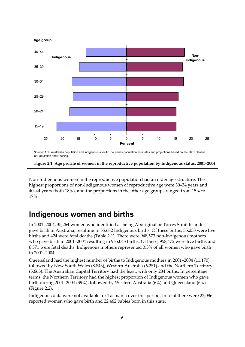<span id="page-15-0"></span>

Non-Indigenous women in the reproductive population had an older age structure. The highest proportions of non-Indigenous women of reproductive age were 30–34 years and 40–44 years (both 18%), and the proportions in the other age groups ranged from 15% to 17%.

### <span id="page-15-1"></span>**Indigenous women and births**

In 2001–2004, 35,264 women who identified as being Aboriginal or Torres Strait Islander gave birth in Australia, resulting in 35,682 Indigenous births. Of these births, 35,258 were live births and 424 were fetal deaths (Table 2.1). There were 948,573 non-Indigenous mothers who gave birth in 2001–2004 resulting in 965,043 births. Of these, 958,472 were live births and 6,571 were fetal deaths. Indigenous mothers represented 3.5% of all women who gave birth in 2001–2004.

Queensland had the highest number of births to Indigenous mothers in 2001–2004 (11,170) followed by New South Wales (8,843), Western Australia (6,251) and the Northern Territory (5,665). The Australian Capital Territory had the least, with only 284 births. In percentage terms, the Northern Territory had the highest proportion of Indigenous women who gave birth during 2001–2004 (39%), followed by Western Australia (6%) and Queensland (6%) (Figure 2.2).

Indigenous data were not available for Tasmania over this period. In total there were 22,086 reported women who gave birth and 22,462 babies born in this state.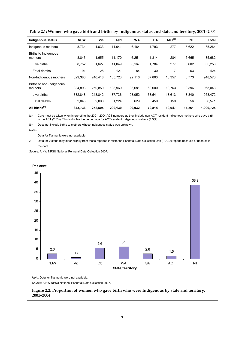| <b>Indigenous status</b>            | <b>NSW</b> | Vic     | Qld     | <b>WA</b> | <b>SA</b> | ACT <sup>(a)</sup> | <b>NT</b> | Total     |
|-------------------------------------|------------|---------|---------|-----------|-----------|--------------------|-----------|-----------|
| Indigenous mothers                  | 8,734      | 1,633   | 11,041  | 6,164     | 1,793     | 277                | 5,622     | 35,264    |
| Births to Indigenous<br>mothers     | 8,843      | 1,655   | 11,170  | 6,251     | 1,814     | 284                | 5,665     | 35,682    |
| Live births                         | 8,752      | 1,627   | 11,049  | 6,167     | 1,784     | 277                | 5,602     | 35,258    |
| Fetal deaths                        | 91         | 28      | 121     | 84        | 30        | 7                  | 63        | 424       |
| Non-Indigenous mothers              | 329,386    | 246,418 | 185,723 | 92,116    | 67.800    | 18,357             | 8,773     | 948,573   |
| Births to non-Indigenous<br>mothers | 334,893    | 250.850 | 188,960 | 93,681    | 69.000    | 18,763             | 8,896     | 965,043   |
| Live births                         | 332.848    | 248.842 | 187,736 | 93,052    | 68,541    | 18,613             | 8,840     | 958.472   |
| Fetal deaths                        | 2,045      | 2,008   | 1,224   | 629       | 459       | 150                | 56        | 6,571     |
| All births <sup>(b)</sup>           | 343,736    | 252,505 | 200,130 | 99,932    | 70,814    | 19,047             | 14,561    | 1,000,725 |

**Table 2.1: Women who gave birth and births by Indigenous status and state and territory, 2001–2004** 

(a) Care must be taken when interpreting the 2001–2004 ACT numbers as they include non-ACT-resident Indigenous mothers who gave birth in the ACT (2.6%). This is double the percentage for ACT-resident Indigenous mothers (1.3%).

(b) Does not include births to mothers whose Indigenous status was unknown.

*Notes* 

1. Data for Tasmania were not available.

2. Data for Victoria may differ slightly from those reported in Victorian Perinatal Data Collection Unit (PDCU) reports because of updates in the data.

*Source:* AIHW NPSU National Perinatal Data Collection 2007.

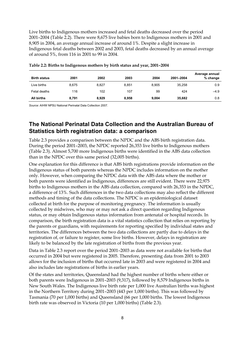Live births to Indigenous mothers increased and fetal deaths decreased over the period 2001–2004 (Table 2.2). There were 8,675 live babies born to Indigenous mothers in 2001 and 8,905 in 2004, an average annual increase of around 1%. Despite a slight increase in Indigenous fetal deaths between 2002 and 2003, fetal deaths decreased by an annual average of around 5%, from 116 in 2001 to 99 in 2004.

| <b>Birth status</b> | 2001  | 2002  | 2003  | 2004  | 2001-2004 | Average annual<br>% change |
|---------------------|-------|-------|-------|-------|-----------|----------------------------|
| Live births         | 8.675 | 8.827 | 8.851 | 8.905 | 35,258    | 0.9                        |
| Fetal deaths        | 116   | 102   | 107   | 99    | 424       | $-4.9$                     |
| All births          | 8,791 | 8,929 | 8,958 | 9,004 | 35,682    | 0.8                        |

| Table 2.2: Births to Indigenous mothers by birth status and year, 2001–2004 |  |  |  |
|-----------------------------------------------------------------------------|--|--|--|
|                                                                             |  |  |  |

*Source:* AIHW NPSU National Perinatal Data Collection 2007.

### **The National Perinatal Data Collection and the Australian Bureau of Statistics birth registration data: a comparison**

Table 2.3 provides a comparison between the NPDC and the ABS birth registration data. During the period 2001–2003, the NPDC reported 26,353 live births to Indigenous mothers (Table 2.3). Almost 5,700 more Indigenous births were identified in the ABS data collection than in the NPDC over this same period (32,005 births).

One explanation for this difference is that ABS birth registrations provide information on the Indigenous status of both parents whereas the NPDC includes information on the mother only. However, when comparing the NPDC data with the ABS data where the mother or both parents were identified as Indigenous, differences are still evident. There were 22,975 births to Indigenous mothers in the ABS data collection, compared with 26,353 in the NPDC, a difference of 13%. Such differences in the two data collections may also reflect the different methods and timing of the data collections. The NPDC is an epidemiological dataset collected at birth for the purpose of monitoring pregnancy. The information is usually collected by midwives, who may or may not ask a direct question regarding Indigenous status, or may obtain Indigenous status information from antenatal or hospital records. In comparison, the birth registration data is a vital statistics collection that relies on reporting by the parents or guardians, with requirements for reporting specified by individual states and territories. The differences between the two data collections are partly due to delays in the registration of, or failure to register, some live births. However, delays in registration are likely to be balanced by the late registration of births from the previous year.

Data in Table 2.3 report over the period 2001–2003 as data were not available for births that occurred in 2004 but were registered in 2005. Therefore, presenting data from 2001 to 2003 allows for the inclusion of births that occurred late in 2003 and were registered in 2004 and also includes late registrations of births in earlier years.

Of the states and territories, Queensland had the highest number of births where either or both parents were Indigenous in 2001–2003 (9,317), followed by 8,579 Indigenous births in New South Wales. The Indigenous live birth rate per 1,000 live Australian births was highest in the Northern Territory during 2001–2003 (443 per 1,000 births). This was followed by Tasmania (70 per 1,000 births) and Queensland (66 per 1,000 births. The lowest Indigenous birth rate was observed in Victoria (10 per 1,000 births) (Table 2.3).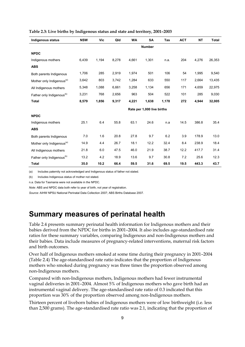| Indigenous status                     | <b>NSW</b> | Vic                        | Qld   | <b>WA</b> | <b>SA</b>     | Tas   | <b>ACT</b> | <b>NT</b> | Total  |
|---------------------------------------|------------|----------------------------|-------|-----------|---------------|-------|------------|-----------|--------|
|                                       |            |                            |       |           | <b>Number</b> |       |            |           |        |
| <b>NPDC</b>                           |            |                            |       |           |               |       |            |           |        |
| Indigenous mothers                    | 6,439      | 1,194                      | 8,278 | 4,661     | 1,301         | n.a.  | 204        | 4,276     | 26,353 |
| <b>ABS</b>                            |            |                            |       |           |               |       |            |           |        |
| Both parents Indigenous               | 1,706      | 285                        | 2,919 | 1,974     | 501           | 106   | 54         | 1,995     | 9,540  |
| Mother only Indigenous <sup>(a)</sup> | 3,642      | 803                        | 3,742 | 1,284     | 633           | 550   | 117        | 2,664     | 13,435 |
| All Indigenous mothers                | 5,348      | 1,088                      | 6,661 | 3,258     | 1,134         | 656   | 171        | 4,659     | 22,975 |
| Father only Indigenous <sup>(b)</sup> | 3,231      | 768                        | 2,656 | 963       | 504           | 522   | 101        | 285       | 9,030  |
| <b>Total</b>                          | 8,579      | 1,856                      | 9,317 | 4,221     | 1,638         | 1,178 | 272        | 4,944     | 32,005 |
|                                       |            | Rate per 1,000 live births |       |           |               |       |            |           |        |
| <b>NPDC</b>                           |            |                            |       |           |               |       |            |           |        |
| Indigenous mothers                    | 25.1       | 6.4                        | 55.8  | 63.1      | 24.6          | n.a   | 14.5       | 386.8     | 35.4   |
| <b>ABS</b>                            |            |                            |       |           |               |       |            |           |        |
| Both parents Indigenous               | 7.0        | 1.6                        | 20.8  | 27.8      | 9.7           | 6.2   | 3.9        | 178.9     | 13.0   |
| Mother only Indigenous <sup>(a)</sup> | 14.9       | 4.4                        | 26.7  | 18.1      | 12.2          | 32.4  | 8.4        | 238.9     | 18.4   |
| All Indigenous mothers                | 21.8       | 6.0                        | 47.5  | 46.0      | 21.9          | 38.7  | 12.2       | 417.7     | 31.4   |
| Father only Indigenous <sup>(b)</sup> | 13.2       | 4.2                        | 18.9  | 13.6      | 9.7           | 30.8  | 7.2        | 25.6      | 12.3   |
| Total                                 | 35.0       | 10.2                       | 66.4  | 59.5      | 31.6          | 69.5  | 19.5       | 443.3     | 43.7   |

#### <span id="page-18-0"></span>**Table 2.3: Live births by Indigenous status and state and territory, 2001–2003**

(a) Includes paternity not acknowledged and Indigenous status of father not stated.

(b) Includes Indigenous status of mother not stated.

n.a. Data for Tasmania were not available in the NPDC.

*Note:* ABS and NPDC data both refer to year of birth, not year of registration.

*Source:* AIHW NPSU National Perinatal Data Collection 2007; ABS Births Database 2007.

### <span id="page-18-1"></span>**Summary measures of perinatal health**

Table 2.4 presents summary perinatal health information for Indigenous mothers and their babies derived from the NPDC for births in 2001–2004. It also includes age-standardised rate ratios for these summary variables, comparing Indigenous and non-Indigenous mothers and their babies. Data include measures of pregnancy-related interventions, maternal risk factors and birth outcomes.

Over half of Indigenous mothers smoked at some time during their pregnancy in 2001–2004 (Table 2.4) The age-standardised rate ratio indicates that the proportion of Indigenous mothers who smoked during pregnancy was three times the proportion observed among non-Indigenous mothers.

Compared with non-Indigenous mothers, Indigenous mothers had fewer instrumental vaginal deliveries in 2001–2004. Almost 5% of Indigenous mothers who gave birth had an instrumental vaginal delivery. The age-standardised rate ratio of 0.3 indicated that this proportion was 30% of the proportion observed among non-Indigenous mothers.

Thirteen percent of liveborn babies of Indigenous mothers were of low birthweight (i.e. less than 2,500 grams). The age-standardised rate ratio was 2.1, indicating that the proportion of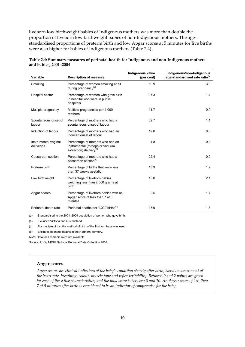liveborn low birthweight babies of Indigenous mothers was more than double the proportion of liveborn low birthweight babies of non-Indigenous mothers. The agestandardised proportions of preterm birth and low Apgar scores at 5 minutes for live births were also higher for babies of Indigenous mothers (Table 2.4).

| Variable                           | <b>Description of measure</b>                                                                              | Indigenous value<br>(per cent) | Indigenous/non-Indigenous<br>age-standardised rate ratio <sup>(a)</sup> |
|------------------------------------|------------------------------------------------------------------------------------------------------------|--------------------------------|-------------------------------------------------------------------------|
| Smoking                            | Percentage of women smoking at all<br>during pregnancy <sup>(b)</sup>                                      | 50.9                           | 3.0                                                                     |
| Hospital sector                    | Percentage of women who gave birth<br>in hospital who were in public<br>hospitals                          | 97.3                           | 1.4                                                                     |
| Multiple pregnancy                 | Multiple pregnancies per 1,000<br>mothers                                                                  | 11.7                           | 0.9                                                                     |
| Spontaneous onset of<br>labour     | Percentage of mothers who had a<br>spontaneous onset of labour                                             | 69.7                           | 1.1                                                                     |
| Induction of labour                | Percentage of mothers who had an<br>induced onset of labour                                                | 19.0                           | 0.8                                                                     |
| Instrumental vaginal<br>deliveries | Percentage of mothers who had an<br>instrumental (forceps or vacuum<br>extraction) delivery <sup>(c)</sup> | 4.8                            | 0.3                                                                     |
| Caesarean section                  | Percentage of mothers who had a<br>caesarean section <sup>(b)</sup>                                        | 22.4                           | 0.9                                                                     |
| Preterm birth                      | Percentage of births that were less<br>than 37 weeks gestation                                             | 13.9                           | 1.9                                                                     |
| Low birthweight                    | Percentage of liveborn babies<br>weighing less than 2,500 grams at<br><b>birth</b>                         | 13.0                           | 2.1                                                                     |
| Apgar scores                       | Percentage of liveborn babies with an<br>Apgar score of less than 7 at 5<br>minutes                        | 2.5                            | 1.7                                                                     |
| Perinatal death rate               | Perinatal deaths per 1,000 births <sup>(d)</sup>                                                           | 17.9                           | 1.8                                                                     |
| (a)                                | Standardised to the 2001–2004 population of women who gave birth.                                          |                                |                                                                         |

| Table 2.4: Summary measures of perinatal health for Indigenous and non-Indigenous mothers |  |
|-------------------------------------------------------------------------------------------|--|
| and babies, 2001–2004                                                                     |  |

(a) Standardised to the 2001–2004 population of women who gave birth.

(b) Excludes Victoria and Queensland.

(c) For multiple births, the method of birth of the firstborn baby was used.

(d) Excludes neonatal deaths in the Northern Territory.

*Note:* Data for Tasmania were not available.

*Source:* AIHW NPSU National Perinatal Data Collection 2007.

#### **Apgar scores**

*Apgar scores are clinical indicators of the baby's condition shortly after birth, based on assessment of the heart rate, breathing, colour, muscle tone and reflex irritability. Between 0 and 2 points are given for each of these five characteristics, and the total score is between 0 and 10. An Apgar score of less than 7 at 5 minutes after birth is considered to be an indicator of compromise for the baby.*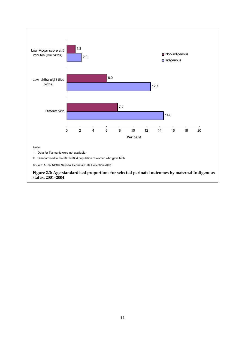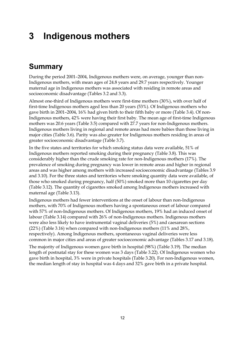# <span id="page-21-1"></span><span id="page-21-0"></span>**3 Indigenous mothers**

## <span id="page-21-2"></span>**Summary**

During the period 2001–2004, Indigenous mothers were, on average, younger than non-Indigenous mothers, with mean ages of 24.8 years and 29.7 years respectively. Younger maternal age in Indigenous mothers was associated with residing in remote areas and socioeconomic disadvantage (Tables 3.2 and 3.3).

Almost one-third of Indigenous mothers were first-time mothers (30%), with over half of first-time Indigenous mothers aged less than 20 years (53%). Of Indigenous mothers who gave birth in 2001–2004, 16% had given birth to their fifth baby or more (Table 3.4). Of non-Indigenous mothers, 42% were having their first baby. The mean age of first-time Indigenous mothers was 20.6 years (Table 3.5) compared with 27.7 years for non-Indigenous mothers. Indigenous mothers living in regional and remote areas had more babies than those living in major cities (Table 3.6). Parity was also greater for Indigenous mothers residing in areas of greater socioeconomic disadvantage (Table 3.7).

In the five states and territories for which smoking status data were available, 51% of Indigenous mothers reported smoking during their pregnancy (Table 3.8). This was considerably higher than the crude smoking rate for non-Indigenous mothers (17%). The prevalence of smoking during pregnancy was lower in remote areas and higher in regional areas and was higher among mothers with increased socioeconomic disadvantage (Tables 3.9 and 3.10). For the three states and territories where smoking quantity data were available, of those who smoked during pregnancy, half (50%) smoked more than 10 cigarettes per day (Table 3.12). The quantity of cigarettes smoked among Indigenous mothers increased with maternal age (Table 3.13).

Indigenous mothers had fewer interventions at the onset of labour than non-Indigenous mothers, with 70% of Indigenous mothers having a spontaneous onset of labour compared with 57% of non-Indigenous mothers. Of Indigenous mothers, 19% had an induced onset of labour (Table 3.14) compared with 26% of non-Indigenous mothers. Indigenous mothers were also less likely to have instrumental vaginal deliveries (5%) and caesarean sections (22%) (Table 3.16) when compared with non-Indigenous mothers (11% and 28%, respectively). Among Indigenous mothers, spontaneous vaginal deliveries were less common in major cities and areas of greater socioeconomic advantage (Tables 3.17 and 3.18).

The majority of Indigenous women gave birth in hospital (98%) (Table 3.19). The median length of postnatal stay for these women was 3 days (Table 3.22). Of Indigenous women who gave birth in hospital, 3% were in private hospitals (Table 3.20). For non-Indigenous women, the median length of stay in hospital was 4 days and 32% gave birth in a private hospital.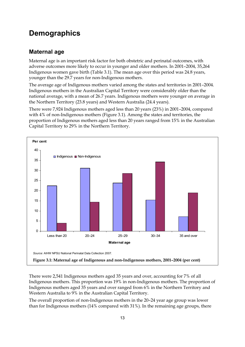### <span id="page-22-1"></span><span id="page-22-0"></span>**Demographics**

### **Maternal age**

Maternal age is an important risk factor for both obstetric and perinatal outcomes, with adverse outcomes more likely to occur in younger and older mothers. In 2001–2004, 35,264 Indigenous women gave birth (Table 3.1). The mean age over this period was 24.8 years, younger than the 29.7 years for non-Indigenous mothers.

The average age of Indigenous mothers varied among the states and territories in 2001–2004. Indigenous mothers in the Australian Capital Territory were considerably older than the national average, with a mean of 26.7 years. Indigenous mothers were younger on average in the Northern Territory (23.8 years) and Western Australia (24.4 years).

There were 7,924 Indigenous mothers aged less than 20 years (23%) in 2001–2004, compared with 4% of non-Indigenous mothers (Figure 3.1). Among the states and territories, the proportion of Indigenous mothers aged less than 20 years ranged from 15% in the Australian Capital Territory to 29% in the Northern Territory.



There were 2,541 Indigenous mothers aged 35 years and over, accounting for 7% of all Indigenous mothers. This proportion was 19% in non-Indigenous mothers. The proportion of Indigenous mothers aged 35 years and over ranged from 6% in the Northern Territory and Western Australia to 9% in the Australian Capital Territory.

The overall proportion of non-Indigenous mothers in the 20–24 year age group was lower than for Indigenous mothers (14% compared with 31%). In the remaining age groups, there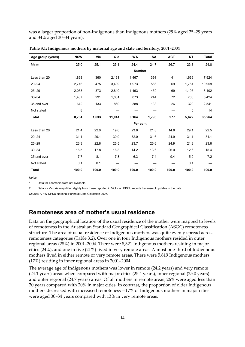was a larger proportion of non-Indigenous than Indigenous mothers (29% aged 25–29 years and 34% aged 30–34 years).

| Age group (years) | <b>NSW</b> | Vic   | Qld    | <b>WA</b>     | SA    | <b>ACT</b> | ΝT    | <b>Total</b> |
|-------------------|------------|-------|--------|---------------|-------|------------|-------|--------------|
| Mean              | 25.0       | 25.1  | 25.1   | 24.4          | 24.7  | 26.7       | 23.8  | 24.8         |
|                   |            |       |        | <b>Number</b> |       |            |       |              |
| Less than 20      | 1,868      | 360   | 2,161  | 1,467         | 391   | 41         | 1,636 | 7,924        |
| $20 - 24$         | 2,716      | 475   | 3,409  | 1,973         | 566   | 69         | 1,751 | 10,959       |
| $25 - 29$         | 2,033      | 373   | 2,810  | 1,463         | 459   | 69         | 1,195 | 8,402        |
| $30 - 34$         | 1,437      | 291   | 1,801  | 873           | 244   | 72         | 706   | 5,424        |
| 35 and over       | 672        | 133   | 860    | 388           | 133   | 26         | 329   | 2,541        |
| Not stated        | 8          | 1     |        |               |       |            | 5     | 14           |
| Total             | 8,734      | 1,633 | 11,041 | 6,164         | 1,793 | 277        | 5,622 | 35,264       |
|                   |            |       |        | Per cent      |       |            |       |              |
| Less than 20      | 21.4       | 22.0  | 19.6   | 23.8          | 21.8  | 14.8       | 29.1  | 22.5         |
| $20 - 24$         | 31.1       | 29.1  | 30.9   | 32.0          | 31.6  | 24.9       | 31.1  | 31.1         |
| $25 - 29$         | 23.3       | 22.8  | 25.5   | 23.7          | 25.6  | 24.9       | 21.3  | 23.8         |
| $30 - 34$         | 16.5       | 17.8  | 16.3   | 14.2          | 13.6  | 26.0       | 12.6  | 15.4         |
| 35 and over       | 7.7        | 8.1   | 7.8    | 6.3           | 7.4   | 9.4        | 5.9   | 7.2          |
| Not stated        | 0.1        | 0.1   |        |               |       |            | 0.1   |              |
| <b>Total</b>      | 100.0      | 100.0 | 100.0  | 100.0         | 100.0 | 100.0      | 100.0 | 100.0        |

**Table 3.1: Indigenous mothers by maternal age and state and territory, 2001–2004** 

*Notes* 

1. Data for Tasmania were not available.

2. Data for Victoria may differ slightly from those reported in Victorian PDCU reports because of updates in the data.

*Source:* AIHW NPSU National Perinatal Data Collection 2007.

#### **Remoteness area of mother's usual residence**

Data on the geographical location of the usual residence of the mother were mapped to levels of remoteness in the Australian Standard Geographical Classification (ASGC) remoteness structure. The area of usual residence of Indigenous mothers was quite evenly spread across remoteness categories (Table 3.2). Over one in four Indigenous mothers resided in outer regional areas (28%) in 2001–2004. There were 8,321 Indigenous mothers residing in major cities (24%), and one in five (21%) lived in very remote areas. Almost one-third of Indigenous mothers lived in either remote or very remote areas. There were 5,819 Indigenous mothers (17%) residing in inner regional areas in 2001–2004.

The average age of Indigenous mothers was lower in remote (24.2 years) and very remote (24.1 years) areas when compared with major cities (25.4 years), inner regional (25.0 years) and outer regional (24.7 years) areas. Of all mothers in remote areas, 26% were aged less than 20 years compared with 20% in major cities. In contrast, the proportion of older Indigenous mothers decreased with increased remoteness—17% of Indigenous mothers in major cities were aged 30–34 years compared with 13% in very remote areas.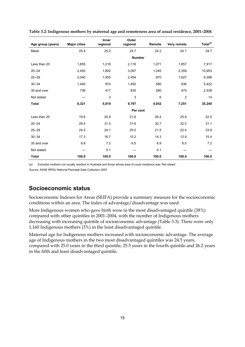|                   |                     | <b>Inner</b> | Outer         |        |                |                      |
|-------------------|---------------------|--------------|---------------|--------|----------------|----------------------|
| Age group (years) | <b>Major cities</b> | regional     | regional      | Remote | Very remote    | Total <sup>(a)</sup> |
| Mean              | 25.4                | 25.0         | 24.7          | 24.2   | 24.1           | 24.7                 |
|                   |                     |              | <b>Number</b> |        |                |                      |
| Less than 20      | 1,655               | 1,218        | 2,116         | 1,071  | 1,857          | 7,917                |
| $20 - 24$         | 2,450               | 1,802        | 3,097         | 1,245  | 2,359          | 10,953               |
| $25 - 29$         | 2,040               | 1,405        | 2,454         | 870    | 1,627          | 8,396                |
| $30 - 34$         | 1,440               | 974          | 1,492         | 580    | 936            | 5,422                |
| 35 and over       | 736                 | 417          | 635           | 280    | 470            | 2,538                |
| Not stated        |                     | 3            | 3             | 6      | $\overline{c}$ | 14                   |
| <b>Total</b>      | 8,321               | 5,819        | 9,797         | 4,052  | 7,251          | 35,240               |
|                   |                     |              | Per cent      |        |                |                      |
| Less than 20      | 19.9                | 20.9         | 21.6          | 26.4   | 25.6           | 22.5                 |
| $20 - 24$         | 29.4                | 31.0         | 31.6          | 30.7   | 32.5           | 31.1                 |
| $25 - 29$         | 24.5                | 24.1         | 25.0          | 21.5   | 22.4           | 23.8                 |
| $30 - 34$         | 17.3                | 16.7         | 15.2          | 14.3   | 12.9           | 15.4                 |
| 35 and over       | 8.8                 | 7.2          | 6.5           | 6.9    | 6.5            | 7.2                  |
| Not stated        |                     | 0.1          |               | 0.1    |                |                      |
| <b>Total</b>      | 100.0               | 100.0        | 100.0         | 100.0  | 100.0          | 100.0                |

**Table 3.2: Indigenous mothers by maternal age and remoteness area of usual residence, 2001–2004** 

(a) Excludes mothers not usually resident in Australia and those whose area of usual residence was 'Not stated'.

*Source:* AIHW NPSU National Perinatal Data Collection 2007.

### **Socioeconomic status**

Socioeconomic Indexes for Areas (SEIFA) provide a summary measure for the socioeconomic conditions within an area. The index of advantage/disadvantage was used.

More Indigenous women who gave birth were in the most disadvantaged quintile (38%) compared with other quintiles in 2001–2004, with the number of Indigenous mothers decreasing with increasing quintile of socioeconomic advantage (Table 3.3). There were only 1,160 Indigenous mothers (3%) in the least disadvantaged quintile.

Maternal age for Indigenous mothers increased with socioeconomic advantage. The average age of Indigenous mothers in the two most disadvantaged quintiles was 24.5 years, compared with 25.0 years in the third quintile, 25.5 years in the fourth quintile and 26.2 years in the fifth and least disadvantaged quintile.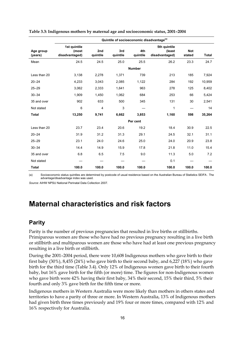|                      | Quintile of socioeconomic disadvantage <sup>(a)</sup> |                 |                 |                 |                                          |                      |        |  |
|----------------------|-------------------------------------------------------|-----------------|-----------------|-----------------|------------------------------------------|----------------------|--------|--|
| Age group<br>(years) | 1st quintile<br>(most<br>disadvantaged)               | 2nd<br>quintile | 3rd<br>quintile | 4th<br>quintile | 5th quintile<br>(least<br>disadvantaged) | <b>Not</b><br>stated | Total  |  |
| Mean                 | 24.5                                                  | 24.5            | 25.0            | 25.5            | 26.2                                     | 23.3                 | 24.7   |  |
|                      |                                                       |                 |                 | <b>Number</b>   |                                          |                      |        |  |
| Less than 20         | 3,138                                                 | 2,278           | 1,371           | 739             | 213                                      | 185                  | 7,924  |  |
| $20 - 24$            | 4,233                                                 | 3,043           | 2,085           | 1,122           | 284                                      | 192                  | 10,959 |  |
| $25 - 29$            | 3,062                                                 | 2,333           | 1,641           | 963             | 278                                      | 125                  | 8,402  |  |
| $30 - 34$            | 1,909                                                 | 1,450           | 1,062           | 684             | 253                                      | 66                   | 5,424  |  |
| 35 and over          | 902                                                   | 633             | 500             | 345             | 131                                      | 30                   | 2,541  |  |
| Not stated           | 6                                                     | 4               | 3               |                 | 1                                        |                      | 14     |  |
| Total                | 13,250                                                | 9,741           | 6,662           | 3,853           | 1,160                                    | 598                  | 35,264 |  |
|                      |                                                       |                 |                 | Per cent        |                                          |                      |        |  |
| Less than 20         | 23.7                                                  | 23.4            | 20.6            | 19.2            | 18.4                                     | 30.9                 | 22.5   |  |
| $20 - 24$            | 31.9                                                  | 31.2            | 31.3            | 29.1            | 24.5                                     | 32.1                 | 31.1   |  |
| $25 - 29$            | 23.1                                                  | 24.0            | 24.6            | 25.0            | 24.0                                     | 20.9                 | 23.8   |  |
| $30 - 34$            | 14.4                                                  | 14.9            | 15.9            | 17.8            | 21.8                                     | 11.0                 | 15.4   |  |
| 35 and over          | 6.8                                                   | 6.5             | 7.5             | 9.0             | 11.3                                     | 5.0                  | 7.2    |  |
| Not stated           |                                                       |                 |                 |                 | 0.1                                      |                      |        |  |
| <b>Total</b>         | 100.0                                                 | 100.0           | 100.0           | 100.0           | 100.0                                    | 100.0                | 100.0  |  |

<span id="page-25-0"></span>**Table 3.3: Indigenous mothers by maternal age and socioeconomic status, 2001–2004** 

(a) Socioeconomic status quintiles are determined by postcode of usual residence based on the Australian Bureau of Statistics SEIFA . The advantage/disadvantage index was used.

*Source:* AIHW NPSU National Perinatal Data Collection 2007.

### <span id="page-25-1"></span>**Maternal characteristics and risk factors**

#### **Parity**

Parity is the number of previous pregnancies that resulted in live births or stillbirths. Primiparous women are those who have had no previous pregnancy resulting in a live birth or stillbirth and multiparous women are those who have had at least one previous pregnancy resulting in a live birth or stillbirth.

During the 2001–2004 period, there were 10,608 Indigenous mothers who gave birth to their first baby (30%), 8,455 (24%) who gave birth to their second baby, and 6,227 (18%) who gave birth for the third time (Table 3.4). Only 12% of Indigenous women gave birth to their fourth baby, but 16% gave birth for the fifth (or more) time. The figures for non-Indigenous women who gave birth were 42% having their first baby, 34% their second, 15% their third, 5% their fourth and only 3% gave birth for the fifth time or more.

Indigenous mothers in Western Australia were more likely than mothers in others states and territories to have a parity of three or more. In Western Australia, 13% of Indigenous mothers had given birth three times previously and 19% four or more times, compared with 12% and 16% respectively for Australia.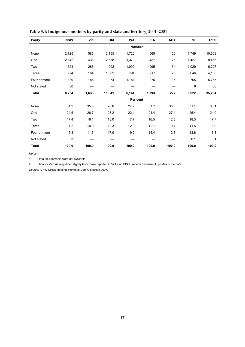| <b>Parity</b> | <b>NSW</b> | Vic   | Qld           | <b>WA</b> | <b>SA</b> | <b>ACT</b> | <b>NT</b> | <b>Total</b> |  |
|---------------|------------|-------|---------------|-----------|-----------|------------|-----------|--------------|--|
|               |            |       | <b>Number</b> |           |           |            |           |              |  |
| None          | 2,725      | 585   | 3,155         | 1,720     | 568       | 106        | 1,749     | 10,608       |  |
| One           | 2,142      | 436   | 2,558         | 1,379     | 437       | 76         | 1,427     | 8,455        |  |
| Two           | 1,524      | 263   | 1,992         | 1,090     | 295       | 34         | 1,029     | 6,227        |  |
| Three         | 974        | 164   | 1,362         | 794       | 217       | 26         | 646       | 4,183        |  |
| Four or more  | 1,339      | 185   | 1,974         | 1,181     | 276       | 35         | 765       | 5,755        |  |
| Not stated    | 30         |       |               |           |           |            | 6         | 36           |  |
| <b>Total</b>  | 8,734      | 1,633 | 11,041        | 6,164     | 1,793     | 277        | 5,622     | 35,264       |  |
|               |            |       |               |           | Per cent  |            |           |              |  |
| None          | 31.2       | 35.8  | 28.6          | 27.9      | 31.7      | 38.3       | 31.1      | 30.1         |  |
| One           | 24.5       | 26.7  | 23.2          | 22.4      | 24.4      | 27.4       | 25.4      | 24.0         |  |
| Two           | 17.4       | 16.1  | 18.0          | 17.7      | 16.5      | 12.3       | 18.3      | 17.7         |  |
| Three         | 11.2       | 10.0  | 12.3          | 12.9      | 12.1      | 9.4        | 11.5      | 11.9         |  |
| Four or more  | 15.3       | 11.3  | 17.9          | 19.2      | 15.4      | 12.6       | 13.6      | 16.3         |  |
| Not stated    | 0.3        |       |               |           |           |            | 0.1       | 0.1          |  |
| <b>Total</b>  | 100.0      | 100.0 | 100.0         | 100.0     | 100.0     | 100.0      | 100.0     | 100.0        |  |

#### **Table 3.4: Indigenous mothers by parity and state and territory, 2001–2004**

*Notes* 

1. Data for Tasmania were not available.

2. Data for Victoria may differ slightly from those reported in Victorian PDCU reports because of updates in the data.

*Source:* AIHW NPSU National Perinatal Data Collection 2007.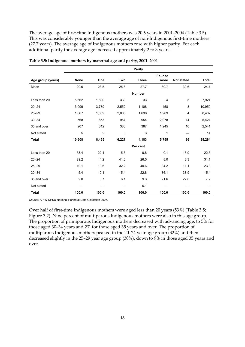The average age of first-time Indigenous mothers was 20.6 years in 2001–2004 (Table 3.5). This was considerably younger than the average age of non-Indigenous first-time mothers (27.7 years). The average age of Indigenous mothers rose with higher parity. For each additional parity the average age increased approximately 2 to 3 years.

|                   | <b>Parity</b>  |                |       |               |                 |                   |              |
|-------------------|----------------|----------------|-------|---------------|-----------------|-------------------|--------------|
| Age group (years) | <b>None</b>    | One            | Two   | <b>Three</b>  | Four or<br>more | <b>Not stated</b> | <b>Total</b> |
| Mean              | 20.6           | 23.5           | 25.8  | 27.7          | 30.7            | 30.6              | 24.7         |
|                   |                |                |       | <b>Number</b> |                 |                   |              |
| Less than 20      | 5,662          | 1,890          | 330   | 33            | 4               | 5                 | 7,924        |
| $20 - 24$         | 3,099          | 3,739          | 2,552 | 1,108         | 458             | 3                 | 10,959       |
| $25 - 29$         | 1,067          | 1,659          | 2,005 | 1,698         | 1,969           | 4                 | 8,402        |
| $30 - 34$         | 568            | 853            | 957   | 954           | 2,078           | 14                | 5,424        |
| 35 and over       | 207            | 312            | 380   | 387           | 1,245           | 10                | 2,541        |
| Not stated        | $\overline{5}$ | $\overline{c}$ | 3     | $\mathsf 3$   | 1               |                   | 14           |
| <b>Total</b>      | 10,608         | 8,455          | 6,227 | 4,183         | 5,755           | 36                | 35,264       |
|                   |                |                |       | Per cent      |                 |                   |              |
| Less than 20      | 53.4           | 22.4           | 5.3   | 0.8           | 0.1             | 13.9              | 22.5         |
| $20 - 24$         | 29.2           | 44.2           | 41.0  | 26.5          | 8.0             | 8.3               | 31.1         |
| $25 - 29$         | 10.1           | 19.6           | 32.2  | 40.6          | 34.2            | 11.1              | 23.8         |
| $30 - 34$         | 5.4            | 10.1           | 15.4  | 22.8          | 36.1            | 38.9              | 15.4         |
| 35 and over       | 2.0            | 3.7            | 6.1   | 9.3           | 21.6            | 27.8              | 7.2          |
| Not stated        |                |                |       | 0.1           |                 |                   |              |
| <b>Total</b>      | 100.0          | 100.0          | 100.0 | 100.0         | 100.0           | 100.0             | 100.0        |

**Table 3.5: Indigenous mothers by maternal age and parity, 2001–2004** 

*Source:* AIHW NPSU National Perinatal Data Collection 2007.

Over half of first-time Indigenous mothers were aged less than 20 years (53%) (Table 3.5; Figure 3.2). Nine percent of multiparous Indigenous mothers were also in this age group. The proportion of primiparous Indigenous mothers decreased with advancing age, to 5% for those aged 30–34 years and 2% for those aged 35 years and over. The proportion of multiparous Indigenous mothers peaked in the 20–24 year age group (32%) and then decreased slightly in the 25–29 year age group (30%), down to 9% in those aged 35 years and over.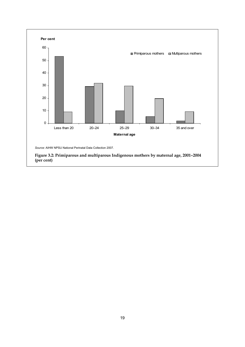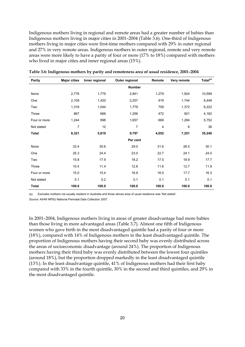Indigenous mothers living in regional and remote areas had a greater number of babies than Indigenous mothers living in major cities in 2001–2004 (Table 3.6). One-third of Indigenous mothers living in major cities were first-time mothers compared with 29% in outer regional and 27% in very remote areas. Indigenous mothers in outer regional, remote and very remote areas were more likely to have a parity of four or more (17% to 18%) compared with mothers who lived in major cities and inner regional areas (15%).

| Parity       | <b>Major cities</b> | Inner regional | Outer regional | Remote | Very remote | Total <sup>(a)</sup> |
|--------------|---------------------|----------------|----------------|--------|-------------|----------------------|
|              |                     |                | <b>Number</b>  |        |             |                      |
| None         | 2,776               | 1,779          | 2,841          | 1,279  | 1,924       | 10,599               |
| One          | 2,109               | 1,420          | 2,257          | 919    | 1,744       | 8,449                |
| Two          | 1,318               | 1,044          | 1,779          | 709    | 1,372       | 6,222                |
| Three        | 867                 | 666            | 1,256          | 472    | 921         | 4,182                |
| Four or more | 1,244               | 898            | 1,657          | 669    | 1,284       | 5,752                |
| Not stated   | 7                   | 12             | 7              | 4      | 6           | 36                   |
| <b>Total</b> | 8,321               | 5,819          | 9,797          | 4,052  | 7,251       | 35,240               |
|              |                     |                | Per cent       |        |             |                      |
| None         | 33.4                | 30.6           | 29.0           | 31.6   | 26.5        | 30.1                 |
| One          | 25.3                | 24.4           | 23.0           | 22.7   | 24.1        | 24.0                 |
| Two          | 15.8                | 17.9           | 18.2           | 17.5   | 18.9        | 17.7                 |
| Three        | 10.4                | 11.4           | 12.8           | 11.6   | 12.7        | 11.9                 |
| Four or more | 15.0                | 15.4           | 16.9           | 16.5   | 17.7        | 16.3                 |
| Not stated   | 0.1                 | 0.2            | 0.1            | 0.1    | 0.1         | 0.1                  |
| <b>Total</b> | 100.0               | 100.0          | 100.0          | 100.0  | 100.0       | 100.0                |

**Table 3.6: Indigenous mothers by parity and remoteness area of usual residence, 2001–2004** 

(a) Excludes mothers not usually resident in Australia and those whose area of usual residence was 'Not stated'.

*Source:* AIHW NPSU National Perinatal Data Collection 2007.

In 2001–2004, Indigenous mothers living in areas of greater disadvantage had more babies than those living in more advantaged areas (Table 3.7). Almost one fifth of Indigenous women who gave birth in the most disadvantaged quintile had a parity of four or more (18%), compared with 14% of Indigenous mothers in the least disadvantaged quintile. The proportion of Indigenous mothers having their second baby was evenly distributed across the areas of socioeconomic disadvantage (around 24%). The proportion of Indigenous mothers having their third baby was evenly distributed between the lowest four quintiles (around 18%), but the proportion dropped markedly in the least disadvantaged quintile (13%). In the least disadvantage quintile, 41% of Indigenous mothers had their first baby compared with 33% in the fourth quintile, 30% in the second and third quintiles, and 29% in the most disadvantaged quintile.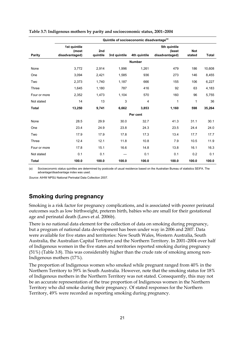|              | Quintile of socioeconomic disadvantage <sup>(a)</sup> |                 |              |               |                                          |                      |              |  |  |
|--------------|-------------------------------------------------------|-----------------|--------------|---------------|------------------------------------------|----------------------|--------------|--|--|
| Parity       | 1st quintile<br>(most<br>disadvantaged)               | 2nd<br>quintile | 3rd quintile | 4th quintile  | 5th quintile<br>(least<br>disadvantaged) | <b>Not</b><br>stated | <b>Total</b> |  |  |
|              |                                                       |                 |              | <b>Number</b> |                                          |                      |              |  |  |
| None         | 3,772                                                 | 2,914           | 1,996        | 1,261         | 479                                      | 186                  | 10,608       |  |  |
| One          | 3,094                                                 | 2,421           | 1,585        | 936           | 273                                      | 146                  | 8,455        |  |  |
| Two          | 2,373                                                 | 1,740           | 1,187        | 666           | 155                                      | 106                  | 6,227        |  |  |
| Three        | 1,645                                                 | 1,180           | 787          | 416           | 92                                       | 63                   | 4,183        |  |  |
| Four or more | 2,352                                                 | 1,473           | 1,104        | 570           | 160                                      | 96                   | 5,755        |  |  |
| Not stated   | 14                                                    | 13              | 3            | 4             | 1                                        | 1                    | 36           |  |  |
| <b>Total</b> | 13,250                                                | 9,741           | 6,662        | 3,853         | 1,160                                    | 598                  | 35,264       |  |  |
|              |                                                       |                 |              | Per cent      |                                          |                      |              |  |  |
| None         | 28.5                                                  | 29.9            | 30.0         | 32.7          | 41.3                                     | 31.1                 | 30.1         |  |  |
| One          | 23.4                                                  | 24.9            | 23.8         | 24.3          | 23.5                                     | 24.4                 | 24.0         |  |  |
| Two          | 17.9                                                  | 17.9            | 17.8         | 17.3          | 13.4                                     | 17.7                 | 17.7         |  |  |
| Three        | 12.4                                                  | 12.1            | 11.8         | 10.8          | 7.9                                      | 10.5                 | 11.9         |  |  |
| Four or more | 17.8                                                  | 15.1            | 16.6         | 14.8          | 13.8                                     | 16.1                 | 16.3         |  |  |
| Not stated   | 0.1                                                   | 0.1             |              | 0.1           | 0.1                                      | 0.2                  | 0.1          |  |  |
| <b>Total</b> | 100.0                                                 | 100.0           | 100.0        | 100.0         | 100.0                                    | 100.0                | 100.0        |  |  |

#### **Table 3.7: Indigenous mothers by parity and socioeconomic status, 2001–2004**

(a) Socioeconomic status quintiles are determined by postcode of usual residence based on the Australian Bureau of statistics SEIFA. The advantage/disadvantage index was used.

*Source:* AIHW NPSU National Perinatal Data Collection 2007.

### **Smoking during pregnancy**

Smoking is a risk factor for pregnancy complications, and is associated with poorer perinatal outcomes such as low birthweight, preterm birth, babies who are small for their gestational age and perinatal death (Laws et al. 2006b).

There is no national data element for the collection of data on smoking during pregnancy, but a program of national data development has been under way in 2006 and 2007. Data were available for five states and territories: New South Wales, Western Australia, South Australia, the Australian Capital Territory and the Northern Territory. In 2001–2004 over half of Indigenous women in the five states and territories reported smoking during pregnancy (51%) (Table 3.8). This was considerably higher than the crude rate of smoking among non-Indigenous mothers (17%).

The proportion of Indigenous women who smoked while pregnant ranged from 40% in the Northern Territory to 59% in South Australia. However, note that the smoking status for 18% of Indigenous mothers in the Northern Territory was not stated. Consequently, this may not be an accurate representation of the true proportion of Indigenous women in the Northern Territory who did smoke during their pregnancy. Of stated responses for the Northern Territory, 49% were recorded as reporting smoking during pregnancy.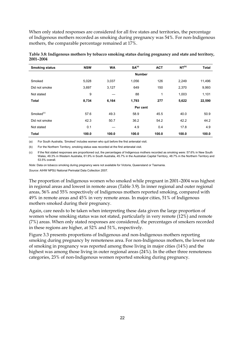When only stated responses are considered for all five states and territories, the percentage of Indigenous mothers recorded as smoking during pregnancy was 54%. For non-Indigenous mothers, the comparable percentage remained at 17%.

| <b>Smoking status</b> | <b>NSW</b> | <b>WA</b> | SA <sup>(a)</sup> | <b>ACT</b> | NT <sup>(b)</sup> | <b>Total</b> |
|-----------------------|------------|-----------|-------------------|------------|-------------------|--------------|
|                       |            |           | <b>Number</b>     |            |                   |              |
| Smoked                | 5,028      | 3,037     | 1,056             | 126        | 2,249             | 11,496       |
| Did not smoke         | 3,697      | 3,127     | 649               | 150        | 2,370             | 9,993        |
| Not stated            | 9          |           | 88                | 1          | 1,003             | 1,101        |
| <b>Total</b>          | 8,734      | 6,164     | 1,793             | 277        | 5,622             | 22,590       |
|                       |            |           | Per cent          |            |                   |              |
| Smoked <sup>(c)</sup> | 57.6       | 49.3      | 58.9              | 45.5       | 40.0              | 50.9         |
| Did not smoke         | 42.3       | 50.7      | 36.2              | 54.2       | 42.2              | 44.2         |
| Not stated            | 0.1        |           | 4.9               | 0.4        | 17.8              | 4.9          |
| <b>Total</b>          | 100.0      | 100.0     | 100.0             | 100.0      | 100.0             | 100.0        |

**Table 3.8: Indigenous mothers by tobacco smoking status during pregnancy and state and territory, 2001–2004** 

(a) For South Australia, 'Smoked' includes women who quit before the first antenatal visit.

(b) For the Northern Territory, smoking status was recorded at the first antenatal visit.

(c) If the Not stated responses are proportioned out, the percentages of Indigenous mothers recorded as smoking were: 57.6% in New South Wales, 49.3% in Western Australia, 61.9% in South Australia, 45.7% in the Australian Capital Territory, 48.7% in the Northern Territory and 53.5% overall.

*Note:* Data on tobacco smoking during pregnancy were not available for Victoria, Queensland or Tasmania.

*Source:* AIHW NPSU National Perinatal Data Collection 2007.

The proportion of Indigenous women who smoked while pregnant in 2001–2004 was highest in regional areas and lowest in remote areas (Table 3.9). In inner regional and outer regional areas, 56% and 55% respectively of Indigenous mothers reported smoking, compared with 49% in remote areas and 45% in very remote areas. In major cities, 51% of Indigenous mothers smoked during their pregnancy.

Again, care needs to be taken when interpreting these data given the large proportion of women whose smoking status was not stated, particularly in very remote (12%) and remote (7%) areas. When only stated responses are considered, the percentages of smokers recorded in these regions are higher, at 52% and 51%, respectively.

Figure 3.3 presents proportions of Indigenous and non-Indigenous mothers reporting smoking during pregnancy by remoteness area. For non-Indigenous mothers, the lowest rate of smoking in pregnancy was reported among those living in major cities (14%) and the highest was among those living in outer regional areas (24%). In the other three remoteness categories, 23% of non-Indigenous women reported smoking during pregnancy.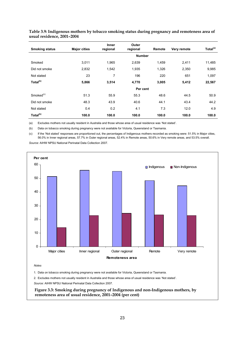| <b>Smoking status</b> | <b>Major cities</b> | <b>Inner</b><br>regional | Outer<br>regional | Remote | Very remote | Total <sup>(a)</sup> |
|-----------------------|---------------------|--------------------------|-------------------|--------|-------------|----------------------|
|                       |                     |                          | <b>Number</b>     |        |             |                      |
| Smoked                | 3.011               | 1,965                    | 2,639             | 1,459  | 2,411       | 11,485               |
| Did not smoke         | 2,832               | 1,542                    | 1,935             | 1,326  | 2,350       | 9,985                |
| Not stated            | 23                  | 7                        | 196               | 220    | 651         | 1,097                |
| Total <sup>(b)</sup>  | 5,866               | 3,514                    | 4,770             | 3,005  | 5,412       | 22,567               |
|                       |                     |                          | Per cent          |        |             |                      |
| Smoked <sup>(c)</sup> | 51.3                | 55.9                     | 55.3              | 48.6   | 44.5        | 50.9                 |
| Did not smoke         | 48.3                | 43.9                     | 40.6              | 44.1   | 43.4        | 44.2                 |
| Not stated            | 0.4                 | 0.2                      | 4.1               | 7.3    | 12.0        | 4.9                  |
| Total <sup>(b)</sup>  | 100.0               | 100.0                    | 100.0             | 100.0  | 100.0       | 100.0                |

**Table 3.9: Indigenous mothers by tobacco smoking status during pregnancy and remoteness area of usual residence, 2001–2004** 

(a) Excludes mothers not usually resident in Australia and those whose area of usual residence was 'Not stated'.

(b) Data on tobacco smoking during pregnancy were not available for Victoria, Queensland or Tasmania.

(c) If the 'Not stated' responses are proportioned out, the percentages of Indigenous mothers recorded as smoking were: 51.5% in Major cities, 56.0% in Inner regional areas, 57.7% in Outer regional areas, 52.4% in Remote areas, 50.6% in Very remote areas, and 53.5% overall.

*Source:* AIHW NPSU National Perinatal Data Collection 2007.



1. Data on tobacco smoking during pregnancy were not available for Victoria, Queensland or Tasmania.

2. Excludes mothers not usually resident in Australia and those whose area of usual residence was 'Not stated'.

 *Source:* AIHW NPSU National Perinatal Data Collection 2007.

**Figure 3.3: Smoking during pregnancy of Indigenous and non-Indigenous mothers, by remoteness area of usual residence, 2001–2004 (per cent)**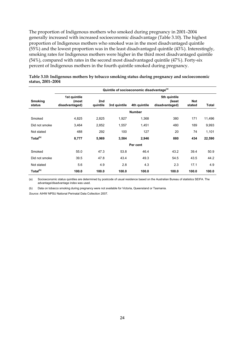The proportion of Indigenous mothers who smoked during pregnancy in 2001–2004 generally increased with increased socioeconomic disadvantage (Table 3.10). The highest proportion of Indigenous mothers who smoked was in the most disadvantaged quintile (55%) and the lowest proportion was in the least disadvantaged quintile (43%). Interestingly, smoking rates for Indigenous mothers were higher in the third most disadvantaged quintile (54%), compared with rates in the second most disadvantaged quintile (47%). Forty-six percent of Indigenous mothers in the fourth quintile smoked during pregnancy.

|                          | Quintile of socioeconomic disadvantage <sup>(a)</sup> |                 |              |               |                                          |                      |        |  |
|--------------------------|-------------------------------------------------------|-----------------|--------------|---------------|------------------------------------------|----------------------|--------|--|
| <b>Smoking</b><br>status | 1st quintile<br>(most<br>disadvantaged)               | 2nd<br>quintile | 3rd quintile | 4th quintile  | 5th quintile<br>(least<br>disadvantaged) | <b>Not</b><br>stated | Total  |  |
|                          |                                                       |                 |              | <b>Number</b> |                                          |                      |        |  |
| Smoked                   | 4,825                                                 | 2,825           | 1,927        | 1,368         | 380                                      | 171                  | 11,496 |  |
| Did not smoke            | 3,464                                                 | 2,852           | 1,557        | 1,451         | 480                                      | 189                  | 9,993  |  |
| Not stated               | 488                                                   | 292             | 100          | 127           | 20                                       | 74                   | 1,101  |  |
| Total <sup>(b)</sup>     | 8,777                                                 | 5,969           | 3,584        | 2,946         | 880                                      | 434                  | 22,590 |  |
|                          |                                                       |                 |              | Per cent      |                                          |                      |        |  |
| Smoked                   | 55.0                                                  | 47.3            | 53.8         | 46.4          | 43.2                                     | 39.4                 | 50.9   |  |
| Did not smoke            | 39.5                                                  | 47.8            | 43.4         | 49.3          | 54.5                                     | 43.5                 | 44.2   |  |
| Not stated               | 5.6                                                   | 4.9             | 2.8          | 4.3           | 2.3                                      | 17.1                 | 4.9    |  |
| Total <sup>(b)</sup>     | 100.0                                                 | 100.0           | 100.0        | 100.0         | 100.0                                    | 100.0                | 100.0  |  |

| Table 3.10: Indigenous mothers by tobacco smoking status during pregnancy and socioeconomic |  |  |
|---------------------------------------------------------------------------------------------|--|--|
| status, 2001–2004                                                                           |  |  |

(a) Socioeconomic status quintiles are determined by postcode of usual residence based on the Australian Bureau of statistics SEIFA. The advantage/disadvantage index was used.

(b) Data on tobacco smoking during pregnancy were not available for Victoria, Queensland or Tasmania.

*Source:* AIHW NPSU National Perinatal Data Collection 2007.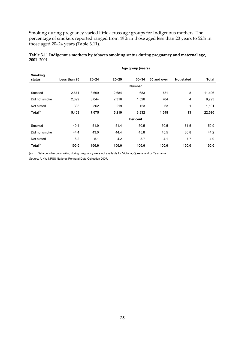Smoking during pregnancy varied little across age groups for Indigenous mothers. The percentage of smokers reported ranged from 49% in those aged less than 20 years to 52% in those aged 20–24 years (Table 3.11).

|                      | Age group (years) |           |           |               |             |              |              |  |
|----------------------|-------------------|-----------|-----------|---------------|-------------|--------------|--------------|--|
| Smoking<br>status    | Less than 20      | $20 - 24$ | $25 - 29$ | $30 - 34$     | 35 and over | Not stated   | <b>Total</b> |  |
|                      |                   |           |           | <b>Number</b> |             |              |              |  |
| Smoked               | 2,671             | 3,669     | 2,684     | 1,683         | 781         | 8            | 11,496       |  |
| Did not smoke        | 2,399             | 3,044     | 2,316     | 1,526         | 704         | 4            | 9,993        |  |
| Not stated           | 333               | 362       | 219       | 123           | 63          | $\mathbf{1}$ | 1,101        |  |
| Total <sup>(a)</sup> | 5,403             | 7,075     | 5,219     | 3,332         | 1,548       | 13           | 22,590       |  |
|                      |                   |           |           | Per cent      |             |              |              |  |
| Smoked               | 49.4              | 51.9      | 51.4      | 50.5          | 50.5        | 61.5         | 50.9         |  |
| Did not smoke        | 44.4              | 43.0      | 44.4      | 45.8          | 45.5        | 30.8         | 44.2         |  |
| Not stated           | 6.2               | 5.1       | 4.2       | 3.7           | 4.1         | 7.7          | 4.9          |  |
| Total <sup>(a)</sup> | 100.0             | 100.0     | 100.0     | 100.0         | 100.0       | 100.0        | 100.0        |  |

**Table 3.11 Indigenous mothers by tobacco smoking status during pregnancy and maternal age, 2001–2004** 

(a) Data on tobacco smoking during pregnancy were not available for Victoria, Queensland or Tasmania.

*Source:* AIHW NPSU National Perinatal Data Collection 2007.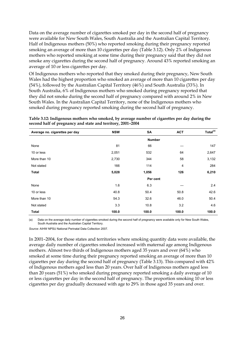Data on the average number of cigarettes smoked per day in the second half of pregnancy were available for New South Wales, South Australia and the Australian Capital Territory. Half of Indigenous mothers (50%) who reported smoking during their pregnancy reported smoking an average of more than 10 cigarettes per day (Table 3.12). Only 2% of Indigenous mothers who reported smoking at some time during their pregnancy said that they did not smoke any cigarettes during the second half of pregnancy. Around 43% reported smoking an average of 10 or less cigarettes per day.

Of Indigenous mothers who reported that they smoked during their pregnancy, New South Wales had the highest proportion who smoked an average of more than 10 cigarettes per day (54%), followed by the Australian Capital Territory (46%) and South Australia (33%). In South Australia, 6% of Indigenous mothers who smoked during pregnancy reported that they did not smoke during the second half of pregnancy compared with around 2% in New South Wales. In the Australian Capital Territory, none of the Indigenous mothers who smoked during pregnancy reported smoking during the second half of pregnancy.

**Table 3.12: Indigenous mothers who smoked, by average number of cigarettes per day during the second half of pregnancy and state and territory, 2001–2004** 

| Average no. cigarettes per day | <b>NSW</b> | <b>SA</b> | <b>ACT</b>    | Total <sup>(a)</sup> |
|--------------------------------|------------|-----------|---------------|----------------------|
|                                |            |           | <b>Number</b> |                      |
| None                           | 81         | 66        |               | 147                  |
| 10 or less                     | 2,051      | 532       | 64            | 2,647                |
| More than 10                   | 2,730      | 344       | 58            | 3,132                |
| Not stated                     | 166        | 114       | 4             | 284                  |
| <b>Total</b>                   | 5,028      | 1,056     | 126           | 6,210                |
|                                |            |           | Per cent      |                      |
| None                           | 1.6        | 6.3       |               | 2.4                  |
| 10 or less                     | 40.8       | 50.4      | 50.8          | 42.6                 |
| More than 10                   | 54.3       | 32.6      | 46.0          | 50.4                 |
| Not stated                     | 3.3        | 10.8      | 3.2           | 4.6                  |
| <b>Total</b>                   | 100.0      | 100.0     | 100.0         | 100.0                |

(a) Data on the average daily number of cigarettes smoked during the second half of pregnancy were available only for New South Wales, South Australia and the Australian Capital Territory.

*Source:* AIHW NPSU National Perinatal Data Collection 2007.

In 2001–2004, for those states and territories where smoking quantity data were available, the average daily number of cigarettes smoked increased with maternal age among Indigenous mothers. Almost two thirds of Indigenous mothers aged 35 years and over (64%) who smoked at some time during their pregnancy reported smoking an average of more than 10 cigarettes per day during the second half of pregnancy (Table 3.13). This compared with 42% of Indigenous mothers aged less than 20 years. Over half of Indigenous mothers aged less than 20 years (51%) who smoked during pregnancy reported smoking a daily average of 10 or less cigarettes per day in the second half of pregnancy. The proportion smoking 10 or less cigarettes per day gradually decreased with age to 29% in those aged 35 years and over.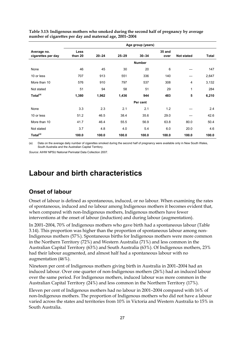|                                   | Age group (years) |           |           |               |                |                |              |  |
|-----------------------------------|-------------------|-----------|-----------|---------------|----------------|----------------|--------------|--|
| Average no.<br>cigarettes per day | Less<br>than 20   | $20 - 24$ | $25 - 29$ | $30 - 34$     | 35 and<br>over | Not stated     | <b>Total</b> |  |
|                                   |                   |           |           | <b>Number</b> |                |                |              |  |
| None                              | 46                | 45        | 30        | 20            | 6              |                | 147          |  |
| 10 or less                        | 707               | 913       | 551       | 336           | 140            |                | 2,647        |  |
| More than 10                      | 576               | 910       | 797       | 537           | 308            | $\overline{4}$ | 3,132        |  |
| Not stated                        | 51                | 94        | 58        | 51            | 29             | 1              | 284          |  |
| Total <sup>(a)</sup>              | 1,380             | 1,962     | 1,436     | 944           | 483            | 5              | 6,210        |  |
|                                   |                   |           |           | Per cent      |                |                |              |  |
| None                              | 3.3               | 2.3       | 2.1       | 2.1           | 1.2            |                | 2.4          |  |
| 10 or less                        | 51.2              | 46.5      | 38.4      | 35.6          | 29.0           |                | 42.6         |  |
| More than 10                      | 41.7              | 46.4      | 55.5      | 56.9          | 63.8           | 80.0           | 50.4         |  |
| Not stated                        | 3.7               | 4.8       | 4.0       | 5.4           | 6.0            | 20.0           | 4.6          |  |
| Total <sup>(a)</sup>              | 100.0             | 100.0     | 100.0     | 100.0         | 100.0          | 100.0          | 100.0        |  |

**Table 3.13: Indigenous mothers who smoked during the second half of pregnancy by average number of cigarettes per day and maternal age, 2001–2004** 

(a) Data on the average daily number of cigarettes smoked during the second half of pregnancy were available only in New South Wales, South Australia and the Australian Capital Territory.

*Source:* AIHW NPSU National Perinatal Data Collection 2007.

## **Labour and birth characteristics**

#### **Onset of labour**

Onset of labour is defined as spontaneous, induced, or no labour. When examining the rates of spontaneous, induced and no labour among Indigenous mothers it becomes evident that, when compared with non-Indigenous mothers, Indigenous mothers have fewer interventions at the onset of labour (induction) and during labour (augmentation).

In 2001–2004, 70% of Indigenous mothers who gave birth had a spontaneous labour (Table 3.14). This proportion was higher than the proportion of spontaneous labour among non-Indigenous mothers (57%). Spontaneous births for Indigenous mothers were more common in the Northern Territory (72%) and Western Australia (71%) and less common in the Australian Capital Territory (63%) and South Australia (63%). Of Indigenous mothers, 23% had their labour augmented, and almost half had a spontaneous labour with no augmentation (46%).

Nineteen per cent of Indigenous mothers giving birth in Australia in 2001–2004 had an induced labour. Over one quarter of non-Indigenous mothers (26%) had an induced labour over the same period. For Indigenous mothers, induced labour was more common in the Australian Capital Territory (24%) and less common in the Northern Territory (17%).

Eleven per cent of Indigenous mothers had no labour in 2001–2004 compared with 16% of non-Indigenous mothers. The proportion of Indigenous mothers who did not have a labour varied across the states and territories from 10% in Victoria and Western Australia to 15% in South Australia.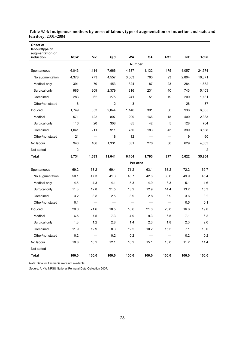| Onset of<br>labour/type of<br>augmentation or |                |                          |                                |               |           |                          |       |                |
|-----------------------------------------------|----------------|--------------------------|--------------------------------|---------------|-----------|--------------------------|-------|----------------|
| induction                                     | <b>NSW</b>     | Vic                      | Qld                            | <b>WA</b>     | <b>SA</b> | <b>ACT</b>               | NΤ    | Total          |
|                                               |                |                          |                                | <b>Number</b> |           |                          |       |                |
| Spontaneous                                   | 6,043          | 1,114                    | 7,666                          | 4,387         | 1,132     | 175                      | 4,057 | 24,574         |
| No augmentation                               | 4,378          | 773                      | 4,557                          | 3,003         | 763       | 93                       | 2,804 | 16,371         |
| Medical only                                  | 391            | 70                       | 453                            | 324           | 87        | 23                       | 284   | 1,632          |
| Surgical only                                 | 985            | 209                      | 2,379                          | 816           | 231       | 40                       | 743   | 5,403          |
| Combined                                      | 283            | 62                       | 275                            | 241           | 51        | 19                       | 200   | 1,131          |
| Other/not stated                              | 6              |                          | $\overline{2}$                 | 3             |           | $\overline{\phantom{0}}$ | 26    | 37             |
| Induced                                       | 1,749          | 353                      | 2,044                          | 1,146         | 391       | 66                       | 936   | 6,685          |
| Medical                                       | 571            | 122                      | 807                            | 299           | 166       | 18                       | 400   | 2,383          |
| Surgical only                                 | 116            | 20                       | 308                            | 85            | 42        | 5                        | 128   | 704            |
| Combined                                      | 1,041          | 211                      | 911                            | 750           | 183       | 43                       | 399   | 3,538          |
| Other/not stated                              | 21             |                          | 18                             | 12            |           | $\overline{\phantom{0}}$ | 9     | 60             |
| No labour                                     | 940            | 166                      | 1,331                          | 631           | 270       | 36                       | 629   | 4,003          |
| Not stated                                    | $\overline{2}$ |                          |                                |               |           |                          |       | $\overline{2}$ |
| Total                                         | 8,734          | 1,633                    | 11,041                         | 6,164         | 1,793     | 277                      | 5,622 | 35,264         |
|                                               |                |                          |                                | Per cent      |           |                          |       |                |
| Spontaneous                                   | 69.2           | 68.2                     | 69.4                           | 71.2          | 63.1      | 63.2                     | 72.2  | 69.7           |
| No augmentation                               | 50.1           | 47.3                     | 41.3                           | 48.7          | 42.6      | 33.6                     | 49.9  | 46.4           |
| Medical only                                  | 4.5            | 4.3                      | 4.1                            | 5.3           | 4.9       | 8.3                      | 5.1   | 4.6            |
| Surgical only                                 | 11.3           | 12.8                     | 21.5                           | 13.2          | 12.9      | 14.4                     | 13.2  | 15.3           |
| Combined                                      | 3.2            | 3.8                      | 2.5                            | 3.9           | 2.8       | 6.9                      | 3.6   | 3.2            |
| Other/not stated                              | 0.1            |                          |                                |               |           |                          | 0.5   | 0.1            |
| Induced                                       | 20.0           | 21.6                     | 18.5                           | 18.6          | 21.8      | 23.8                     | 16.6  | 19.0           |
| Medical                                       | 6.5            | 7.5                      | 7.3                            | 4.9           | 9.3       | 6.5                      | 7.1   | 6.8            |
| Surgical only                                 | 1.3            | 1.2                      | 2.8                            | 1.4           | 2.3       | 1.8                      | 2.3   | 2.0            |
| Combined                                      | 11.9           | 12.9                     | 8.3                            | 12.2          | 10.2      | 15.5                     | 7.1   | 10.0           |
| Other/not stated                              | 0.2            | $\overline{\phantom{0}}$ | 0.2                            | 0.2           |           |                          | 0.2   | $0.2\,$        |
| No labour                                     | 10.8           | 10.2                     | 12.1                           | 10.2          | 15.1      | 13.0                     | 11.2  | 11.4           |
| Not stated                                    |                |                          | $\qquad \qquad \longleftarrow$ |               |           | $\qquad \qquad$          |       |                |
| Total                                         | 100.0          | 100.0                    | 100.0                          | 100.0         | 100.0     | 100.0                    | 100.0 | 100.0          |

**Table 3.14: Indigenous mothers by onset of labour, type of augmentation or induction and state and territory, 2001–2004** 

*Note:* Data for Tasmania were not available.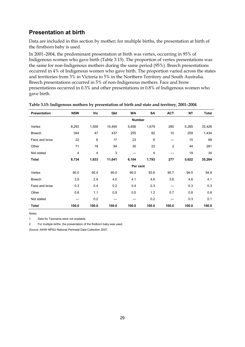#### **Presentation at birth**

Data are included in this section by mother; for multiple births, the presentation at birth of the firstborn baby is used.

In 2001–2004, the predominant presentation at birth was vertex, occurring in 95% of Indigenous women who gave birth (Table 3.15). The proportion of vertex presentations was the same for non-Indigenous mothers during the same period (95%). Breech presentations occurred in 4% of Indigenous women who gave birth. The proportion varied across the states and territories from 3% in Victoria to 5% in the Northern Territory and South Australia. Breech presentations occurred in 5% of non-Indigenous mothers. Face and brow presentations occurred in 0.3% and other presentations in 0.8% of Indigenous women who gave birth.

| Presentation  | <b>NSW</b>     | Vic   | Qld    | <b>WA</b>     | SA    | <b>ACT</b>     | <b>NT</b> | <b>Total</b> |
|---------------|----------------|-------|--------|---------------|-------|----------------|-----------|--------------|
|               |                |       |        | <b>Number</b> |       |                |           |              |
| Vertex        | 8,293          | 1,558 | 10,490 | 5,856         | 1,679 | 265            | 5,285     | 33,426       |
| <b>Breech</b> | 344            | 47    | 437    | 255           | 82    | 10             | 259       | 1,434        |
| Face and brow | 22             | 6     | 17     | 23            | 6     |                | 15        | 89           |
| Other         | 71             | 18    | 94     | 30            | 22    | $\overline{2}$ | 44        | 281          |
| Not stated    | $\overline{4}$ | 4     | 3      |               | 4     |                | 19        | 34           |
| Total         | 8,734          | 1,633 | 11,041 | 6,164         | 1,793 | 277            | 5,622     | 35,264       |
|               |                |       |        | Per cent      |       |                |           |              |
| Vertex        | 95.0           | 95.4  | 95.0   | 95.0          | 93.6  | 95.7           | 94.0      | 94.8         |
| <b>Breech</b> | 3.9            | 2.9   | 4.0    | 4.1           | 4.6   | 3.6            | 4.6       | 4.1          |
| Face and brow | 0.3            | 0.4   | 0.2    | 0.4           | 0.3   |                | 0.3       | 0.3          |
| Other         | 0.8            | 1.1   | 0.9    | 0.5           | 1.2   | 0.7            | 0.8       | 0.8          |
| Not stated    |                | 0.2   |        |               | 0.2   |                | 0.3       | 0.1          |
| Total         | 100.0          | 100.0 | 100.0  | 100.0         | 100.0 | 100.0          | 100.0     | 100.0        |

#### **Table 3.15: Indigenous mothers by presentation of birth and state and territory, 2001–2004**

*Notes* 

1. Data for Tasmania were not available.

2. For multiple births, the presentation of the firstborn baby was used.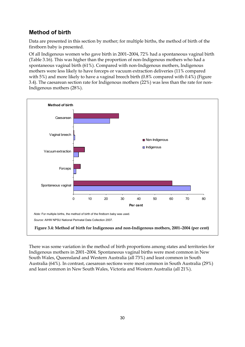## **Method of birth**

Data are presented in this section by mother; for multiple births, the method of birth of the firstborn baby is presented.

Of all Indigenous women who gave birth in 2001–2004, 72% had a spontaneous vaginal birth (Table 3.16). This was higher than the proportion of non-Indigenous mothers who had a spontaneous vaginal birth (61%). Compared with non-Indigenous mothers, Indigenous mothers were less likely to have forceps or vacuum extraction deliveries (11% compared with 5%) and more likely to have a vaginal breech birth (0.8% compared with 0.4%) (Figure 3.4). The caesarean section rate for Indigenous mothers (22%) was less than the rate for non-Indigenous mothers (28%).



There was some variation in the method of birth proportions among states and territories for Indigenous mothers in 2001–2004. Spontaneous vaginal births were most common in New South Wales, Queensland and Western Australia (all 73%) and least common in South Australia (64%). In contrast, caesarean sections were most common in South Australia (29%) and least common in New South Wales, Victoria and Western Australia (all 21%).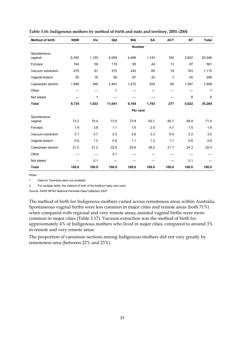| <b>Method of birth</b> | <b>NSW</b> | Vic   | Qld    | <b>WA</b>     | <b>SA</b> | <b>ACT</b> | <b>NT</b> | <b>Total</b> |
|------------------------|------------|-------|--------|---------------|-----------|------------|-----------|--------------|
|                        |            |       |        | <b>Number</b> |           |            |           |              |
| Spontaneous<br>vaginal | 6,392      | 1,150 | 8,059  | 4,488         | 1,143     | 182        | 3,932     | 25,346       |
| Forceps                | 164        | 59    | 119    | 95            | 44        | 13         | 87        | 581          |
| Vacuum extraction      | 275        | 61    | 275    | 242           | 60        | 19         | 183       | 1,115        |
| Vaginal breech         | 55         | 16    | 90     | 67            | 22        | 3          | 45        | 298          |
| Caesarean section      | 1,848      | 346   | 2,491  | 1,272         | 524       | 60         | 1,367     | 7,908        |
| Other                  |            |       | 7      |               |           |            |           | 7            |
| Not stated             |            | 1     |        |               |           |            | 8         | 9            |
| <b>Total</b>           | 8,734      | 1,633 | 11,041 | 6,164         | 1,793     | 277        | 5,622     | 35,264       |
|                        |            |       |        | Per cent      |           |            |           |              |
| Spontaneous<br>vaginal | 73.2       | 70.4  | 73.0   | 72.8          | 63.7      | 65.7       | 69.9      | 71.9         |
| Forceps                | 1.9        | 3.6   | 1.1    | 1.5           | 2.5       | 4.7        | 1.5       | 1.6          |
| Vacuum extraction      | 3.1        | 3.7   | 2.5    | 3.9           | 3.3       | 6.9        | 3.3       | 3.2          |
| Vaginal breech         | 0.6        | 1.0   | 0.8    | 1.1           | 1.2       | 1.1        | 0.8       | 0.8          |
| Caesarean section      | 21.2       | 21.2  | 22.6   | 20.6          | 29.2      | 21.7       | 24.3      | 22.4         |
| Other                  |            |       | 0.1    |               |           |            |           |              |
| Not stated             |            | 0.1   |        |               |           |            | 0.1       |              |
| <b>Total</b>           | 100.0      | 100.0 | 100.0  | 100.0         | 100.0     | 100.0      | 100.0     | 100.0        |

**Table 3.16: Indigenous mothers by method of birth and state and territory, 2001–2004** 

*Notes* 

1. Data for Tasmania were not available.

2. For multiple births, the method of birth of the firstborn baby was used.

*Source:* AIHW NPSU National Perinatal Data Collection 2007.

The method of birth for Indigenous mothers varied across remoteness areas within Australia. Spontaneous vaginal births were less common in major cities and remote areas (both 71%) when compared with regional and very remote areas; assisted vaginal births were more common in major cities (Table 3.17). Vacuum extraction was the method of birth for approximately 4% of Indigenous mothers who lived in major cities, compared to around 3% in remote and very remote areas.

The proportion of caesarean sections among Indigenous mothers did not vary greatly by remoteness area (between 22% and 23%).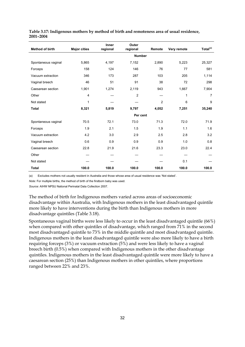| <b>Method of birth</b> | <b>Major cities</b> | <b>Inner</b><br>regional | Outer<br>regional | Remote         | Very remote | Total <sup>(a)</sup> |
|------------------------|---------------------|--------------------------|-------------------|----------------|-------------|----------------------|
|                        |                     |                          |                   | <b>Number</b>  |             |                      |
| Spontaneous vaginal    | 5,865               | 4,197                    | 7,152             | 2,890          | 5,223       | 25,327               |
| Forceps                | 158                 | 124                      | 146               | 76             | 77          | 581                  |
| Vacuum extraction      | 346                 | 173                      | 287               | 103            | 205         | 1,114                |
| Vaginal breech         | 46                  | 51                       | 91                | 38             | 72          | 298                  |
| Caesarean section      | 1,901               | 1,274                    | 2,119             | 943            | 1,667       | 7,904                |
| Other                  | $\overline{4}$      |                          | $\overline{2}$    |                | 1           | $\overline{7}$       |
| Not stated             | 1                   |                          |                   | $\overline{2}$ | 6           | 9                    |
| <b>Total</b>           | 8,321               | 5,819                    | 9,797             | 4,052          | 7,251       | 35,240               |
|                        |                     |                          |                   | Per cent       |             |                      |
| Spontaneous vaginal    | 70.5                | 72.1                     | 73.0              | 71.3           | 72.0        | 71.9                 |
| Forceps                | 1.9                 | 2.1                      | 1.5               | 1.9            | 1.1         | 1.6                  |
| Vacuum extraction      | 4.2                 | 3.0                      | 2.9               | 2.5            | 2.8         | 3.2                  |
| Vaginal breech         | 0.6                 | 0.9                      | 0.9               | 0.9            | 1.0         | 0.8                  |
| Caesarean section      | 22.8                | 21.9                     | 21.6              | 23.3           | 23.0        | 22.4                 |
| Other                  |                     |                          |                   |                |             |                      |
| Not stated             |                     |                          |                   |                | 0.1         |                      |
| <b>Total</b>           | 100.0               | 100.0                    | 100.0             | 100.0          | 100.0       | 100.0                |

#### **Table 3.17: Indigenous mothers by method of birth and remoteness area of usual residence, 2001–2004**

(a) Excludes mothers not usually resident in Australia and those whose area of usual residence was 'Not stated'.

*Note:* For multiple births, the method of birth of the firstborn baby was used.

*Source:* AIHW NPSU National Perinatal Data Collection 2007.

The method of birth for Indigenous mothers varied across areas of socioeconomic disadvantage within Australia, with Indigenous mothers in the least disadvantaged quintile more likely to have interventions during the birth than Indigenous mothers in more disadvantage quintiles (Table 3.18).

Spontaneous vaginal births were less likely to occur in the least disadvantaged quintile (66%) when compared with other quintiles of disadvantage, which ranged from 71% in the second most disadvantaged quintile to 73% in the middle quintile and most disadvantaged quintile. Indigenous mothers in the least disadvantaged quintile were also more likely to have a birth requiring forceps (3%) or vacuum extraction (5%) and were less likely to have a vaginal breech birth (0.5%) when compared with Indigenous mothers in the other disadvantage quintiles. Indigenous mothers in the least disadvantaged quintile were more likely to have a caesarean section (25%) than Indigenous mothers in other quintiles, where proportions ranged between 22% and 23%.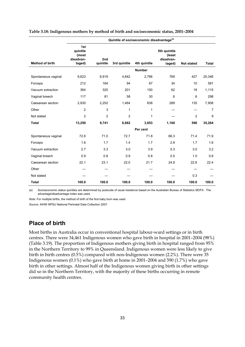|                        |                                                 | Quintile of socioeconomic disadvantage <sup>(a)</sup> |                |               |                                               |                   |                |  |  |  |
|------------------------|-------------------------------------------------|-------------------------------------------------------|----------------|---------------|-----------------------------------------------|-------------------|----------------|--|--|--|
| <b>Method of birth</b> | 1st<br>quintile<br>(most<br>disadvan-<br>taged) | 2nd<br>quintile                                       | 3rd quintile   | 4th quintile  | 5th quintile<br>(least<br>disadvan-<br>taged) | <b>Not stated</b> | <b>Total</b>   |  |  |  |
|                        |                                                 |                                                       |                | <b>Number</b> |                                               |                   |                |  |  |  |
| Spontaneous vaginal    | 9,623                                           | 6,919                                                 | 4,842          | 2,766         | 769                                           | 427               | 25,346         |  |  |  |
| Forceps                | 212                                             | 164                                                   | 94             | 67            | 34                                            | 10                | 581            |  |  |  |
| Vacuum extraction      | 364                                             | 320                                                   | 201            | 150           | 62                                            | 18                | 1,115          |  |  |  |
| Vaginal breech         | 117                                             | 81                                                    | 58             | 30            | 6                                             | 6                 | 298            |  |  |  |
| Caesarean section      | 2,930                                           | 2,252                                                 | 1,464          | 838           | 289                                           | 135               | 7,908          |  |  |  |
| Other                  | $\overline{c}$                                  | 3                                                     | 1              | 1             |                                               |                   | $\overline{7}$ |  |  |  |
| Not stated             | $\overline{c}$                                  | $\overline{2}$                                        | $\overline{c}$ | 1             |                                               | $\overline{c}$    | 9              |  |  |  |
| <b>Total</b>           | 13,250                                          | 9,741                                                 | 6,662          | 3,853         | 1,160                                         | 598               | 35,264         |  |  |  |
|                        |                                                 |                                                       |                | Per cent      |                                               |                   |                |  |  |  |
| Spontaneous vaginal    | 72.6                                            | 71.0                                                  | 72.7           | 71.8          | 66.3                                          | 71.4              | 71.9           |  |  |  |
| Forceps                | 1.6                                             | 1.7                                                   | 1.4            | 1.7           | 2.9                                           | 1.7               | 1.6            |  |  |  |
| Vacuum extraction      | 2.7                                             | 3.3                                                   | 3.0            | 3.9           | 5.3                                           | 3.0               | 3.2            |  |  |  |
| Vaginal breech         | 0.9                                             | 0.8                                                   | 0.9            | 0.8           | 0.5                                           | 1.0               | 0.8            |  |  |  |
| Caesarean section      | 22.1                                            | 23.1                                                  | 22.0           | 21.7          | 24.9                                          | 22.6              | 22.4           |  |  |  |
| Other                  |                                                 |                                                       |                |               |                                               |                   |                |  |  |  |
| Not stated             |                                                 |                                                       |                |               |                                               | 0.3               |                |  |  |  |
| <b>Total</b>           | 100.0                                           | 100.0                                                 | 100.0          | 100.0         | 100.0                                         | 100.0             | 100.0          |  |  |  |

#### **Table 3.18: Indigenous mothers by method of birth and socioeconomic status, 2001–2004**

(a) Socioeconomic status quintiles are determined by postcode of usual residence based on the Australian Bureau of Statistics SEIFA . The advantage/disadvantage index was used.

*Note:* For multiple births, the method of birth of the first baby born was used.

*Source:* AIHW NPSU National Perinatal Data Collection 2007.

#### **Place of birth**

Most births in Australia occur in conventional hospital labour-ward settings or in birth centres. There were 34,461 Indigenous women who gave birth in hospital in 2001–2004 (98%) (Table 3.19). The proportion of Indigenous mothers giving birth in hospital ranged from 95% in the Northern Territory to 99% in Queensland. Indigenous women were less likely to give birth in birth centres (0.5%) compared with non-Indigenous women (2.2%). There were 35 Indigenous women (0.1%) who gave birth at home in 2001–2004 and 590 (1.7%) who gave birth in other settings. Almost half of the Indigenous women giving birth in other settings did so in the Northern Territory, with the majority of these births occurring in remote community health centres.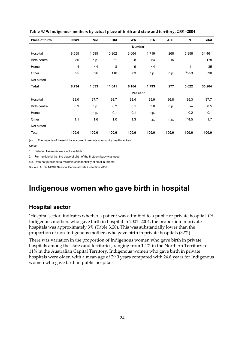| Place of birth | <b>NSW</b> | Vic   | Qld    | WA            | SA    | <b>ACT</b> | <b>NT</b>            | <b>Total</b> |
|----------------|------------|-------|--------|---------------|-------|------------|----------------------|--------------|
|                |            |       |        | <b>Number</b> |       |            |                      |              |
| Hospital       | 8,555      | 1,595 | 10,902 | 6,064         | 1,719 | 268        | 5,358                | 34,461       |
| Birth centre   | 80         | n.p.  | 21     | 8             | 54    | $5$        |                      | 178          |
| Home           | 4          | $<$ 4 | 8      | 9             | $<$ 4 |            | 11                   | 35           |
| Other          | 95         | 26    | 110    | 83            | n.p.  | n.p.       | $(a)$ <sub>253</sub> | 590          |
| Not stated     |            |       |        |               |       |            |                      |              |
| Total          | 8,734      | 1,633 | 11,041 | 6,164         | 1,793 | 277        | 5,622                | 35,264       |
|                |            |       |        | Per cent      |       |            |                      |              |
| Hospital       | 98.0       | 97.7  | 98.7   | 98.4          | 95.9  | 96.8       | 95.3                 | 97.7         |
| Birth centre   | 0.9        | n.p.  | 0.2    | 0.1           | 3.0   | n.p.       |                      | 0.5          |
| Home           |            | n.p.  | 0.1    | 0.1           | n.p.  |            | 0.2                  | 0.1          |
| Other          | 1.1        | 1.6   | 1.0    | 1.3           | n.p.  | n.p.       | $^{(a)}4.5$          | 1.7          |
| Not stated     |            |       |        |               |       |            |                      |              |
| Total          | 100.0      | 100.0 | 100.0  | 100.0         | 100.0 | 100.0      | 100.0                | 100.0        |

**Table 3.19: Indigenous mothers by actual place of birth and state and territory, 2001–2004** 

(a) The majority of these births occurred in remote community health centres.

*Notes* 

1. Data for Tasmania were not available.

2. For multiple births, the place of birth of the firstborn baby was used.

n.p. Data not published to maintain confidentiality of small numbers.

*Source:* AIHW NPSU National Perinatal Data Collection 2007.

## **Indigenous women who gave birth in hospital**

#### **Hospital sector**

'Hospital sector' indicates whether a patient was admitted to a public or private hospital. Of Indigenous mothers who gave birth in hospital in 2001–2004, the proportion in private hospitals was approximately 3% (Table 3.20). This was substantially lower than the proportion of non-Indigenous mothers who gave birth in private hospitals (32%).

There was variation in the proportion of Indigenous women who gave birth in private hospitals among the states and territories; ranging from 1.1% in the Northern Territory to 11% in the Australian Capital Territory. Indigenous women who gave birth in private hospitals were older, with a mean age of 29.0 years compared with 24.6 years for Indigenous women who gave birth in public hospitals.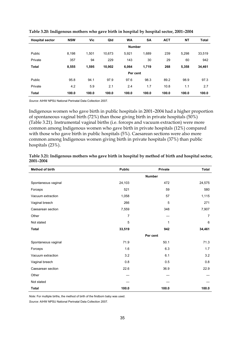| <b>Hospital sector</b> | <b>NSW</b>    | Vic   | Qld    | <b>WA</b> | <b>SA</b> | <b>ACT</b> | <b>NT</b> | <b>Total</b> |  |  |  |
|------------------------|---------------|-------|--------|-----------|-----------|------------|-----------|--------------|--|--|--|
|                        | <b>Number</b> |       |        |           |           |            |           |              |  |  |  |
| Public                 | 8.198         | 1,501 | 10.673 | 5.921     | 1.689     | 239        | 5.298     | 33,519       |  |  |  |
| Private                | 357           | 94    | 229    | 143       | 30        | 29         | 60        | 942          |  |  |  |
| <b>Total</b>           | 8,555         | 1,595 | 10,902 | 6.064     | 1,719     | 268        | 5,358     | 34,461       |  |  |  |
|                        |               |       |        | Per cent  |           |            |           |              |  |  |  |
| Public                 | 95.8          | 94.1  | 97.9   | 97.6      | 98.3      | 89.2       | 98.9      | 97.3         |  |  |  |
| Private                | 4.2           | 5.9   | 2.1    | 2.4       | 1.7       | 10.8       | 1.1       | 2.7          |  |  |  |
| <b>Total</b>           | 100.0         | 100.0 | 100.0  | 100.0     | 100.0     | 100.0      | 100.0     | 100.0        |  |  |  |

**Table 3.20: Indigenous mothers who gave birth in hospital by hospital sector, 2001–2004** 

*Source:* AIHW NPSU National Perinatal Data Collection 2007.

Indigenous women who gave birth in public hospitals in 2001–2004 had a higher proportion of spontaneous vaginal birth (72%) than those giving birth in private hospitals (50%) (Table 3.21). Instrumental vaginal births (i.e. forceps and vacuum extraction) were more common among Indigenous women who gave birth in private hospitals (12%) compared with those who gave birth in public hospitals (5%). Caesarean sections were also more common among Indigenous women giving birth in private hospitals (37%) than public hospitals (23%).

| <b>Method of birth</b> | <b>Public</b>  | Private       | <b>Total</b> |
|------------------------|----------------|---------------|--------------|
|                        |                | <b>Number</b> |              |
| Spontaneous vaginal    | 24,103         | 472           | 24,575       |
| Forceps                | 521            | 59            | 580          |
| Vacuum extraction      | 1,058          | 57            | 1,115        |
| Vaginal breech         | 266            | 5             | 271          |
| Caesarean section      | 7,559          | 348           | 7,907        |
| Other                  | $\overline{7}$ |               | 7            |
| Not stated             | 5              | 1             | 6            |
| <b>Total</b>           | 33,519         | 942           | 34,461       |
|                        |                | Per cent      |              |
| Spontaneous vaginal    | 71.9           | 50.1          | 71.3         |
| Forceps                | 1.6            | 6.3           | 1.7          |
| Vacuum extraction      | 3.2            | 6.1           | 3.2          |
| Vaginal breech         | 0.8            | 0.5           | 0.8          |
| Caesarean section      | 22.6           | 36.9          | 22.9         |
| Other                  |                |               |              |
| Not stated             |                |               |              |
| <b>Total</b>           | 100.0          | 100.0         | 100.0        |

**Table 3.21: Indigenous mothers who gave birth in hospital by method of birth and hospital sector, 2001–2004** 

*Note:* For multiple births, the method of birth of the firstborn baby was used.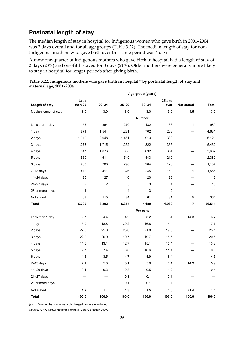#### **Postnatal length of stay**

The median length of stay in hospital for Indigenous women who gave birth in 2001–2004 was 3 days overall and for all age groups (Table 3.22). The median length of stay for non-Indigenous mothers who gave birth over this same period was 4 days.

Almost one-quarter of Indigenous mothers who gave birth in hospital had a length of stay of 2 days (23%) and one-fifth stayed for 3 days (21%). Older mothers were generally more likely to stay in hospital for longer periods after giving birth.

|                       |                 |                |           | Age group (years) |                |                   |              |
|-----------------------|-----------------|----------------|-----------|-------------------|----------------|-------------------|--------------|
| Length of stay        | Less<br>than 20 | $20 - 24$      | $25 - 29$ | $30 - 34$         | 35 and<br>over | <b>Not stated</b> | <b>Total</b> |
| Median length of stay | 3.0             | 3.0            | 3.0       | 3.0               | 3.0            | 4.5               | 3.0          |
|                       |                 |                |           | <b>Number</b>     |                |                   |              |
| Less than 1 day       | 156             | 364            | 270       | 132               | 66             | $\mathbf{1}$      | 989          |
| 1 day                 | 871             | 1,544          | 1,281     | 702               | 283            |                   | 4,681        |
| 2 days                | 1,310           | 2,048          | 1,461     | 913               | 389            |                   | 6,121        |
| 3 days                | 1,278           | 1,715          | 1,252     | 822               | 365            |                   | 5,432        |
| 4 days                | 847             | 1,076          | 808       | 632               | 304            |                   | 3,667        |
| 5 days                | 560             | 611            | 549       | 443               | 219            |                   | 2,382        |
| 6 days                | 268             | 288            | 298       | 204               | 126            |                   | 1,184        |
| $7-13$ days           | 412             | 411            | 326       | 245               | 160            | $\mathbf{1}$      | 1,555        |
| $14 - 20$ days        | 26              | 27             | 16        | 20                | 23             |                   | 112          |
| 21-27 days            | 2               | $\overline{2}$ | 5         | 3                 | 1              |                   | 13           |
| 28 or more days       | 1               | $\mathbf{1}$   | 4         | 3                 | $\overline{c}$ |                   | 11           |
| Not stated            | 68              | 115            | 84        | 61                | 31             | 5                 | 364          |
| <b>Total</b>          | 5,799           | 8,202          | 6,354     | 4,180             | 1,969          | $\overline{7}$    | 26,511       |
|                       |                 |                |           | Per cent          |                |                   |              |
| Less than 1 day       | 2.7             | 4.4            | 4.2       | 3.2               | 3.4            | 14.3              | 3.7          |
| 1 day                 | 15.0            | 18.8           | 20.2      | 16.8              | 14.4           |                   | 17.7         |
| 2 days                | 22.6            | 25.0           | 23.0      | 21.8              | 19.8           |                   | 23.1         |
| 3 days                | 22.0            | 20.9           | 19.7      | 19.7              | 18.5           |                   | 20.5         |
| 4 days                | 14.6            | 13.1           | 12.7      | 15.1              | 15.4           |                   | 13.8         |
| 5 days                | 9.7             | 7.4            | 8.6       | 10.6              | 11.1           |                   | 9.0          |
| 6 days                | 4.6             | 3.5            | 4.7       | 4.9               | 6.4            |                   | 4.5          |
| $7-13$ days           | 7.1             | 5.0            | 5.1       | 5.9               | 8.1            | 14.3              | 5.9          |
| $14 - 20$ days        | 0.4             | 0.3            | 0.3       | 0.5               | 1.2            |                   | 0.4          |
| $21 - 27$ days        |                 |                | 0.1       | 0.1               | 0.1            |                   |              |
| 28 or more days       |                 |                | 0.1       | 0.1               | 0.1            |                   |              |
| Not stated            | 1.2             | 1.4            | 1.3       | 1.5               | 1.6            | 71.4              | 1.4          |
| Total                 | 100.0           | 100.0          | 100.0     | 100.0             | 100.0          | 100.0             | 100.0        |

| Table 3.22: Indigenous mothers who gave birth in hospital <sup>(a)</sup> by postnatal length of stay and |  |  |
|----------------------------------------------------------------------------------------------------------|--|--|
| maternal age, 2001-2004                                                                                  |  |  |

(a) Only mothers who were discharged home are included.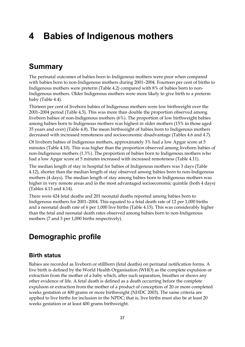# **4 Babies of Indigenous mothers**

## **Summary**

The perinatal outcomes of babies born to Indigenous mothers were poor when compared with babies born to non-Indigenous mothers during 2001–2004. Fourteen per cent of births to Indigenous mothers were preterm (Table 4.2) compared with 8% of babies born to non-Indigenous mothers. Older Indigenous mothers were more likely to give birth to a preterm baby (Table 4.4).

Thirteen per cent of liveborn babies of Indigenous mothers were low birthweight over the 2001–2004 period (Table 4.5). This was more than double the proportion observed among liveborn babies of non-Indigenous mothers (6%). The proportion of low birthweight babies among babies born to Indigenous mothers was highest in older mothers (15% in those aged 35 years and over) (Table 4.8). The mean birthweight of babies born to Indigenous mothers decreased with increased remoteness and socioeconomic disadvantage (Tables 4.6 and 4.7).

Of liveborn babies of Indigenous mothers, approximately 3% had a low Apgar score at 5 minutes (Table 4.10). This was higher than the proportion observed among liveborn babies of non-Indigenous mothers (1.3%). The proportion of babies born to Indigenous mothers who had a low Apgar score at 5 minutes increased with increased remoteness (Table 4.11).

The median length of stay in hospital for babies of Indigenous mothers was 3 days (Table 4.12), shorter than the median length of stay observed among babies born to non-Indigenous mothers (4 days). The median length of stay among babies born to Indigenous mothers was higher in very remote areas and in the most advantaged socioeconomic quintile (both 4 days) (Tables 4.13 and 4.14).

There were 424 fetal deaths and 201 neonatal deaths reported among babies born to Indigenous mothers for 2001–2004. This equated to a fetal death rate of 12 per 1,000 births and a neonatal death rate of 6 per 1,000 live births (Table 4.15). This was considerably higher than the fetal and neonatal death rates observed among babies born to non-Indigenous mothers (7 and 3 per 1,000 births respectively).

# **Demographic profile**

#### **Birth status**

Babies are recorded as liveborn or stillborn (fetal deaths) on perinatal notification forms. A live birth is defined by the World Health Organisation (WHO) as the complete expulsion or extraction from the mother of a baby which, after such separation, breathes or shows any other evidence of life. A fetal death is defined as a death occurring before the complete expulsion or extraction from the mother of a product of conception of 20 or more completed weeks gestation or 400 grams or more birthweight (NHDC 2003). The same criteria are applied to live births for inclusion in the NPDC; that is, live births must also be at least 20 weeks gestation or at least 400 grams birthweight.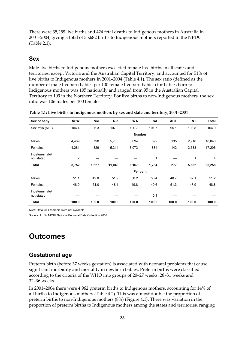There were 35,258 live births and 424 fetal deaths to Indigenous mothers in Australia in 2001–2004, giving a total of 35,682 births to Indigenous mothers reported to the NPDC (Table 2.1).

#### **Sex**

Male live births to Indigenous mothers exceeded female live births in all states and territories, except Victoria and the Australian Capital Territory, and accounted for 51% of live births to Indigenous mothers in 2001–2004 (Table 4.1). The sex ratio (defined as the number of male liveborn babies per 100 female liveborn babies) for babies born to Indigenous mothers was 105 nationally and ranged from 95 in the Australian Capital Territory to 109 in the Northern Territory. For live births to non-Indigenous mothers, the sex ratio was 106 males per 100 females.

| Sex of baby                  | <b>NSW</b> | Vic   | Qld    | <b>WA</b> | SA            | <b>ACT</b> | <b>NT</b>    | <b>Total</b> |
|------------------------------|------------|-------|--------|-----------|---------------|------------|--------------|--------------|
| Sex ratio (M:F)              | 104.4      | 96.3  | 107.9  | 100.7     | 101.7         | 95.1       | 108.8        | 104.9        |
|                              |            |       |        |           | <b>Number</b> |            |              |              |
| Males                        | 4,469      | 798   | 5,735  | 3,094     | 899           | 135        | 2,918        | 18,048       |
| Females                      | 4,281      | 829   | 5,314  | 3,073     | 884           | 142        | 2,683        | 17,206       |
| Indeterminate/<br>not stated | 2          |       |        |           | 1             |            | $\mathbf{1}$ | 4            |
| Total                        | 8,752      | 1,627 | 11,049 | 6,167     | 1,784         | 277        | 5,602        | 35,258       |
|                              |            |       |        |           | Per cent      |            |              |              |
| Males                        | 51.1       | 49.0  | 51.9   | 50.2      | 50.4          | 48.7       | 52.1         | 51.2         |
| Females                      | 48.9       | 51.0  | 48.1   | 49.8      | 49.6          | 51.3       | 47.9         | 48.8         |
| Indeterminate/<br>not stated |            |       |        |           | 0.1           |            |              |              |
| Total                        | 100.0      | 100.0 | 100.0  | 100.0     | 100.0         | 100.0      | 100.0        | 100.0        |

| Table 4.1: Live births to Indigenous mothers by sex and state and territory, 2001-2004 |  |  |  |
|----------------------------------------------------------------------------------------|--|--|--|
|                                                                                        |  |  |  |

*Note:* Data for Tasmania were not available.

*Source:* AIHW NPSU National Perinatal Data Collection 2007.

## **Outcomes**

#### **Gestational age**

Preterm birth (before 37 weeks gestation) is associated with neonatal problems that cause significant morbidity and mortality in newborn babies. Preterm births were classified according to the criteria of the WHO into groups of 20–27 weeks, 28–31 weeks and 32–36 weeks.

In 2001–2004 there were 4,962 preterm births to Indigenous mothers, accounting for 14% of all births to Indigenous mothers (Table 4.2). This was almost double the proportion of preterm births to non-Indigenous mothers (8%) (Figure 4.1). There was variation in the proportion of preterm births to Indigenous mothers among the states and territories, ranging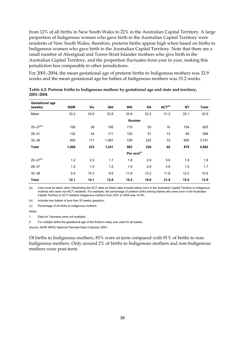from 12% of all births in New South Wales to 22% in the Australian Capital Territory. A large proportion of Indigenous women who gave birth in the Australian Capital Territory were residents of New South Wales, therefore, preterm births appear high when based on births to Indigenous women who gave birth in the Australian Capital Territory. Note that there are a small number of Aboriginal and Torres Strait Islander mothers who give birth in the Australian Capital Territory, and the proportion fluctuates from year to year, making this jurisdiction less comparable to other jurisdictions.

For 2001–2004, the mean gestational age of preterm births to Indigenous mothers was 32.9 weeks and the mean gestational age for babies of Indigenous mothers was 33.2 weeks.

| <b>Gestational age</b><br>(weeks) | <b>NSW</b> | Vic           | Qld   | <b>WA</b>               | SA   | ACT <sup>(a)</sup> | <b>NT</b> | <b>Total</b> |
|-----------------------------------|------------|---------------|-------|-------------------------|------|--------------------|-----------|--------------|
| Mean                              | 33.2       | 32.6          | 32.8  | 32.9                    | 32.2 | 31.2               | 33.1      | 32.9         |
|                                   |            | <b>Number</b> |       |                         |      |                    |           |              |
| $20 - 27(b)$                      | 106        | 38            | 193   | 115                     | 53   | 16                 | 104       | 625          |
| $28 - 31$                         | 132        | 24            | 171   | 120                     | 51   | 13                 | 85        | 596          |
| $32 - 36$                         | 830        | 171           | 1,067 | 728                     | 222  | 33                 | 690       | 3,741        |
| <b>Total</b>                      | 1,068      | 233           | 1,431 | 963                     | 326  | 62                 | 879       | 4,962        |
|                                   |            |               |       | Per cent <sup>(c)</sup> |      |                    |           |              |
| $20 - 27^{(b)}$                   | 1.2        | 2.3           | 1.7   | 1.8                     | 2.9  | 5.6                | 1.8       | 1.8          |
| $28 - 31$                         | 1.5        | 1.5           | 1.5   | 1.9                     | 2.8  | 4.6                | 1.5       | 1.7          |
| $32 - 36$                         | 9.4        | 10.3          | 9.6   | 11.6                    | 12.2 | 11.6               | 12.2      | 10.5         |
| <b>Total</b>                      | 12.1       | 14.1          | 12.8  | 15.4                    | 18.0 | 21.8               | 15.5      | 13.9         |

**Table 4.2: Preterm births to Indigenous mothers by gestational age and state and territory, 2001–2004** 

(a) Care must be taken when interpreting the ACT rates as these rates include babies born in the Australian Capital Territory to Indigenous mothers who were non-ACT residents. For example, the percentage of preterm births among babies who were born in the Australian Capital Territory to ACT-resident Indigenous mothers from 2001 to 2004 was 14.9%.

(b) Includes two babies of less than 20 weeks gestation.

(c) Percentage of all births to Indigenous mothers.

*Notes* 

1. Data for Tasmania were not available.

2. For multiple births the gestational age of the firstborn baby was used for all babies.

*Source:* AIHW NPSU National Perinatal Data Collection 2007.

Of births to Indigenous mothers, 85% were at term compared with 91% of births to non-Indigenous mothers. Only around 2% of births to Indigenous mothers and non-Indigenous mothers were post-term.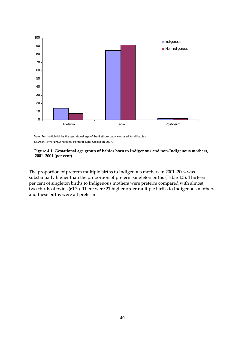

The proportion of preterm multiple births to Indigenous mothers in 2001–2004 was substantially higher than the proportion of preterm singleton births (Table 4.3). Thirteen per cent of singleton births to Indigenous mothers were preterm compared with almost two-thirds of twins (61%). There were 21 higher order multiple births to Indigenous mothers and these births were all preterm.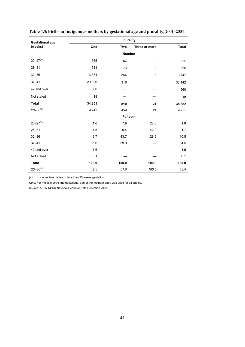| <b>Gestational age</b> |        | <b>Plurality</b> |               |              |
|------------------------|--------|------------------|---------------|--------------|
| (weeks)                | One    | Two              | Three or more | <b>Total</b> |
|                        |        | <b>Number</b>    |               |              |
| $20 - 27^{(a)}$        | 555    | 64               | 6             | 625          |
| $28 - 31$              | 511    | 76               | 9             | 596          |
| $32 - 36$              | 3,381  | 354              | 6             | 3,741        |
| $37 - 41$              | 29,826 | 316              |               | 30,142       |
| 42 and over            | 560    |                  |               | 560          |
| Not stated             | 18     |                  |               | 18           |
| <b>Total</b>           | 34,851 | 810              | 21            | 35,682       |
| $20 - 36^{(a)}$        | 4,447  | 494              | 21            | 4,962        |
|                        |        | Per cent         |               |              |
| $20 - 27^{(a)}$        | 1.6    | 7.9              | 28.6          | 1.8          |
| $28 - 31$              | 1.5    | 9.4              | 42.9          | 1.7          |
| $32 - 36$              | 9.7    | 43.7             | 28.6          | 10.5         |
| $37 - 41$              | 85.6   | 39.0             |               | 84.5         |
| 42 and over            | 1.6    |                  |               | 1.6          |
| Not stated             | 0.1    |                  |               | 0.1          |
| <b>Total</b>           | 100.0  | 100.0            | 100.0         | 100.0        |
| $20 - 36^{(a)}$        | 12.8   | 61.0             | 100.0         | 13.9         |

**Table 4.3: Births to Indigenous mothers by gestational age and plurality, 2001–2004** 

(a) Includes two babies of less than 20 weeks gestation.

*Note:* For multiple births the gestational age of the firstborn baby was used for all babies.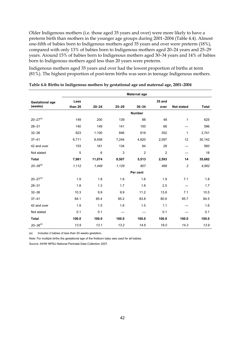Older Indigenous mothers (i.e. those aged 35 years and over) were more likely to have a preterm birth than mothers in the younger age groups during 2001–2004 (Table 4.4). Almost one-fifth of babies born to Indigenous mothers aged 35 years and over were preterm (18%), compared with only 13% of babies born to Indigenous mothers aged 20–24 years and 25–29 years. Around 15% of babies born to Indigenous mothers aged 30–34 years and 14% of babies born to Indigenous mothers aged less than 20 years were preterm.

Indigenous mothers aged 35 years and over had the lowest proportion of births at term (81%). The highest proportion of post-term births was seen in teenage Indigenous mothers.

|                        |               |                |           | Maternal age   |                |                   |              |  |  |  |
|------------------------|---------------|----------------|-----------|----------------|----------------|-------------------|--------------|--|--|--|
| <b>Gestational age</b> | Less          |                |           |                | 35 and         |                   |              |  |  |  |
| (weeks)                | than 20       | $20 - 24$      | $25 - 29$ | $30 - 34$      | over           | <b>Not stated</b> | <b>Total</b> |  |  |  |
|                        | <b>Number</b> |                |           |                |                |                   |              |  |  |  |
| $20 - 27^{(a)}$        | 149           | 200            | 139       | 88             | 48             | $\mathbf{1}$      | 625          |  |  |  |
| $28 - 31$              | 140           | 149            | 141       | 100            | 66             |                   | 596          |  |  |  |
| $32 - 36$              | 823           | 1,100          | 846       | 619            | 352            | 1                 | 3,741        |  |  |  |
| $37 - 41$              | 6,711         | 9,458          | 7,244     | 4,620          | 2,097          | 12                | 30,142       |  |  |  |
| 42 and over            | 153           | 161            | 134       | 84             | 28             |                   | 560          |  |  |  |
| Not stated             | 5             | $6\phantom{1}$ | 3         | $\overline{c}$ | $\overline{c}$ |                   | 18           |  |  |  |
| <b>Total</b>           | 7,981         | 11,074         | 8,507     | 5,513          | 2,593          | 14                | 35,682       |  |  |  |
| $20 - 36^{(a)}$        | 1,112         | 1,449          | 1,126     | 807            | 466            | $\overline{c}$    | 4,962        |  |  |  |
|                        |               |                |           | Per cent       |                |                   |              |  |  |  |
| $20 - 27^{(a)}$        | 1.9           | 1.8            | 1.6       | 1.6            | 1.9            | 7.1               | 1.8          |  |  |  |
| $28 - 31$              | 1.8           | 1.3            | 1.7       | 1.8            | 2.5            |                   | 1.7          |  |  |  |
| $32 - 36$              | 10.3          | 9.9            | 9.9       | 11.2           | 13.6           | 7.1               | 10.5         |  |  |  |
| $37 - 41$              | 84.1          | 85.4           | 85.2      | 83.8           | 80.9           | 85.7              | 84.5         |  |  |  |
| 42 and over            | 1.9           | 1.5            | 1.6       | 1.5            | 1.1            |                   | 1.6          |  |  |  |
| Not stated             | 0.1           | 0.1            |           |                | 0.1            |                   | 0.1          |  |  |  |
| <b>Total</b>           | 100.0         | 100.0          | 100.0     | 100.0          | 100.0          | 100.0             | 100.0        |  |  |  |
| $20 - 36^{(a)}$        | 13.9          | 13.1           | 13.2      | 14.6           | 18.0           | 14.3              | 13.9         |  |  |  |

**Table 4.4: Births to Indigenous mothers by gestational age and maternal age, 2001–2004** 

(a) Includes 2 babies of less than 20 weeks gestation.

*Note:* For multiple births the gestational age of the firstborn baby was used for all babies.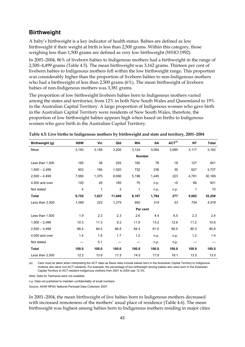#### **Birthweight**

A baby's birthweight is a key indicator of health status. Babies are defined as low birthweight if their weight at birth is less than 2,500 grams. Within this category, those weighing less than 1,500 grams are defined as very low birthweight (WHO 1992).

In 2001–2004, 86% of liveborn babies to Indigenous mothers had a birthweight in the range of 2,500–4,499 grams (Table 4.5). The mean birthweight was 3,162 grams. Thirteen per cent of liveborn babies to Indigenous mothers fell within the low birthweight range. This proportion was considerably higher than the proportion of liveborn babies to non-Indigenous mothers who had a birthweight of less than 2,500 grams (6%). The mean birthweight of liveborn babies of non-Indigenous mothers was 3,381 grams.

The proportion of low birthweight liveborn babies born to Indigenous mothers varied among the states and territories; from 12% in both New South Wales and Queensland to 19% in the Australian Capital Territory. A large proportion of Indigenous women who gave birth in the Australian Capital Territory were residents of New South Wales, therefore, the proportion of low birthweight babies appears high when based on births to Indigenous women who gave birth in the Australian Capital Territory.

| Birthweight (g) | <b>NSW</b>    | Vic          | Qld    | <b>WA</b> | SA       | ACT <sup>(a)</sup> | <b>NT</b> | <b>Total</b> |  |
|-----------------|---------------|--------------|--------|-----------|----------|--------------------|-----------|--------------|--|
| Mean            | 3,193         | 3,158        | 3,200  | 3,124     | 3,064    | 3,085              | 3,117     | 3,162        |  |
|                 | <b>Number</b> |              |        |           |          |                    |           |              |  |
| Less than 1,500 | 165           | 38           | 255    | 160       | 78       | 18                 | 127       | 841          |  |
| $1,500 - 2,499$ | 903           | 184          | 1,020  | 732       | 236      | 35                 | 627       | 3,737        |  |
| $2,500 - 4,499$ | 7,560         | 1,375        | 9,586  | 5,199     | 1,445    | 223                | 4,781     | 30,169       |  |
| 4,500 and over  | 120           | 29           | 185    | 75        | n.p.     | $5$                | 66        | 501          |  |
| Not stated      | 4             | $\mathbf{1}$ | 3      | 1         | n.p.     | n.p.               | 1         | 10           |  |
| <b>Total</b>    | 8,752         | 1,627        | 11,049 | 6,167     | 1,784    | 277                | 5,602     | 35,258       |  |
| Less than 2,500 | 1,068         | 222          | 1,275  | 892       | 314      | 53                 | 754       | 4,578        |  |
|                 |               |              |        |           | Per cent |                    |           |              |  |
| Less than 1,500 | 1.9           | 2.3          | 2.3    | 2.6       | 4.4      | 6.5                | 2.3       | 2.4          |  |
| $1,500 - 2,499$ | 10.3          | 11.3         | 9.2    | 11.9      | 13.2     | 12.6               | 11.2      | 10.6         |  |
| $2.500 - 4.499$ | 86.4          | 84.5         | 86.8   | 84.3      | 81.0     | 80.5               | 85.3      | 85.6         |  |
| 4,500 and over  | 1.4           | 1.8          | 1.7    | 1.2       | n.p.     | n.p.               | 1.2       | 1.4          |  |
| Not stated      |               | 0.1          |        |           | n.p.     | n.p.               |           |              |  |
| <b>Total</b>    | 100.0         | 100.0        | 100.0  | 100.0     | 100.0    | 100.0              | 100.0     | 100.0        |  |
| Less than 2,500 | 12.2          | 13.6         | 11.5   | 14.5      | 17.6     | 19.1               | 13.5      | 13.0         |  |

**Table 4.5: Live births to Indigenous mothers by birthweight and state and territory, 2001–2004** 

(a) Care must be taken when interpreting the ACT rates as these rates include babies born in the Australian Capital Territory to Indigenous mothers who were non-ACT residents. For example, the percentage of low birthweight among babies who were born in the Australian Capital Territory to ACT-resident Indigenous mothers from 2001 to 2004 was 12.3%.

*Note:* Data for Tasmania were not available.

n.p. Data not published to maintain confidentiality of small numbers.

*Source:* AIHW NPSU National Perinatal Data Collection 2007.

In 2001–2004, the mean birthweight of live babies born to Indigenous mothers decreased with increased remoteness of the mothers' usual place of residence (Table 4.6). The mean birthweight was highest among babies born to Indigenous mothers residing in major cities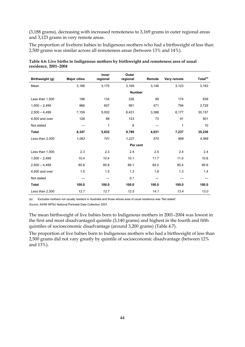(3,188 grams), decreasing with increased remoteness to 3,169 grams in outer regional areas and 3,123 grams in very remote areas.

The proportion of liveborn babies to Indigenous mothers who had a birthweight of less than 2,500 grams was similar across all remoteness areas (between 13% and 14%).

|                 |                     | <b>Inner</b> | Outer         |        |             |                      |
|-----------------|---------------------|--------------|---------------|--------|-------------|----------------------|
| Birthweight (g) | <b>Major cities</b> | regional     | regional      | Remote | Very remote | Total <sup>(a)</sup> |
| Mean            | 3,188               | 3,175        | 3,169         | 3,146  | 3,123       | 3,163                |
|                 |                     |              | <b>Number</b> |        |             |                      |
| Less than 1,500 | 196                 | 134          | 236           | 99     | 174         | 839                  |
| $1,500 - 2,499$ | 866                 | 607          | 991           | 471    | 794         | 3,729                |
| $2,500 - 4,499$ | 7,159               | 5,002        | 8,431         | 3,388  | 6,177       | 30,157               |
| 4,500 and over  | 126                 | 88           | 123           | 73     | 91          | 501                  |
| Not stated      |                     | 1            | 8             |        | 1           | 10                   |
| <b>Total</b>    | 8,347               | 5,832        | 9,789         | 4,031  | 7,237       | 35,236               |
| Less than 2,500 | 1,062               | 741          | 1,227         | 570    | 968         | 4,568                |
|                 |                     |              | Per cent      |        |             |                      |
| Less than 1,500 | 2.3                 | 2.3          | 2.4           | 2.5    | 2.4         | 2.4                  |
| $1,500 - 2,499$ | 10.4                | 10.4         | 10.1          | 11.7   | 11.0        | 10.6                 |
| $2,500 - 4,499$ | 85.8                | 85.8         | 86.1          | 84.0   | 85.4        | 85.6                 |
| 4,500 and over  | 1.5                 | 1.5          | 1.3           | 1.8    | 1.3         | 1.4                  |
| Not stated      |                     |              | 0.1           |        |             |                      |
| <b>Total</b>    | 100.0               | 100.0        | 100.0         | 100.0  | 100.0       | 100.0                |
| Less than 2,500 | 12.7                | 12.7         | 12.5          | 14.1   | 13.4        | 13.0                 |

**Table 4.6: Live births to Indigenous mothers by birthweight and remoteness area of usual residence, 2001–2004** 

(a) Excludes mothers not usually resident in Australia and those whose area of usual residence was 'Not stated'.

*Source:* AIHW NPSU National Perinatal Data Collection 2007.

The mean birthweight of live babies born to Indigenous mothers in 2001–2004 was lowest in the first and most disadvantaged quintile (3,140 grams) and highest in the fourth and fifth quintiles of socioeconomic disadvantage (around 3,200 grams) (Table 4.7).

The proportion of live babies born to Indigenous mothers who had a birthweight of less than 2,500 grams did not vary greatly by quintile of socioeconomic disadvantage (between 12% and 13%).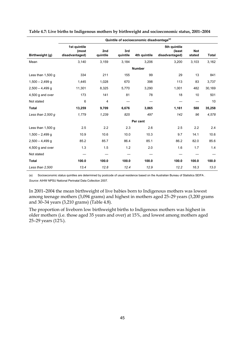|                     | Quintile of socioeconomic disadvantage <sup>(a)</sup> |                 |                 |               |                                          |                      |        |  |  |
|---------------------|-------------------------------------------------------|-----------------|-----------------|---------------|------------------------------------------|----------------------|--------|--|--|
| Birthweight (g)     | 1st quintile<br>(most<br>disadvantaged)               | 2nd<br>quintile | 3rd<br>quintile | 4th quintile  | 5th quintile<br>(least<br>disadvantaged) | <b>Not</b><br>stated | Total  |  |  |
| Mean                | 3,140                                                 | 3,159           | 3,184           | 3,206         | 3,200                                    | 3,103                | 3,162  |  |  |
|                     |                                                       |                 |                 | <b>Number</b> |                                          |                      |        |  |  |
| Less than $1,500$ g | 334                                                   | 211             | 155             | 99            | 29                                       | 13                   | 841    |  |  |
| $1,500 - 2,499$ g   | 1,445                                                 | 1,028           | 670             | 398           | 113                                      | 83                   | 3,737  |  |  |
| $2,500 - 4,499$ q   | 11,301                                                | 8,325           | 5,770           | 3,290         | 1,001                                    | 482                  | 30,169 |  |  |
| 4,500 g and over    | 173                                                   | 141             | 81              | 78            | 18                                       | 10                   | 501    |  |  |
| Not stated          | 6                                                     | 4               |                 |               |                                          |                      | 10     |  |  |
| <b>Total</b>        | 13,259                                                | 9,709           | 6,676           | 3,865         | 1,161                                    | 588                  | 35,258 |  |  |
| Less than $2,500 g$ | 1,779                                                 | 1,239           | 825             | 497           | 142                                      | 96                   | 4,578  |  |  |
|                     |                                                       |                 |                 | Per cent      |                                          |                      |        |  |  |
| Less than $1,500$ g | 2.5                                                   | 2.2             | 2.3             | 2.6           | 2.5                                      | 2.2                  | 2.4    |  |  |
| $1,500 - 2,499$ g   | 10.9                                                  | 10.6            | 10.0            | 10.3          | 9.7                                      | 14.1                 | 10.6   |  |  |
| $2,500 - 4,499$ q   | 85.2                                                  | 85.7            | 86.4            | 85.1          | 86.2                                     | 82.0                 | 85.6   |  |  |
| 4,500 g and over    | 1.3                                                   | 1.5             | 1.2             | 2.0           | 1.6                                      | 1.7                  | 1.4    |  |  |
| Not stated          |                                                       |                 |                 |               |                                          |                      |        |  |  |
| <b>Total</b>        | 100.0                                                 | 100.0           | 100.0           | 100.0         | 100.0                                    | 100.0                | 100.0  |  |  |
| Less than 2,500     | 13.4                                                  | 12.8            | 12.4            | 12.9          | 12.2                                     | 16.3                 | 13.0   |  |  |

**Table 4.7: Live births to Indigenous mothers by birthweight and socioeconomic status, 2001–2004** 

(a) Socioeconomic status quintiles are determined by postcode of usual residence based on the Australian Bureau of Statistics SEIFA . *Source:* AIHW NPSU National Perinatal Data Collection 2007.

In 2001–2004 the mean birthweight of live babies born to Indigenous mothers was lowest among teenage mothers (3,094 grams) and highest in mothers aged 25–29 years (3,200 grams and 30–34 years (3,210 grams) (Table 4.8).

The proportion of liveborn low birthweight births to Indigenous mothers was highest in older mothers (i.e. those aged 35 years and over) at 15%, and lowest among mothers aged 25–29 years (12%).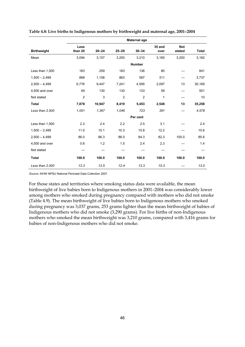|                    |                 |           |                | Maternal age   |                |                      |              |
|--------------------|-----------------|-----------|----------------|----------------|----------------|----------------------|--------------|
| <b>Birthweight</b> | Less<br>than 20 | $20 - 24$ | $25 - 29$      | $30 - 34$      | 35 and<br>over | <b>Not</b><br>stated | <b>Total</b> |
| Mean               | 3,094           | 3,157     | 3,200          | 3,210          | 3,165          | 3,200                | 3,162        |
|                    |                 |           |                | <b>Number</b>  |                |                      |              |
| Less than 1,500    | 183             | 259       | 183            | 136            | 80             |                      | 841          |
| $1,500 - 2,499$    | 868             | 1,108     | 863            | 587            | 311            |                      | 3,737        |
| $2,500 - 4,499$    | 6,776           | 9,447     | 7,241          | 4,595          | 2,097          | 13                   | 30,169       |
| 4,500 and over     | 49              | 130       | 130            | 133            | 59             |                      | 501          |
| Not stated         | $\overline{2}$  | 3         | $\overline{2}$ | $\overline{2}$ | 1              |                      | 10           |
| <b>Total</b>       | 7,878           | 10,947    | 8,419          | 5,453          | 2,548          | 13                   | 35,258       |
| Less than 2,500    | 1,051           | 1,367     | 1,046          | 723            | 391            |                      | 4,578        |
|                    |                 |           |                | Per cent       |                |                      |              |
| Less than 1,500    | 2.3             | 2.4       | 2.2            | 2.5            | 3.1            |                      | 2.4          |
| $1,500 - 2,499$    | 11.0            | 10.1      | 10.3           | 10.8           | 12.2           |                      | 10.6         |
| $2,500 - 4,499$    | 86.0            | 86.3      | 86.0           | 84.3           | 82.3           | 100.0                | 85.6         |
| 4,500 and over     | 0.6             | 1.2       | 1.5            | 2.4            | 2.3            |                      | 1.4          |
| Not stated         |                 |           |                |                |                |                      |              |
| <b>Total</b>       | 100.0           | 100.0     | 100.0          | 100.0          | 100.0          | 100.0                | 100.0        |
| Less than 2,500    | 13.3            | 12.5      | 12.4           | 13.3           | 15.3           |                      | 13.0         |

**Table 4.8: Live births to Indigenous mothers by birthweight and maternal age, 2001–2004** 

*Source:* AIHW NPSU National Perinatal Data Collection 2007.

For those states and territories where smoking status data were available, the mean birthweight of live babies born to Indigenous mothers in 2001–2004 was considerably lower among mothers who smoked during pregnancy compared with mothers who did not smoke (Table 4.9). The mean birthweight of live babies born to Indigenous mothers who smoked during pregnancy was 3,037 grams, 253 grams lighter than the mean birthweight of babies of Indigenous mothers who did not smoke (3,290 grams). For live births of non-Indigenous mothers who smoked the mean birthweight was 3,210 grams, compared with 3,416 grams for babies of non-Indigenous mothers who did not smoke.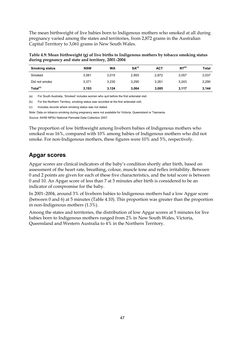The mean birthweight of live babies born to Indigenous mothers who smoked at all during pregnancy varied among the states and territories, from 2,872 grams in the Australian Capital Territory to 3,061 grams in New South Wales.

**Table 4.9: Mean birthweight (g) of live births to Indigenous mothers by tobacco smoking status during pregnancy and state and territory, 2001–2004** 

| <b>Smoking status</b> | <b>NSW</b> | WA    | SA <sup>(a)</sup> | <b>ACT</b> | NT <sup>(b)</sup> | Total |
|-----------------------|------------|-------|-------------------|------------|-------------------|-------|
| Smoked                | 3.061      | 3.015 | 2,955             | 2.872      | 3.057             | 3,037 |
| Did not smoke         | 3.371      | 3.230 | 3.290             | 3.261      | 3.243             | 3,290 |
| Total <sup>(c)</sup>  | 3.193      | 3.124 | 3.064             | 3.085      | 3.117             | 3,144 |

(a) For South Australia, 'Smoked' includes women who quit before the first antenatal visit.

(b) For the Northern Territory, smoking status was recorded at the first antenatal visit.

(c) Includes records where smoking status was not stated.

*Note:* Data on tobacco smoking during pregnancy were not available for Victoria, Queensland or Tasmania.

*Source:* AIHW NPSU National Perinatal Data Collection 2007.

The proportion of low birthweight among liveborn babies of Indigenous mothers who smoked was 16%, compared with 10% among babies of Indigenous mothers who did not smoke. For non-Indigenous mothers, these figures were 10% and 5%, respectively.

#### **Apgar scores**

Apgar scores are clinical indicators of the baby's condition shortly after birth, based on assessment of the heart rate, breathing, colour, muscle tone and reflex irritability. Between 0 and 2 points are given for each of these five characteristics, and the total score is between 0 and 10. An Apgar score of less than 7 at 5 minutes after birth is considered to be an indicator of compromise for the baby.

In 2001–2004, around 3% of liveborn babies to Indigenous mothers had a low Apgar score (between 0 and 6) at 5 minutes (Table 4.10). This proportion was greater than the proportion in non-Indigenous mothers (1.3%).

Among the states and territories, the distribution of low Apgar scores at 5 minutes for live babies born to Indigenous mothers ranged from 2% in New South Wales, Victoria, Queensland and Western Australia to 4% in the Northern Territory.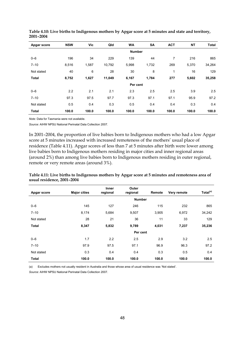| Apgar score  | <b>NSW</b> | Vic           | Qld    | <b>WA</b> | <b>SA</b> | <b>ACT</b> | <b>NT</b> | <b>Total</b> |  |  |
|--------------|------------|---------------|--------|-----------|-----------|------------|-----------|--------------|--|--|
|              |            | <b>Number</b> |        |           |           |            |           |              |  |  |
| $0 - 6$      | 196        | 34            | 229    | 139       | 44        | 7          | 216       | 865          |  |  |
| $7 - 10$     | 8,516      | 1,587         | 10,792 | 5,998     | 1,732     | 269        | 5,370     | 34,264       |  |  |
| Not stated   | 40         | 6             | 28     | 30        | 8         | 1          | 16        | 129          |  |  |
| <b>Total</b> | 8,752      | 1,627         | 11,049 | 6,167     | 1,784     | 277        | 5,602     | 35,258       |  |  |
|              |            |               |        | Per cent  |           |            |           |              |  |  |
| $0 - 6$      | 2.2        | 2.1           | 2.1    | 2.3       | 2.5       | 2.5        | 3.9       | 2.5          |  |  |
| $7 - 10$     | 97.3       | 97.5          | 97.7   | 97.3      | 97.1      | 97.1       | 95.9      | 97.2         |  |  |
| Not stated   | 0.5        | 0.4           | 0.3    | 0.5       | 0.4       | 0.4        | 0.3       | 0.4          |  |  |
| <b>Total</b> | 100.0      | 100.0         | 100.0  | 100.0     | 100.0     | 100.0      | 100.0     | 100.0        |  |  |

**Table 4.10: Live births to Indigenous mothers by Apgar score at 5 minutes and state and territory, 2001–2004** 

*Note:* Data for Tasmania were not available.

*Source:* AIHW NPSU National Perinatal Data Collection 2007.

In 2001–2004, the proportion of live babies born to Indigenous mothers who had a low Apgar score at 5 minutes increased with increased remoteness of the mothers' usual place of residence (Table 4.11). Apgar scores of less than 7 at 5 minutes after birth were lower among live babies born to Indigenous mothers residing in major cities and inner regional areas (around 2%) than among live babies born to Indigenous mothers residing in outer regional, remote or very remote areas (around 3%).

| Table 4.11: Live births to Indigenous mothers by Apgar score at 5 minutes and remoteness area of |  |
|--------------------------------------------------------------------------------------------------|--|
| usual residence, 2001–2004                                                                       |  |

| Apgar score  | <b>Major cities</b> | <b>Inner</b><br>regional | Outer<br>regional | Remote | Very remote | Total <sup>(a)</sup> |
|--------------|---------------------|--------------------------|-------------------|--------|-------------|----------------------|
|              |                     |                          |                   |        |             |                      |
| $0 - 6$      | 145                 | 127                      | 246               | 115    | 232         | 865                  |
| $7 - 10$     | 8,174               | 5,684                    | 9,507             | 3,905  | 6,972       | 34,242               |
| Not stated   | 28                  | 21                       | 36                | 11     | 33          | 129                  |
| <b>Total</b> | 8,347               | 5,832                    | 9,789             | 4,031  | 7,237       | 35,236               |
|              |                     |                          | Per cent          |        |             |                      |
| $0 - 6$      | 1.7                 | 2.2                      | 2.5               | 2.9    | 3.2         | 2.5                  |
| $7 - 10$     | 97.9                | 97.5                     | 97.1              | 96.9   | 96.3        | 97.2                 |
| Not stated   | 0.3                 | 0.4                      | 0.4               | 0.3    | 0.5         | 0.4                  |
| <b>Total</b> | 100.0               | 100.0                    | 100.0             | 100.0  | 100.0       | 100.0                |

(a) Excludes mothers not usually resident in Australia and those whose area of usual residence was 'Not stated'. *Source:* AIHW NPSU National Perinatal Data Collection 2007.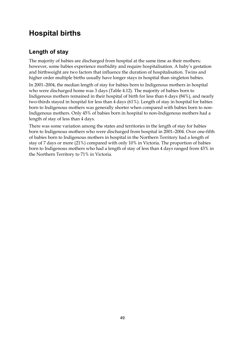## **Hospital births**

## **Length of stay**

The majority of babies are discharged from hospital at the same time as their mothers; however, some babies experience morbidity and require hospitalisation. A baby's gestation and birthweight are two factors that influence the duration of hospitalisation. Twins and higher order multiple births usually have longer stays in hospital than singleton babies.

In 2001–2004, the median length of stay for babies born to Indigenous mothers in hospital who were discharged home was 3 days (Table 4.12). The majority of babies born to Indigenous mothers remained in their hospital of birth for less than 6 days (84%), and nearly two-thirds stayed in hospital for less than 4 days (61%). Length of stay in hospital for babies born to Indigenous mothers was generally shorter when compared with babies born to non-Indigenous mothers. Only 45% of babies born in hospital to non-Indigenous mothers had a length of stay of less than 4 days.

There was some variation among the states and territories in the length of stay for babies born to Indigenous mothers who were discharged from hospital in 2001–2004. Over one-fifth of babies born to Indigenous mothers in hospital in the Northern Territory had a length of stay of 7 days or more (21%) compared with only 10% in Victoria. The proportion of babies born to Indigenous mothers who had a length of stay of less than 4 days ranged from 43% in the Northern Territory to 71% in Victoria.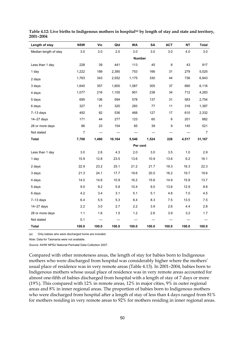| Length of stay        | <b>NSW</b>     | Vic   | Qld    | WA       | SA    | <b>ACT</b> | <b>NT</b> | <b>Total</b> |  |  |
|-----------------------|----------------|-------|--------|----------|-------|------------|-----------|--------------|--|--|
| Median length of stay | 3.0            | 3.0   | 2.0    | 3.0      | 3.0   | 3.0        | 4.0       | 3.0          |  |  |
|                       |                |       |        | Number   |       |            |           |              |  |  |
| Less than 1 day       | 228            | 39    | 441    | 113      | 45    | 8          | 43        | 917          |  |  |
| 1 day                 | 1,222          | 189   | 2,385  | 753      | 166   | 31         | 279       | 5,025        |  |  |
| 2 days                | 1,763          | 343   | 2,552  | 1,175    | 330   | 44         | 736       | 6,943        |  |  |
| 3 days                | 1,640          | 357   | 1,800  | 1,087    | 305   | 37         | 890       | 6,116        |  |  |
| 4 days                | 1,077          | 216   | 1,105  | 901      | 238   | 34         | 712       | 4,283        |  |  |
| 5 days                | 695            | 136   | 594    | 578      | 137   | 31         | 583       | 2,754        |  |  |
| 6 days                | 327            | 51    | 320    | 283      | 77    | 11         | 318       | 1,387        |  |  |
| $7-13$ days           | 492            | 82    | 536    | 468      | 127   | 17         | 610       | 2,332        |  |  |
| $14 - 27$ days        | 171            | 44    | 277    | 123      | 60    | 6          | 201       | 882          |  |  |
| 28 or more days       | 86             | 23    | 154    | 65       | 39    | 9          | 145       | 521          |  |  |
| Not stated            | $\overline{7}$ |       |        |          |       |            |           | 7            |  |  |
| <b>Total</b>          | 7,708          | 1,480 | 10,164 | 5,546    | 1,524 | 228        | 4,517     | 31,167       |  |  |
|                       |                |       |        | Per cent |       |            |           |              |  |  |
| Less than 1 day       | 3.0            | 2.6   | 4.3    | 2.0      | 3.0   | 3.5        | 1.0       | 2.9          |  |  |
| 1 day                 | 15.9           | 12.8  | 23.5   | 13.6     | 10.9  | 13.6       | 6.2       | 16.1         |  |  |
| 2 days                | 22.9           | 23.2  | 25.1   | 21.2     | 21.7  | 19.3       | 16.3      | 22.3         |  |  |
| 3 days                | 21.3           | 24.1  | 17.7   | 19.6     | 20.0  | 16.2       | 19.7      | 19.6         |  |  |
| 4 days                | 14.0           | 14.6  | 10.9   | 16.2     | 15.6  | 14.9       | 15.8      | 13.7         |  |  |
| 5 days                | 9.0            | 9.2   | 5.8    | 10.4     | 9.0   | 13.6       | 12.9      | 8.8          |  |  |
| 6 days                | 4.2            | 3.4   | 3.1    | 5.1      | 5.1   | 4.8        | 7.0       | 4.5          |  |  |
| $7-13$ days           | 6.4            | 5.5   | 5.3    | 8.4      | 8.3   | 7.5        | 13.5      | 75           |  |  |
| 14-27 days            | 2.2            | 3.0   | 2.7    | 2.2      | 3.9   | 2.6        | 4.4       | 2.8          |  |  |
| 28 or more days       | 1.1            | 1.6   | 1.5    | $1.2$    | 2.6   | 3.9        | 3.2       | 1.7          |  |  |
| Not stated            | 0.1            |       |        |          |       |            |           |              |  |  |
| <b>Total</b>          | 100.0          | 100.0 | 100.0  | 100.0    | 100.0 | 100.0      | 100.0     | 100.0        |  |  |

Table 4.12: Live births to Indigenous mothers in hospital<sup>(a)</sup> by length of stay and state and territory, **2001–2004** 

(a) Only babies who were discharged home are included.

*Note:* Data for Tasmania were not available.

*Source:* AIHW NPSU National Perinatal Data Collection 2007.

Compared with other remoteness areas, the length of stay for babies born to Indigenous mothers who were discharged from hospital was considerably higher where the mothers' usual place of residence was in very remote areas (Table 4.13). In 2001–2004, babies born to Indigenous mothers whose usual place of residence was in very remote areas accounted for almost one-fifth of babies discharged from hospital with a length of stay of 7 days or more (19%). This compared with 12% in remote areas, 12% in major cities, 9% in outer regional areas and 8% in inner regional areas. The proportion of babies born to Indigenous mothers who were discharged from hospital after a length of stay of less than 4 days ranged from 81% for mothers residing in very remote areas to 92% for mothers residing in inner regional areas.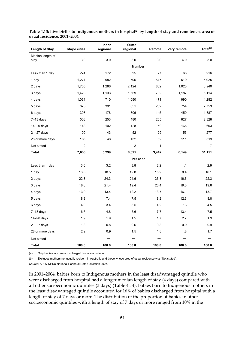| Length of Stay   | <b>Major cities</b> | Inner<br>regional | Outer<br>regional | Remote        | Very remote  | Total(b)       |
|------------------|---------------------|-------------------|-------------------|---------------|--------------|----------------|
| Median length of | 3.0                 | 3.0               | 3.0               | 3.0           | 4.0          | 3.0            |
| stay             |                     |                   |                   | <b>Number</b> |              |                |
|                  |                     |                   | 325               |               |              |                |
| Less than 1 day  | 274                 | 172               |                   | 77            | 68           | 916            |
| 1 day            | 1,271               | 982               | 1,706             | 547           | 519          | 5,025          |
| 2 days           | 1,705               | 1,286             | 2,124             | 802           | 1,023        | 6,940          |
| 3 days           | 1,423               | 1,133             | 1,669             | 702           | 1,187        | 6,114          |
| 4 days           | 1,061               | 710               | 1,050             | 471           | 990          | 4,282          |
| 5 days           | 675                 | 391               | 651               | 282           | 754          | 2,753          |
| 6 days           | 308                 | 178               | 306               | 145           | 450          | 1,387          |
| $7-13$ days      | 503                 | 253               | 480               | 265           | 827          | 2,328          |
| $14 - 20$ days   | 148                 | 102               | 128               | 59            | 166          | 603            |
| $21 - 27$ days   | 100                 | 43                | 52                | 29            | 53           | 277            |
| 28 or more days  | 166                 | 48                | 132               | 62            | 111          | 519            |
| Not stated       | $\overline{c}$      | 1                 | $\overline{c}$    | $\mathbf{1}$  | $\mathbf{1}$ | $\overline{7}$ |
| <b>Total</b>     | 7,636               | 5,299             | 8,625             | 3,442         | 6,149        | 31,151         |
|                  |                     |                   |                   | Per cent      |              |                |
| Less than 1 day  | 3.6                 | 3.2               | 3.8               | 2.2           | 1.1          | 2.9            |
| 1 day            | 16.6                | 18.5              | 19.8              | 15.9          | 8.4          | 16.1           |
| 2 days           | 22.3                | 24.3              | 24.6              | 23.3          | 16.6         | 22.3           |
| 3 days           | 18.6                | 21.4              | 19.4              | 20.4          | 19.3         | 19.6           |
| 4 days           | 13.9                | 13.4              | 12.2              | 13.7          | 16.1         | 13.7           |
| 5 days           | 8.8                 | 7.4               | 7.5               | 8.2           | 12.3         | 8.8            |
| 6 days           | 4.0                 | 3.4               | 3.5               | 4.2           | 7.3          | 4.5            |
| $7-13$ days      | 6.6                 | 4.8               | 5.6               | 7.7           | 13.4         | 7.5            |
| $14 - 20$ days   | 1.9                 | 1.9               | 1.5               | 1.7           | 2.7          | 1.9            |
| $21 - 27$ days   | 1.3                 | 0.8               | 0.6               | 0.8           | 0.9          | 0.9            |
| 28 or more days  | 2.2                 | 0.9               | 1.5               | 1.8           | 1.8          | 1.7            |
| Not stated       |                     |                   |                   |               |              |                |
| <b>Total</b>     | 100.0               | 100.0             | 100.0             | 100.0         | 100.0        | 100.0          |

Table 4.13: Live births to Indigenous mothers in hospital<sup>(a)</sup> by length of stay and remoteness area of **usual residence, 2001–2004** 

(a) Only babies who were discharged home are included.

(b) Excludes mothers not usually resident in Australia and those whose area of usual residence was 'Not stated'.

*Source:* AIHW NPSU National Perinatal Data Collection 2007.

In 2001–2004, babies born to Indigenous mothers in the least disadvantaged quintile who were discharged from hospital had a longer median length of stay (4 days) compared with all other socioeconomic quintiles (3 days) (Table 4.14). Babies born to Indigenous mothers in the least disadvantaged quintile accounted for 16% of babies discharged from hospital with a length of stay of 7 days or more. The distribution of the proportion of babies in other socioeconomic quintiles with a length of stay of 7 days or more ranged from 10% in the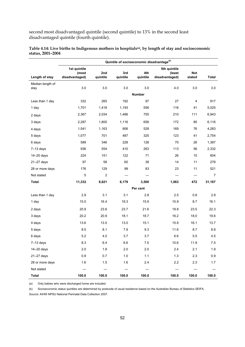second most disadvantaged quintile (second quintile) to 13% in the second least disadvantaged quintile (fourth quintile).

|                  | Quintile of socioeconomic disadvantage <sup>(b)</sup> |                          |                          |                  |                                          |                          |                          |  |  |  |  |  |
|------------------|-------------------------------------------------------|--------------------------|--------------------------|------------------|------------------------------------------|--------------------------|--------------------------|--|--|--|--|--|
| Length of stay   | 1st quintile<br>(most<br>disadvantaged)               | 2nd<br>quintile          | 3rd<br>quintile          | 4th<br>quintile  | 5th quintile<br>(least<br>disadvantaged) | Not<br>stated            | <b>Total</b>             |  |  |  |  |  |
| Median length of |                                                       |                          |                          |                  |                                          |                          |                          |  |  |  |  |  |
| stay             | 3.0                                                   | $3.0\,$                  | 3.0                      | 3.0              | 4.0                                      | 3.0                      | 3.0                      |  |  |  |  |  |
|                  |                                                       |                          |                          | <b>Number</b>    |                                          |                          |                          |  |  |  |  |  |
| Less than 1 day  | 332                                                   | 265                      | 192                      | 97               | 27                                       | $\overline{\mathbf{4}}$  | 917                      |  |  |  |  |  |
| 1 day            | 1,701                                                 | 1,418                    | 1,193                    | 556              | 116                                      | 41                       | 5,025                    |  |  |  |  |  |
| 2 days           | 2,367                                                 | 2,034                    | 1,466                    | 755              | 210                                      | 111                      | 6,943                    |  |  |  |  |  |
| 3 days           | 2,287                                                 | 1,800                    | 1,116                    | 656              | 172                                      | 85                       | 6,116                    |  |  |  |  |  |
| 4 days           | 1,541                                                 | 1,163                    | 806                      | 528              | 169                                      | 76                       | 4,283                    |  |  |  |  |  |
| 5 days           | 1,077                                                 | 701                      | 487                      | 325              | 123                                      | 41                       | 2,754                    |  |  |  |  |  |
| 6 days           | 589                                                   | 346                      | 228                      | 128              | 70                                       | 26                       | 1,387                    |  |  |  |  |  |
| $7-13$ days      | 936                                                   | 554                      | 410                      | 263              | 113                                      | 56                       | 2,332                    |  |  |  |  |  |
| 14-20 days       | 224                                                   | 151                      | 122                      | 71               | 26                                       | 10                       | 604                      |  |  |  |  |  |
| 21-27 days       | 97                                                    | 58                       | 60                       | 38               | 14                                       | 11                       | 278                      |  |  |  |  |  |
| 28 or more days  | 176                                                   | 129                      | 99                       | 83               | 23                                       | 11                       | 521                      |  |  |  |  |  |
| Not stated       | 5                                                     | $\overline{2}$           |                          |                  |                                          |                          | 7                        |  |  |  |  |  |
| <b>Total</b>     | 11,332                                                | 8,621                    | 6,179                    | 3,500            | 1,063                                    | 472                      | 31,167                   |  |  |  |  |  |
|                  |                                                       |                          |                          | Per cent         |                                          |                          |                          |  |  |  |  |  |
| Less than 1 day  | 2.9                                                   | 3.1                      | 3.1                      | 2.8              | 2.5                                      | 0.8                      | 2.9                      |  |  |  |  |  |
| 1 day            | 15.0                                                  | 16.4                     | 19.3                     | 15.9             | 10.9                                     | 8.7                      | 16.1                     |  |  |  |  |  |
| 2 days           | 20.9                                                  | 23.6                     | 23.7                     | 21.6             | 19.8                                     | 23.5                     | 22.3                     |  |  |  |  |  |
| 3 days           | 20.2                                                  | 20.9                     | 18.1                     | 18.7             | 16.2                                     | 18.0                     | 19.6                     |  |  |  |  |  |
| 4 days           | 13.6                                                  | 13.5                     | 13.0                     | 15.1             | 15.9                                     | 16.1                     | 13.7                     |  |  |  |  |  |
| 5 days           | 9.5                                                   | 8.1                      | 7.9                      | 9.3              | 11.6                                     | 8.7                      | 8.8                      |  |  |  |  |  |
| 6 days           | 5.2                                                   | 4.0                      | 3.7                      | 3.7              | 6.6                                      | 5.5                      | 4.5                      |  |  |  |  |  |
| $7-13$ days      | 8.3                                                   | 6.4                      | 6.6                      | 7.5              | 10.6                                     | 11.9                     | $7.5\,$                  |  |  |  |  |  |
| 14-20 days       | 2.0                                                   | 1.8                      | 2.0                      | 2.0              | 2.4                                      | 2.1                      | 1.9                      |  |  |  |  |  |
| $21 - 27$ days   | 0.9                                                   | 0.7                      | 1.0                      | 1.1              | 1.3                                      | 2.3                      | 0.9                      |  |  |  |  |  |
| 28 or more days  | 1.6                                                   | 1.5                      | 1.6                      | 2.4              | 2.2                                      | 2.3                      | 1.7                      |  |  |  |  |  |
| Not stated       | $\overline{\phantom{m}}$                              | $\overline{\phantom{m}}$ | $\overline{\phantom{m}}$ | $\hspace{0.1mm}$ | $\overline{\phantom{m}}$                 | $\overline{\phantom{m}}$ | $\overline{\phantom{m}}$ |  |  |  |  |  |
| <b>Total</b>     | 100.0                                                 | 100.0                    | 100.0                    | 100.0            | 100.0                                    | 100.0                    | 100.0                    |  |  |  |  |  |

**Table 4.14: Live births to Indigenous mothers in hospitals(a), by length of stay and socioeconomic status, 2001–2004** 

(a) Only babies who were discharged home are included.

(b) Socioeconomic status quintiles are determined by postcode of usual residence based on the Australian Bureau of Statistics SEIFA.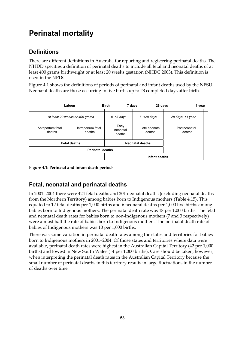# **Perinatal mortality**

### **Definitions**

There are different definitions in Australia for reporting and registering perinatal deaths. The NHDD specifies a definition of perinatal deaths to include all fetal and neonatal deaths of at least 400 grams birthweight or at least 20 weeks gestation (NHDC 2003). This definition is used in the NPDC.

Figure 4.1 shows the definitions of periods of perinatal and infant deaths used by the NPSU. Neonatal deaths are those occurring in live births up to 28 completed days after birth.



**Figure 4.1: Perinatal and infant death periods** 

### **Fetal, neonatal and perinatal deaths**

In 2001–2004 there were 424 fetal deaths and 201 neonatal deaths (excluding neonatal deaths from the Northern Territory) among babies born to Indigenous mothers (Table 4.15). This equated to 12 fetal deaths per 1,000 births and 6 neonatal deaths per 1,000 live births among babies born to Indigenous mothers. The perinatal death rate was 18 per 1,000 births. The fetal and neonatal death rates for babies born to non-Indigenous mothers (7 and 3 respectively) were almost half the rate of babies born to Indigenous mothers. The perinatal death rate of babies of Indigenous mothers was 10 per 1,000 births.

There was some variation in perinatal death rates among the states and territories for babies born to Indigenous mothers in 2001–2004. Of those states and territories where data were available, perinatal death rates were highest in the Australian Capital Territory (42 per 1,000 births) and lowest in New South Wales (14 per 1,000 births). Care should be taken, however, when interpreting the perinatal death rates in the Australian Capital Territory because the small number of perinatal deaths in this territory results in large fluctuations in the number of deaths over time.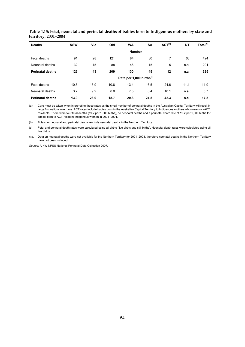| <b>Deaths</b>           | <b>NSW</b> | Vic  | Qld  | <b>WA</b>                            | <b>SA</b> | ACT <sup>(a)</sup> | <b>NT</b> | Total <sup>(b)</sup> |
|-------------------------|------------|------|------|--------------------------------------|-----------|--------------------|-----------|----------------------|
|                         |            |      |      | <b>Number</b>                        |           |                    |           |                      |
| Fetal deaths            | 91         | 28   | 121  | 84                                   | 30        | 7                  | 63        | 424                  |
| Neonatal deaths         | 32         | 15   | 88   | 46                                   | 15        | 5                  | n.a.      | 201                  |
| <b>Perinatal deaths</b> | 123        | 43   | 209  | 130                                  | 45        | 12                 | n.a.      | 625                  |
|                         |            |      |      | Rate per 1,000 births <sup>(c)</sup> |           |                    |           |                      |
| Fetal deaths            | 10.3       | 16.9 | 10.8 | 13.4                                 | 16.5      | 24.6               | 11.1      | 11.9                 |
| Neonatal deaths         | 3.7        | 9.2  | 8.0  | 7.5                                  | 8.4       | 18.1               | n.a.      | 5.7                  |
| <b>Perinatal deaths</b> | 13.9       | 26.0 | 18.7 | 20.8                                 | 24.8      | 42.3               | n.a.      | 17.5                 |

**Table 4.15: Fetal, neonatal and perinatal deaths of babies born to Indigenous mothers by state and territory, 2001–2004** 

(a) Care must be taken when interpreting these rates as the small number of perinatal deaths in the Australian Capital Territory will result in large fluctuations over time. ACT rates include babies born in the Australian Capital Territory to Indigenous mothers who were non-ACT residents. There were four fetal deaths (19.2 per 1,000 births), no neonatal deaths and a perinatal death rate of 19.2 per 1,000 births for babies born to ACT-resident Indigenous women in 2001–2004.

(b) Totals for neonatal and perinatal deaths exclude neonatal deaths in the Northern Territory.

(c) Fetal and perinatal death rates were calculated using all births (live births and still births). Neonatal death rates were calculated using all live births.

n.a. Data on neonatal deaths were not available for the Northern Territory for 2001–2003, therefore neonatal deaths in the Northern Territory have not been included.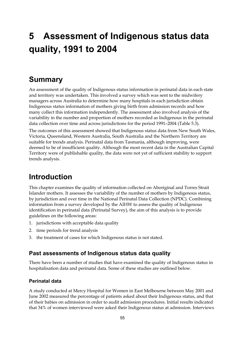# **5 Assessment of Indigenous status data quality, 1991 to 2004**

## **Summary**

An assessment of the quality of Indigenous status information in perinatal data in each state and territory was undertaken. This involved a survey which was sent to the midwifery managers across Australia to determine how many hospitals in each jurisdiction obtain Indigenous status information of mothers giving birth from admission records and how many collect this information independently. The assessment also involved analysis of the variability in the number and proportion of mothers recorded as Indigenous in the perinatal data collection over time and across jurisdictions for the period 1991–2004 (Table 5.3).

The outcomes of this assessment showed that Indigenous status data from New South Wales, Victoria, Queensland, Western Australia, South Australia and the Northern Territory are suitable for trends analysis. Perinatal data from Tasmania, although improving, were deemed to be of insufficient quality. Although the most recent data in the Australian Capital Territory were of publishable quality, the data were not yet of sufficient stability to support trends analysis.

## **Introduction**

This chapter examines the quality of information collected on Aboriginal and Torres Strait Islander mothers. It assesses the variability of the number of mothers by Indigenous status, by jurisdiction and over time in the National Perinatal Data Collection (NPDC). Combining information from a survey developed by the AIHW to assess the quality of Indigenous identification in perinatal data (Perinatal Survey), the aim of this analysis is to provide guidelines on the following areas:

- 1. jurisdictions with acceptable data quality
- 2. time periods for trend analysis
- 3. the treatment of cases for which Indigenous status is not stated.

#### **Past assessments of Indigenous status data quality**

There have been a number of studies that have examined the quality of Indigenous status in hospitalisation data and perinatal data. Some of these studies are outlined below.

#### **Perinatal data**

A study conducted at Mercy Hospital for Women in East Melbourne between May 2001 and June 2002 measured the percentage of patients asked about their Indigenous status, and that of their babies on admission in order to audit admission procedures. Initial results indicated that 34% of women interviewed were asked their Indigenous status at admission. Interviews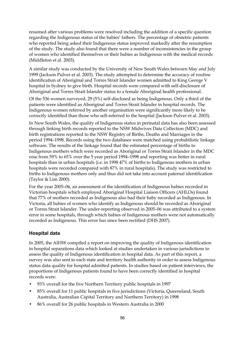resumed after various problems were resolved including the addition of a specific question regarding the Indigenous status of the babies' fathers. The percentage of obstetric patients who reported being asked their Indigenous status improved markedly after the resumption of the study. The study also found that there were a number of inconsistencies in the group of women who identified themselves or their babies as Indigenous with the medical records (Middleton et al. 2003).

A similar study was conducted by the University of New South Wales between May and July 1999 (Jackson Pulver et al. 2003). The study attempted to determine the accuracy of routine identification of Aboriginal and Torres Strait Islander women admitted to King George V hospital in Sydney to give birth. Hospital records were compared with self-disclosure of Aboriginal and Torres Strait Islander status to a female Aboriginal health professional.

Of the 536 women surveyed, 29 (5%) self-disclosed as being Indigenous. Only a third of the patients were identified as Aboriginal and Torres Strait Islander in hospital records. The Indigenous women referred by another organisation were significantly more likely to be correctly identified than those who self-referred to the hospital (Jackson Pulver et al. 2003).

In New South Wales, the quality of Indigenous status in perinatal data has also been assessed through linking birth records reported to the NSW Midwives Data Collection (MDC) and birth registrations reported to the NSW Registry of Births, Deaths and Marriages in the period 1994–1998. Records using the two databases were matched using probabilistic linkage software. The results of the linkage found that the estimated percentage of births to Indigenous mothers which were recorded as Aboriginal or Torres Strait Islander in the MDC rose from 59% to 65% over the 5 year period 1994–1998 and reporting was better in rural hospitals than in urban hospitals (i.e. in 1998 47% of births to Indigenous mothers in urban hospitals were recorded compared with 87% in rural hospitals). The study was restricted to births to Indigenous mothers only and thus did not take into account paternal identification (Taylor & Lim 2000).

For the year 2005–06, an assessment of the identification of Indigenous babies recorded in Victorian hospitals which employed Aboriginal Hospital Liaison Officers (AHLOs) found that 77% of mothers recorded as Indigenous also had their baby recorded as Indigenous. In Victoria, all babies of women who identify as Indigenous should be recorded as Aboriginal or Torres Strait Islander. The under-reporting observed in 2005–06 was attributed to a system error in some hospitals, through which babies of Indigenous mothers were not automatically recorded as Indigenous. This error has since been rectified (DHS 2007).

#### **Hospital data**

In 2005, the AIHW compiled a report on improving the quality of Indigenous identification in hospital separations data which looked at studies undertaken in various jurisdictions to assess the quality of Indigenous identification in hospital data. As part of this report, a survey was also sent to each state and territory health authority in order to assess Indigenous status data quality for hospital admitted patients. In studies based on patient interviews, the proportions of Indigenous patients found to have been correctly identified in hospital records were:

- 93% overall for the five Northern Territory public hospitals in 1997
- 85% overall for 11 public hospitals in five jurisdictions (Victoria, Queensland, South Australia, Australian Capital Territory and Northern Territory) in 1998
- 86% overall for 26 public hospitals in Western Australia in 2000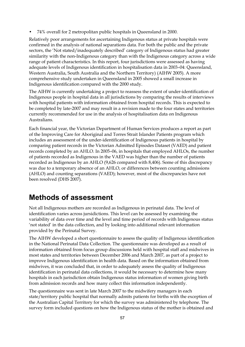• 74% overall for 2 metropolitan public hospitals in Queensland in 2000.

Relatively poor arrangements for ascertaining Indigenous status at private hospitals were confirmed in the analysis of national separations data. For both the public and the private sectors, the 'Not stated/inadequately described' category of Indigenous status had greater similarity with the non-Indigenous category than with the Indigenous category across a wide range of patient characteristics. In this report, four jurisdictions were assessed as having adequate levels of Indigenous identification in hospitalisation data in 2003–04: Queensland, Western Australia, South Australia and the Northern Territory) (AIHW 2005). A more comprehensive study undertaken in Queensland in 2005 showed a small increase in Indigenous identification compared with the 2000 study.

The AIHW is currently undertaking a project to reassess the extent of under-identification of Indigenous people in hospital data in all jurisdictions by comparing the results of interviews with hospital patients with information obtained from hospital records. This is expected to be completed by late-2007 and may result in a revision made to the four states and territories currently recommended for use in the analysis of hospitalisation data on Indigenous Australians.

Each financial year, the Victorian Department of Human Services produces a report as part of the Improving Care for Aboriginal and Torres Strait Islander Patients program which includes an assessment of the under-identification of Indigenous patients in hospital by comparing patient records in the Victorian Admitted Episodes Dataset (VAED) and patient records completed by an AHLO. In 2005–06, in hospitals that employed AHLOs, the number of patients recorded as Indigenous in the VAED was higher than the number of patients recorded as Indigenous by an AHLO (9,626 compared with 8,406). Some of this discrepancy was due to a temporary absence of an AHLO, or differences between counting admissions (AHLO) and counting separations (VAED); however, most of the discrepancies have not been resolved (DHS 2007).

## **Methods of assessment**

Not all Indigenous mothers are recorded as Indigenous in perinatal data. The level of identification varies across jursidictions. This level can be assessed by examining the variability of data over time and the level and time period of records with Indigenous status 'not stated' in the data collection, and by looking into additional relevant information provided by the Perinatal Survey.

The AIHW developed a short questionnaire to assess the quality of Indigenous identification in the National Perinatal Data Collection. The questionnaire was developed as a result of information obtained from focus group discussions held with hospital staff and midwives in most states and territories between December 2006 and March 2007, as part of a project to improve Indigenous identification in health data. Based on the information obtained from midwives, it was concluded that, in order to adequately assess the quality of Indigenous identification in perinatal data collections, it would be necessary to determine how many hospitals in each jurisdiction obtain Indigenous status information of women giving birth from admission records and how many collect this information independently.

The questionnaire was sent in late March 2007 to the midwifery managers in each state/territory public hospital that normally admits patients for births with the exception of the Australian Capital Territory for which the survey was administered by telephone. The survey form included questions on how the Indigenous status of the mother is obtained and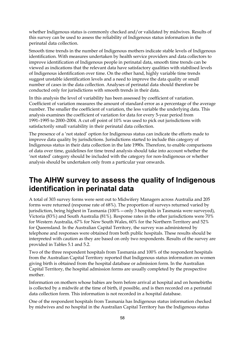whether Indigenous status is commonly checked and/or validated by midwives. Results of this survey can be used to assess the reliability of Indigenous status information in the perinatal data collection.

Smooth time trends in the number of Indigenous mothers indicate stable levels of Indigenous identification. With measures undertaken by health service providers and data collectors to improve identification of Indigenous people in perinatal data, smooth time trends can be viewed as indications that the relevant data have satisfactory qualities with stabilised levels of Indigenous identification over time. On the other hand, highly variable time trends suggest unstable identification levels and a need to improve the data quality or small number of cases in the data collection. Analyses of perinatal data should therefore be conducted only for jurisdictions with smooth trends in their data.

In this analysis the level of variability has been assessed by coefficient of variation. Coefficient of variation measures the amount of standard error as a percentage of the average number. The smaller the coefficient of variation, the less variable the underlying data. This analysis examines the coefficient of variation for data for every 5-year period from 1991–1995 to 2000–2004. A cut off point of 10% was used to pick out jurisdictions with satisfactorily small variability in their perinatal data collection.

The presence of a 'not stated' option for Indigenous status can indicate the efforts made to improve data quality by jurisdictions. Jurisdictions started to include this category of Indigenous status in their data collection in the late 1990s. Therefore, to enable comparisons of data over time, guidelines for time trend analysis should take into account whether the 'not stated' category should be included with the category for non-Indigenous or whether analysis should be undertaken only from a particular year onwards.

## **The AIHW survey to assess the quality of Indigenous identification in perinatal data**

A total of 303 survey forms were sent out to Midwifery Managers across Australia and 205 forms were returned (response rate of 68%). The proportion of surveys returned varied by jurisdiction, being highest in Tasmania (100%—only 3 hospitals in Tasmania were surveyed), Victoria (83%) and South Australia (81%). Response rates in the other jurisdictions were 70% for Western Australia, 67% for New South Wales, 60% for the Northern Territory and 52% for Queensland. In the Australian Capital Territory, the survey was administered by telephone and responses were obtained from both public hospitals. These results should be interpreted with caution as they are based on only two respondents. Results of the survey are provided in Tables 5.1 and 5.2.

Two of the three respondent hospitals from Tasmania and 100% of the respondent hospitals from the Australian Capital Territory reported that Indigenous status information on women giving birth is obtained from the hospital database or admission form. In the Australian Capital Territory, the hospital admission forms are usually completed by the prospective mother.

Information on mothers whose babies are born before arrival at hospital and on homebirths is collected by a midwife at the time of birth, if possible, and is then recorded on a perinatal data collection form. This information is not recorded in a hospital database.

One of the respondent hospitals from Tasmania has Indigenous status information checked by midwives and no hospital in the Australian Capital Territory has the Indigenous status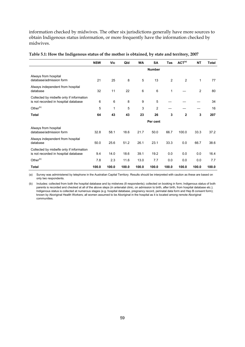information checked by midwives. The other six jurisdictions generally have more sources to obtain Indigenous status information, or more frequently have the information checked by midwives.

|                                                                                  | <b>NSW</b> | Vic   | Qld   | <b>WA</b> | SA            | Tas   | ACT <sup>(a)</sup> | <b>NT</b> | <b>Total</b> |
|----------------------------------------------------------------------------------|------------|-------|-------|-----------|---------------|-------|--------------------|-----------|--------------|
|                                                                                  |            |       |       |           | <b>Number</b> |       |                    |           |              |
| Always from hospital<br>database/admission form                                  | 21         | 25    | 8     | 5         | 13            | 2     | 2                  | 1         | 77           |
| Always independent from hospital<br>database                                     | 32         | 11    | 22    | 6         | 6             | 1     |                    | 2         | 80           |
| Collected by midwife only if information<br>is not recorded in hospital database | 6          | 6     | 8     | 9         | 5             |       |                    |           | 34           |
| Other <sup>(b)</sup>                                                             | 5          | 1     | 5     | 3         | 2             |       |                    |           | 16           |
| <b>Total</b>                                                                     | 64         | 43    | 43    | 23        | 26            | 3     | $\mathbf{2}$       | 3         | 207          |
|                                                                                  |            |       |       |           | Per cent      |       |                    |           |              |
| Always from hospital<br>database/admission form                                  | 32.8       | 58.1  | 18.6  | 21.7      | 50.0          | 66.7  | 100.0              | 33.3      | 37.2         |
| Always independent from hospital<br>database                                     | 50.0       | 25.6  | 51.2  | 26.1      | 23.1          | 33.3  | 0.0                | 66.7      | 38.6         |
| Collected by midwife only if information<br>is not recorded in hospital database | 9.4        | 14.0  | 18.6  | 39.1      | 19.2          | 0.0   | 0.0                | 0.0       | 16.4         |
| Other <sup>(b)</sup>                                                             | 7.8        | 2.3   | 11.6  | 13.0      | 7.7           | 0.0   | 0.0                | 0.0       | 7.7          |
| <b>Total</b>                                                                     | 100.0      | 100.0 | 100.0 | 100.0     | 100.0         | 100.0 | 100.0              | 100.0     | 100.0        |

#### **Table 5.1: How the Indigenous status of the mother is obtained, by state and territory, 2007**

(a) Survey was administered by telephone in the Australian Capital Territory. Results should be interpreted with caution as these are based on only two respondents.

(b) Includes: collected from both the hospital database and by midwives (8 respondents); collected on booking in form; Indigenous status of both parents is recorded and checked at all of the above steps (in antenatal clinic, on admission to birth, after birth, from hospital database etc.); Indigenous status is collected at numerous stages (e.g. hospital database, pregnancy record, perinatal data form and Hep B consent form); known by Aboriginal Health Workers; all women assumed to be Aboriginal in the hospital as it is located among remote Aboriginal communities.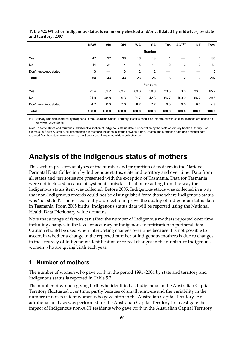|                       | <b>NSW</b> | Vic   | Qld   | <b>WA</b>      | SA             | Tas            | ACT <sup>(a)</sup> | <b>NT</b>      | <b>Total</b> |
|-----------------------|------------|-------|-------|----------------|----------------|----------------|--------------------|----------------|--------------|
|                       |            |       |       |                | <b>Number</b>  |                |                    |                |              |
| Yes                   | 47         | 22    | 36    | 16             | 13             | 1              |                    | 1              | 136          |
| No                    | 14         | 21    | 4     | 5              | 11             | $\overline{2}$ | $\overline{2}$     | $\overline{2}$ | 61           |
| Don't know/not stated | 3          |       | 3     | $\overline{2}$ | $\overline{2}$ |                |                    |                | 10           |
| <b>Total</b>          | 64         | 43    | 43    | 23             | 26             | 3              | $\mathbf{2}$       | 3              | 207          |
|                       |            |       |       |                | Per cent       |                |                    |                |              |
| Yes                   | 73.4       | 51.2  | 83.7  | 69.6           | 50.0           | 33.3           | 0.0                | 33.3           | 65.7         |
| No                    | 21.9       | 48.8  | 9.3   | 21.7           | 42.3           | 66.7           | 100.0              | 66.7           | 29.5         |
| Don't know/not stated | 4.7        | 0.0   | 7.0   | 8.7            | 7.7            | 0.0            | 0.0                | 0.0            | 4.8          |
| <b>Total</b>          | 100.0      | 100.0 | 100.0 | 100.0          | 100.0          | 100.0          | 100.0              | 100.0          | 100.0        |

**Table 5.2: Whether Indigenous status is commonly checked and/or validated by midwives, by state and territory, 2007** 

(a) Survey was administered by telephone in the Australian Capital Territory. Results should be interpreted with caution as these are based on only two respondents.

*Note:* In some states and territories, additional validation of Indigenous status data is undertaken by the state or territory health authority. For example, in South Australia, all discrepancies in mother's Indigenous status between Births, Deaths and Marriages data and perinatal data received from hospitals are checked by the South Australian perinatal data collection unit.

## **Analysis of the Indigenous status of mothers**

This section presents analyses of the number and proportion of mothers in the National Perinatal Data Collection by Indigenous status, state and territory and over time. Data from all states and territories are presented with the exception of Tasmania. Data for Tasmania were not included because of systematic misclassification resulting from the way the Indigenous status item was collected. Before 2005, Indigenous status was collected in a way that non-Indigenous records could not be distinguished from those where Indigenous status was 'not stated'. There is currently a project to improve the quality of Indigenous status data in Tasmania. From 2005 births, Indigenous status data will be reported using the National Health Data Dictionary value domains.

Note that a range of factors can affect the number of Indigenous mothers reported over time including changes in the level of accuracy of Indigenous identification in perinatal data. Caution should be used when interpreting changes over time because it is not possible to ascertain whether a change in the reported number of Indigenous mothers is due to changes in the accuracy of Indigenous identification or to real changes in the number of Indigenous women who are giving birth each year.

#### **1. Number of mothers**

The number of women who gave birth in the period 1991–2004 by state and territory and Indigenous status is reported in Table 5.3.

The number of women giving birth who identified as Indigenous in the Australian Capital Territory fluctuated over time, partly because of small numbers and the variability in the number of non-resident women who gave birth in the Australian Capital Territory. An additional analysis was performed for the Australian Capital Territory to investigate the impact of Indigenous non-ACT residents who gave birth in the Australian Capital Territory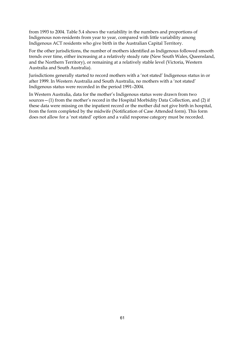from 1993 to 2004. Table 5.4 shows the variability in the numbers and proportions of Indigenous non-residents from year to year, compared with little variability among Indigenous ACT residents who give birth in the Australian Capital Territory.

For the other jurisdictions, the number of mothers identified as Indigenous followed smooth trends over time, either increasing at a relatively steady rate (New South Wales, Queensland, and the Northern Territory), or remaining at a relatively stable level (Victoria, Western Australia and South Australia).

Jurisdictions generally started to record mothers with a 'not stated' Indigenous status in or after 1999. In Western Australia and South Australia, no mothers with a 'not stated' Indigenous status were recorded in the period 1991–2004.

In Western Australia, data for the mother's Indigenous status were drawn from two sources—(1) from the mother's record in the Hospital Morbidity Data Collection, and (2) if these data were missing on the inpatient record or the mother did not give birth in hospital, from the form completed by the midwife (Notification of Case Attended form). This form does not allow for a 'not stated' option and a valid response category must be recorded.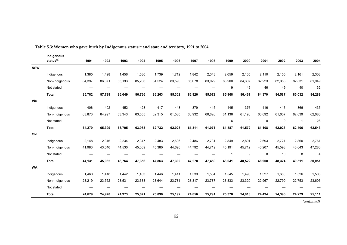|            | Indigenous     |        |        |        |        |        |        |        |        |              |             |          |             |        |                |
|------------|----------------|--------|--------|--------|--------|--------|--------|--------|--------|--------------|-------------|----------|-------------|--------|----------------|
|            | status $(a)$   | 1991   | 1992   | 1993   | 1994   | 1995   | 1996   | 1997   | 1998   | 1999         | 2000        | 2001     | 2002        | 2003   | 2004           |
| <b>NSW</b> |                |        |        |        |        |        |        |        |        |              |             |          |             |        |                |
|            | Indigenous     | 1,385  | 1,428  | 1,456  | 1,530  | 1,739  | 1,712  | 1,842  | 2,043  | 2,059        | 2,105       | 2,110    | 2,155       | 2,161  | 2,308          |
|            | Non-Indigenous | 84,397 | 86,371 | 85,193 | 85,206 | 84,524 | 83,590 | 85,078 | 83,029 | 83,900       | 84,307      | 82,223   | 82,383      | 82,831 | 81,949         |
|            | Not stated     | —      |        |        |        |        |        |        |        | 9            | 49          | 46       | 49          | 40     | 32             |
|            | <b>Total</b>   | 85,782 | 87,799 | 86,649 | 86,736 | 86,263 | 85,302 | 86,920 | 85,072 | 85,968       | 86,461      | 84,379   | 84,587      | 85,032 | 84,289         |
| Vic        |                |        |        |        |        |        |        |        |        |              |             |          |             |        |                |
|            | Indigenous     | 406    | 402    | 452    | 428    | 417    | 448    | 379    | 445    | 445          | 376         | 416      | 416         | 366    | 435            |
|            | Non-Indigenous | 63,873 | 64,997 | 63,343 | 63,555 | 62,315 | 61,580 | 60,932 | 60,626 | 61.136       | 61,196      | 60,692   | 61,607      | 62,039 | 62,080         |
|            | Not stated     |        |        |        |        |        |        |        |        | 6            | $\mathsf 0$ | $\Omega$ | $\mathbf 0$ | -1     | 28             |
|            | <b>Total</b>   | 64,279 | 65,399 | 63,795 | 63,983 | 62,732 | 62,028 | 61,311 | 61,071 | 61,587       | 61,572      | 61,108   | 62,023      | 62,406 | 62,543         |
| Qld        |                |        |        |        |        |        |        |        |        |              |             |          |             |        |                |
|            | Indigenous     | 2,148  | 2,316  | 2,234  | 2,347  | 2,483  | 2,606  | 2,486  | 2,731  | 2,849        | 2,801       | 2,693    | 2,721       | 2,860  | 2,767          |
|            | Non-Indigenous | 41,983 | 43,646 | 44,530 | 45,009 | 45,380 | 44,696 | 44,792 | 44,719 | 45,191       | 45,712      | 46,207   | 45,593      | 46,643 | 47,280         |
|            | Not stated     |        |        |        |        |        |        |        |        | $\mathbf{1}$ | 9           | 8        | 10          | 8      | $\overline{4}$ |
|            | <b>Total</b>   | 44,131 | 45,962 | 46,764 | 47,356 | 47,863 | 47,302 | 47,278 | 47,450 | 48,041       | 48,522      | 48,908   | 48,324      | 49,511 | 50,051         |
| <b>WA</b>  |                |        |        |        |        |        |        |        |        |              |             |          |             |        |                |
|            | Indigenous     | 1,460  | 1,418  | 1,442  | 1,433  | 1,446  | 1,411  | 1,539  | 1,504  | 1,545        | 1,498       | 1,527    | 1,606       | 1,526  | 1,505          |
|            | Non-Indigenous | 23,219 | 23,552 | 23,531 | 23,638 | 23,644 | 23,781 | 23,317 | 23,787 | 23,833       | 23,320      | 22,967   | 22,790      | 22,753 | 23,606         |
|            | Not stated     |        |        |        |        |        |        |        |        |              |             |          |             |        |                |
|            | <b>Total</b>   | 24,679 | 24,970 | 24,973 | 25,071 | 25,090 | 25,192 | 24,856 | 25,291 | 25,378       | 24,818      | 24,494   | 24,396      | 24,279 | 25,111         |

Table 5.3: Women who gave birth by Indigenous status<sup>(a)</sup> and state and territory, 1991 to 2004

*(continued)*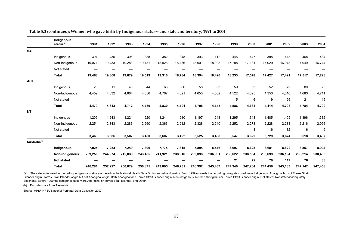|                          | Indigenous<br>status <sup>(a)</sup> | 1991    | 1992    | 1993    | 1994    | 1995    | 1996    | 1997    | 1998    | 1999    | 2000    | 2001    | 2002    | 2003    | 2004    |
|--------------------------|-------------------------------------|---------|---------|---------|---------|---------|---------|---------|---------|---------|---------|---------|---------|---------|---------|
| <b>SA</b>                |                                     |         |         |         |         |         |         |         |         |         |         |         |         |         |         |
|                          | Indigenous                          | 397     | 435     | 396     | 388     | 382     | 348     | 393     | 412     | 445     | 447     | 398     | 443     | 468     | 484     |
|                          | Non-Indigenous                      | 19,071  | 19,433  | 19,283  | 19,131  | 18,928  | 18,436  | 18,001  | 18,008  | 17,788  | 17,131  | 17,029  | 16,978  | 17,049  | 16,744  |
|                          | Not stated                          |         |         |         |         |         |         |         |         |         |         |         |         |         |         |
|                          | <b>Total</b>                        | 19,468  | 19,868  | 19,679  | 19,519  | 19,310  | 18,784  | 18,394  | 18,420  | 18,233  | 17,578  | 17,427  | 17,421  | 17,517  | 17,228  |
| <b>ACT</b>               |                                     |         |         |         |         |         |         |         |         |         |         |         |         |         |         |
|                          | Indigenous                          | 20      | 11      | 48      | 44      | 63      | 80      | 58      | 63      | 59      | 53      | 52      | 72      | 80      | 73      |
|                          | Non-Indigenous                      | 4,459   | 4,632   | 4,664   | 4,686   | 4,767   | 4,621   | 4,650   | 4,582   | 4,522   | 4,625   | 4,353   | 4,610   | 4,683   | 4,711   |
|                          | Not stated                          |         |         |         |         |         |         |         |         | 5       | 6       | 9       | 26      | 21      | 15      |
|                          | <b>Total</b>                        | 4,479   | 4,643   | 4,712   | 4,730   | 4,830   | 4,701   | 4,708   | 4,645   | 4,586   | 4,684   | 4,414   | 4,708   | 4,784   | 4,799   |
| <b>NT</b>                |                                     |         |         |         |         |         |         |         |         |         |         |         |         |         |         |
|                          | Indigenous                          | 1,209   | 1,243   | 1,221   | 1,220   | 1,244   | 1,210   | 1,197   | 1,248   | 1,295   | 1,348   | 1,485   | 1,409   | 1,396   | 1,332   |
|                          | Non-Indigenous                      | 2,254   | 2,343   | 2,286   | 2,260   | 2,363   | 2,212   | 2,328   | 2,240   | 2,252   | 2,273   | 2,228   | 2,233   | 2,216   | 2,096   |
|                          | Not stated                          | —       |         |         |         |         |         |         |         |         | 8       | 16      | 32      | 6       | 9       |
|                          | <b>Total</b>                        | 3,463   | 3,586   | 3,507   | 3,480   | 3,607   | 3,422   | 3,525   | 3,488   | 3,547   | 3,629   | 3,729   | 3,674   | 3,618   | 3,437   |
| Australia <sup>(b)</sup> |                                     |         |         |         |         |         |         |         |         |         |         |         |         |         |         |
|                          | Indigenous                          | 7,025   | 7,253   | 7,249   | 7,390   | 7,774   | 7,815   | 7,894   | 8,446   | 8,697   | 8.628   | 8,681   | 8.822   | 8,857   | 8,904   |
|                          | Non-Indigenous                      | 239,256 | 244,974 | 242,830 | 243,485 | 241,921 | 238,916 | 239,098 | 236,991 | 238,622 | 238,564 | 235,699 | 236,194 | 238,214 | 238,466 |
|                          | <b>Not stated</b>                   |         |         |         |         |         |         |         |         | 21      | 72      | 79      | 117     | 76      | 88      |
|                          | <b>Total</b>                        | 246,281 | 252,227 | 250,079 | 250,875 | 249,695 | 246,731 | 246,992 | 245,437 | 247,340 | 247,264 | 244,459 | 245,133 | 247,147 | 247,458 |

Table 5.3 (continued): Women who gave birth by Indigenous status<sup>(a)</sup> and state and territory, 1991 to 2004

(a) The categories used for recording Indigenous status are based on the National Health Data Dictionary value domains. From 1999 onwards the recording categories used were Indigenous: Aboriginal but not Torres Strait Islander origin, Torres Strait Islander origin but not Aboriginal origin, Both Aboriginal and Torres Strait Islander origin; Non-Indigenous: Neither Aboriginal nor Torres Strait Islander origin; Not stated. Not stated/inad described. Before 1999 the categories used were Aboriginal or Torres Strait Islander, and Other.

(b) Excludes data from Tasmania.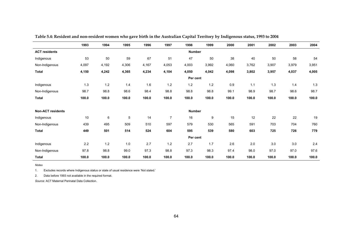|                          | 1993  | 1994  | 1995        | 1996  | 1997           | 1998          | 1999  | 2000  | 2001  | 2002  | 2003  | 2004  |
|--------------------------|-------|-------|-------------|-------|----------------|---------------|-------|-------|-------|-------|-------|-------|
| <b>ACT residents</b>     |       |       |             |       |                | <b>Number</b> |       |       |       |       |       |       |
| Indigenous               | 53    | 50    | 59          | 67    | 51             | 47            | 50    | 38    | 40    | 50    | 58    | 54    |
| Non-Indigenous           | 4,097 | 4,192 | 4,306       | 4,167 | 4,053          | 4,003         | 3,992 | 4,060 | 3,762 | 3,907 | 3,979 | 3,951 |
| <b>Total</b>             | 4,150 | 4,242 | 4,365       | 4,234 | 4,104          | 4,050         | 4,042 | 4,098 | 3,802 | 3,957 | 4,037 | 4,005 |
|                          |       |       |             |       |                | Per cent      |       |       |       |       |       |       |
| Indigenous               | $1.3$ | 1.2   | 1.4         | 1.6   | 1.2            | $1.2$         | 1.2   | 0.9   | 1.1   | 1.3   | 1.4   | 1.3   |
| Non-Indigenous           | 98.7  | 98.8  | 98.6        | 98.4  | 98.8           | 98.8          | 98.8  | 99.1  | 98.9  | 98.7  | 98.6  | 98.7  |
| <b>Total</b>             | 100.0 | 100.0 | 100.0       | 100.0 | 100.0          | 100.0         | 100.0 | 100.0 | 100.0 | 100.0 | 100.0 | 100.0 |
|                          |       |       |             |       |                |               |       |       |       |       |       |       |
| <b>Non-ACT residents</b> |       |       |             |       |                | <b>Number</b> |       |       |       |       |       |       |
| Indigenous               | 10    | 6     | $\mathbf 5$ | 14    | $\overline{7}$ | 16            | 9     | 15    | 12    | 22    | 22    | 19    |
| Non-Indigenous           | 439   | 495   | 509         | 510   | 597            | 579           | 530   | 565   | 591   | 703   | 704   | 760   |
| <b>Total</b>             | 449   | 501   | 514         | 524   | 604            | 595           | 539   | 580   | 603   | 725   | 726   | 779   |
|                          |       |       |             |       |                | Per cent      |       |       |       |       |       |       |
| Indigenous               | 2.2   | 1.2   | 1.0         | 2.7   | 1.2            | 2.7           | 1.7   | 2.6   | 2.0   | 3.0   | 3.0   | 2.4   |
| Non-Indigenous           | 97.8  | 98.8  | 99.0        | 97.3  | 98.8           | 97.3          | 98.3  | 97.4  | 98.0  | 97.0  | 97.0  | 97.6  |
| <b>Total</b>             | 100.0 | 100.0 | 100.0       | 100.0 | 100.0          | 100.0         | 100.0 | 100.0 | 100.0 | 100.0 | 100.0 | 100.0 |

**Table 5.4: Resident and non-resident women who gave birth in the Australian Capital Territory by Indigenous status, 1993 to 2004** 

*Notes* 

1. Excludes records where Indigenous status or state of usual residence were 'Not stated.'

2. Data before 1993 not available in the required format.

<span id="page-73-1"></span><span id="page-73-0"></span>*Source:* ACT Maternal Perinatal Data Collection.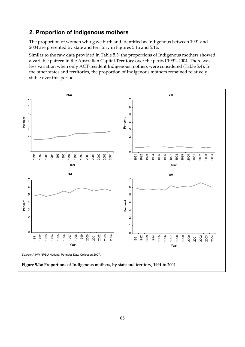#### <span id="page-74-0"></span>**2. Proportion of Indigenous mothers**

The proportion of women who gave birth and identified as Indigenous between 1991 and 2004 are presented by state and territory in Figures 5.1a and 5.1b.

Similar to the raw data provided in Table 5.3, the proportions of Indigenous mothers showed a variable pattern in the Australian Capital Territory over the period 1991–2004. There was less variation when only ACT-resident Indigenous mothers were considered (Table 5.4). In the other states and territories, the proportion of Indigenous mothers remained relatively stable over this period.

<span id="page-74-1"></span>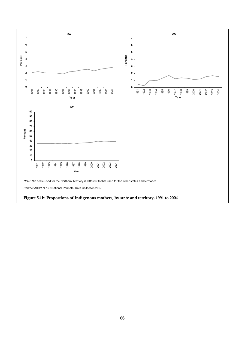<span id="page-75-1"></span><span id="page-75-0"></span>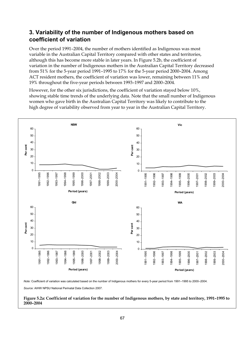#### <span id="page-76-0"></span>**3. Variability of the number of Indigenous mothers based on coefficient of variation**

Over the period 1991–2004, the number of mothers identified as Indigenous was most variable in the Australian Capital Territory compared with other states and territories, although this has become more stable in later years. In Figure 5.2b, the coefficient of variation in the number of Indigenous mothers in the Australian Capital Territory decreased from 51% for the 5-year period 1991–1995 to 17% for the 5-year period 2000–2004. Among ACT resident mothers, the coefficient of variation was lower, remaining between 11% and 19% throughout the five-year periods between 1993–1997 and 2000–2004.

However, for the other six jurisdictions, the coefficient of variation stayed below 10%, showing stable time trends of the underlying data. Note that the small number of Indigenous women who gave birth in the Australian Capital Territory was likely to contribute to the high degree of variability observed from year to year in the Australian Capital Territory.



*Note:* Coefficient of variation was calculated based on the number of Indigenous mothers for every 5-year period from 1991–1995 to 2000–2004.

*Source:* AIHW NPSU National Perinatal Data Collection 2007.

#### <span id="page-76-1"></span>**Figure 5.2a: Coefficient of variation for the number of Indigenous mothers, by state and territory, 1991–1995 to 2000–2004**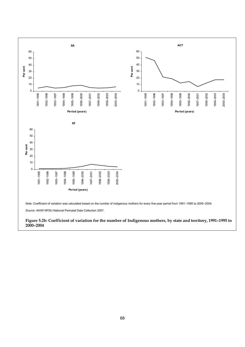<span id="page-77-0"></span>

#### <span id="page-77-1"></span>68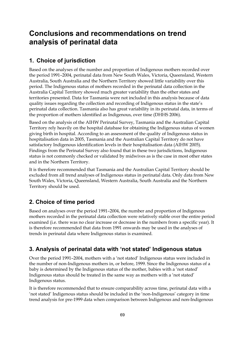### **Conclusions and recommendations on trend analysis of perinatal data**

#### **1. Choice of jurisdiction**

Based on the analyses of the number and proportion of Indigenous mothers recorded over the period 1991–2004, perinatal data from New South Wales, Victoria, Queensland, Western Australia, South Australia and the Northern Territory showed little variability over this period. The Indigenous status of mothers recorded in the perinatal data collection in the Australia Capital Territory showed much greater variability than the other states and territories presented. Data for Tasmania were not included in this analysis because of data quality issues regarding the collection and recording of Indigenous status in the state's perinatal data collection. Tasmania also has great variability in its perinatal data, in terms of the proportion of mothers identified as Indigenous, over time (DHHS 2006).

Based on the analysis of the AIHW Perinatal Survey, Tasmania and the Australian Capital Territory rely heavily on the hospital database for obtaining the Indigenous status of women giving birth in hospital. According to an assessment of the quality of Indigenous status in hospitalisation data in 2005, Tasmania and the Australian Capital Territory do not have satisfactory Indigenous identification levels in their hospitalisation data (AIHW 2005). Findings from the Perinatal Survey also found that in these two jurisdictions, Indigenous status is not commonly checked or validated by midwives as is the case in most other states and in the Northern Territory.

It is therefore recommended that Tasmania and the Australian Capital Territory should be excluded from all trend analyses of Indigenous status in perinatal data. Only data from New South Wales, Victoria, Queensland, Western Australia, South Australia and the Northern Territory should be used.

### **2. Choice of time period**

Based on analyses over the period 1991–2004, the number and proportion of Indigenous mothers recorded in the perinatal data collection were relatively stable over the entire period examined (i.e. there was no clear increase or decrease in the numbers from a specific year). It is therefore recommended that data from 1991 onwards may be used in the analyses of trends in perinatal data where Indigenous status is examined.

### **3. Analysis of perinatal data with 'not stated' Indigenous status**

Over the period 1991–2004, mothers with a 'not stated' Indigenous status were included in the number of non-Indigenous mothers in, or before, 1999. Since the Indigenous status of a baby is determined by the Indigenous status of the mother, babies with a 'not stated' Indigenous status should be treated in the same way as mothers with a 'not stated' Indigenous status.

It is therefore recommended that to ensure comparability across time, perinatal data with a 'not stated' Indigenous status should be included in the 'non-Indigenous' category in time trend analysis for pre-1999 data when comparison between Indigenous and non-Indigenous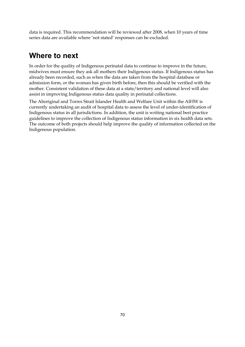data is required. This recommendation will be reviewed after 2008, when 10 years of time series data are available where 'not stated' responses can be excluded.

### **Where to next**

In order for the quality of Indigenous perinatal data to continue to improve in the future, midwives must ensure they ask all mothers their Indigenous status. If Indigenous status has already been recorded, such as when the data are taken from the hospital database or admission form, or the woman has given birth before, then this should be verified with the mother. Consistent validation of these data at a state/territory and national level will also assist in improving Indigenous status data quality in perinatal collections.

The Aboriginal and Torres Strait Islander Health and Welfare Unit within the AIHW is currently undertaking an audit of hospital data to assess the level of under-identification of Indigenous status in all jurisdictions. In addition, the unit is writing national best practice guidelines to improve the collection of Indigenous status information in six health data sets. The outcome of both projects should help improve the quality of information collected on the Indigenous population.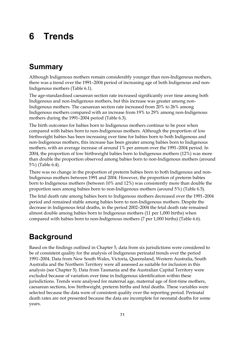# **6 Trends**

## **Summary**

Although Indigenous mothers remain considerably younger than non-Indigenous mothers, there was a trend over the 1991–2004 period of increasing age of both Indigenous and non-Indigenous mothers (Table 6.1).

The age-standardised caesarean section rate increased significantly over time among both Indigenous and non-Indigenous mothers, but this increase was greater among non-Indigenous mothers. The caesarean section rate increased from 20% to 26% among Indigenous mothers compared with an increase from 19% to 29% among non-Indigenous mothers during the 1991–2004 period (Table 6.3).

The birth outcomes for babies born to Indigenous mothers continue to be poor when compared with babies born to non-Indigenous mothers. Although the proportion of low birthweight babies has been increasing over time for babies born to both Indigenous and non-Indigenous mothers, this increase has been greater among babies born to Indigenous mothers, with an average increase of around 1% per annum over the 1991–2004 period. In 2004, the proportion of low birthweight babies born to Indigenous mothers (12%) was more than double the proportion observed among babies born to non-Indigenous mothers (around 5%) (Table 6.4).

There was no change in the proportion of preterm babies born to both Indigenous and non-Indigenous mothers between 1991 and 2004. However, the proportion of preterm babies born to Indigenous mothers (between 10% and 12%) was consistently more than double the proportion seen among babies born to non-Indigenous mothers (around 5%) (Table 6.5).

The fetal death rate among babies born to Indigenous mothers decreased over the 1991–2004 period and remained stable among babies born to non-Indigenous mothers. Despite the decrease in Indigenous fetal deaths, in the period 2002–2004 the fetal death rate remained almost double among babies born to Indigenous mothers (11 per 1,000 births) when compared with babies born to non-Indigenous mothers (7 per 1,000 births) (Table 6.6).

## **Background**

Based on the findings outlined in Chapter 5, data from six jurisdictions were considered to be of consistent quality for the analysis of Indigenous perinatal trends over the period 1991–2004. Data from New South Wales, Victoria, Queensland, Western Australia, South Australia and the Northern Territory were all assessed as suitable for inclusion in this analysis (see Chapter 5). Data from Tasmania and the Australian Capital Territory were excluded because of variation over time in Indigenous identification within these jurisdictions. Trends were analysed for maternal age, maternal age of first-time mothers, caesarean sections, low birthweight, preterm births and fetal deaths. These variables were selected because the data were of consistent quality over the reporting period. Perinatal death rates are not presented because the data are incomplete for neonatal deaths for some years.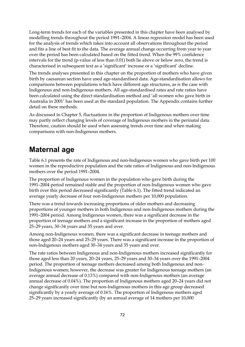Long-term trends for each of the variables presented in this chapter have been analysed by modelling trends throughout the period 1991–2004. A linear regression model has been used for the analysis of trends which takes into account all observations throughout the period and fits a line of best fit to the data. The average annual change occurring from year to year over the period has been calculated based on the fitted trend. When the 99% confidence intervals for the trend (p-value of less than 0.01) both lie above or below zero, the trend is characterised in subsequent text as a 'significant' increase or a 'significant' decline.

The trends analyses presented in this chapter on the proportion of mothers who have given birth by caesarean section have used age-standardised data. Age-standardisation allows for comparisons between populations which have different age structures, as is the case with Indigenous and non-Indigenous mothers. All age-standardised rates and rate ratios have been calculated using the direct standardisation method and 'all women who gave birth in Australia in 2001' has been used as the standard population. The Appendix contains further detail on these methods.

As discussed in Chapter 5, fluctuations in the proportion of Indigenous mothers over time may partly reflect changing levels of coverage of Indigenous mothers in the perinatal data. Therefore, caution should be used when assessing trends over time and when making comparisons with non-Indigenous mothers.

### **Maternal age**

Table 6.1 presents the rate of Indigenous and non-Indigenous women who gave birth per 100 women in the reproductive population and the rate ratios of Indigenous and non-Indigenous mothers over the period 1991–2004.

The proportion of Indigenous women in the population who gave birth during the 1991–2004 period remained stable and the proportion of non-Indigenous women who gave birth over this period decreased significantly (Table 6.1). The fitted trend indicated an average yearly decrease of four non-Indigenous mothers per 10,000 population.

There was a trend towards increasing proportions of older mothers and decreasing proportions of younger mothers in both Indigenous and non-Indigenous mothers during the 1991–2004 period. Among Indigenous women, there was a significant decrease in the proportion of teenage mothers and a significant increase in the proportion of mothers aged 25–29 years, 30–34 years and 35 years and over.

Among non-Indigenous women, there was a significant decrease in teenage mothers and those aged 20–24 years and 25–29 years. There was a significant increase in the proportion of non-Indigenous mothers aged 30–34 years and 35 years and over.

The rate ratios between Indigenous and non-Indigenous mothers increased significantly for those aged less than 20 years, 20–24 years, 25–29 years and 30–34 years over the 1991–2004 period. The proportion of teenage mothers decreased among both Indigenous and non-Indigenous women; however, the decrease was greater for Indigenous teenage mothers (an average annual decrease of 0.13%) compared with non-Indigenous mothers (an average annual decrease of 0.04%). The proportion of Indigenous mothers aged 20–24 years did not change significantly over time but non-Indigenous mothers in this age group decreased significantly by a yearly average of 0.16%. The proportion of Indigenous mothers aged 25–29 years increased significantly (by an annual average of 14 mothers per 10,000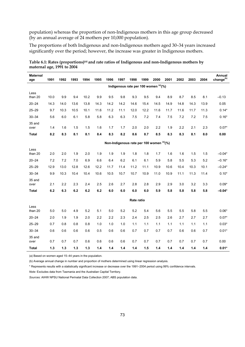<span id="page-82-0"></span>population) whereas the proportion of non-Indigenous mothers in this age group decreased (by an annual average of 24 mothers per 10,000 population).

The proportions of both Indigenous and non-Indigenous mothers aged 30–34 years increased significantly over the period; however, the increase was greater in Indigenous mothers.

| <b>Maternal</b><br>age | 1991  | 1992  | 1993 | 1994  | 1995 | 1996 | 1997                                     | 1998       | 1999 | 2000 | 2001 | 2002  | 2003 | 2004 | Annual<br>change <sup>(b)</sup> |
|------------------------|-------|-------|------|-------|------|------|------------------------------------------|------------|------|------|------|-------|------|------|---------------------------------|
|                        |       |       |      |       |      |      | Indigenous rate per 100 women (a)(%)     |            |      |      |      |       |      |      |                                 |
| Less<br>than 20        | 10.0  | 9.9   | 9.4  | 10.2  | 9.9  | 9.5  | 9.8                                      | 9.3        | 9.5  | 9.4  | 8.9  | 8.7   | 8.5  | 8.1  | $-0.13$                         |
| $20 - 24$              | 14.3  | 14.0  | 13.6 | 13.8  | 14.3 | 14.2 | 14.2                                     | 14.6       | 15.4 | 14.5 | 14.9 | 14.8  | 14.3 | 13.9 | 0.05                            |
| $25 - 29$              | 9.7   | 10.3  | 10.5 | 10.1  | 11.6 | 11.2 | 11.1                                     | 12.0       | 12.2 | 11.6 | 11.7 | 11.6  | 11.7 | 11.3 | $0.14*$                         |
| $30 - 34$              | 5.6   | 6.0   | 6.1  | 5.8   | 5.8  | 6.3  | 6.3                                      | 7.5        | 7.2  | 7.4  | 7.5  | 7.2   | 7.2  | 7.5  | $0.16*$                         |
| 35 and<br>over         | 1.4   | 1.6   | 1.5  | 1.5   | 1.6  | 1.7  | 1.7                                      | 2.0        | 2.0  | 2.2  | 1.9  | 2.2   | 2.1  | 2.3  | $0.07*$                         |
| <b>Total</b>           | 8.2   | 8.3   | 8.1  | 8.1   | 8.4  | 8.3  | 8.2                                      | 8.6        | 8.7  | 8.5  | 8.3  | 8.3   | 8.1  | 8.0  | 0.00                            |
|                        |       |       |      |       |      |      | Non-Indigenous rate per 100 women (a)(%) |            |      |      |      |       |      |      |                                 |
| Less<br>than 20        | 2.0   | 2.0   | 1.9  | 2.0   | 1.9  | 1.9  | 1.9                                      | 1.8        | 1.8  | 1.7  | 1.6  | 1.6   | 1.5  | 1.5  | $-0.04*$                        |
| $20 - 24$              | 7.2   | 7.2   | 7.0  | 6.9   | 6.6  | 6.4  | 6.2                                      | 6.1        | 6.1  | 5.9  | 5.8  | 5.5   | 5.3  | 5.2  | $-0.16*$                        |
|                        | 12.9  | 13.0  | 12.8 | 12.6  |      | 11.7 | 11.4                                     | 11.2       |      | 10.9 | 10.6 | 10.4  | 10.3 | 10.1 |                                 |
| $25 - 29$              |       |       |      |       | 12.2 |      |                                          |            | 11.1 |      |      |       |      |      | $-0.24*$                        |
| $30 - 34$              | 9.9   | 10.3  | 10.4 | 10.4  | 10.6 | 10.5 | 10.7                                     | 10.7       | 10.9 | 11.0 | 10.9 | 11.1  | 11.3 | 11.4 | $0.10*$                         |
| 35 and<br>over         | 2.1   | 2.2   | 2.3  | 2.4   | 2.5  | 2.6  | 2.7                                      | 2.8        | 2.8  | 2.9  | 2.9  | 3.0   | 3.2  | 3.3  | $0.09*$                         |
| <b>Total</b>           | 6.2   | 6.3   | 6.2  | 6.2   | 6.2  | 6.0  | 6.0                                      | 6.0        | 6.0  | 5.9  | 5.8  | 5.8   | 5.8  | 5.8  | $-0.04*$                        |
|                        |       |       |      |       |      |      |                                          | Rate ratio |      |      |      |       |      |      |                                 |
| Less<br>than 20        | 5.0   | 5.0   | 4.9  | 5.2   | 5.1  | 5.0  | 5.2                                      | 5.2        | 5.4  | 5.6  | 5.5  | 5.5   | 5.8  | 5.5  | $0.06*$                         |
| $20 - 24$              | 2.0   | 1.9   | 1.9  | 2.0   | 2.2  | 2.2  | 2.3                                      | 2.4        | 2.5  | 2.5  | 2.6  | 2.7   | 2.7  | 2.7  | $0.07*$                         |
| $25 - 29$              | 0.7   | 0.8   | 0.8  | 0.8   | 1.0  | 1.0  | 1.0                                      | 1.1        | 1.1  | 1.1  | 1.1  | 1.1   | 1.1  | 1.1  | $0.03*$                         |
| $30 - 34$              | 0.6   | 0.6   | 0.6  | 0.6   | 0.5  | 0.6  | 0.6                                      | 0.7        | 0.7  | 0.7  | 0.7  | 0.6   | 0.6  | 0.7  | $0.01*$                         |
| 35 and<br>over         | 0.7   | 0.7   | 0.7  | 0.6   | 0.6  | 0.6  | 0.6                                      | 0.7        | 0.7  | 0.7  | 0.7  | 0.7   | 0.7  | 0.7  | 0.00                            |
| <b>Total</b>           | $1.3$ | $1.3$ | 1.3  | $1.3$ | 1.4  | 1.4  | $1.4$                                    | 1.4        | 1.5  | 1.4  | 1.4  | $1.4$ | 1.4  | 1.4  | $0.01*$                         |

<span id="page-82-1"></span>**Table 6.1: Rates (proportions)(a) and rate ratios of Indigenous and non-Indigenous mothers by maternal age, 1991 to 2004** 

(a) Based on women aged 15–44 years in the population.

(b) Average annual change in number and proportion of mothers determined using linear regression analysis.

\* Represents results with a statistically significant increase or decrease over the 1991–2004 period using 99% confidence intervals.

*Note:* Excludes data from Tasmania and the Australian Capital Territory.

*Sources:* AIHW NPSU National Perinatal Data Collection 2007; ABS population data.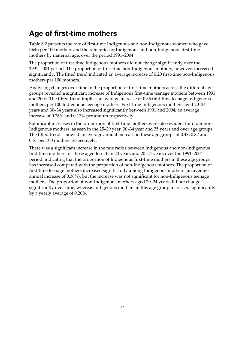## **Age of first-time mothers**

Table 6.2 presents the rate of first-time Indigenous and non-Indigenous women who gave birth per 100 mothers and the rate ratios of Indigenous and non-Indigenous first-time mothers by maternal age, over the period 1991–2004.

The proportion of first-time Indigenous mothers did not change significantly over the 1991–2004 period. The proportion of first-time non-Indigenous mothers, however, increased significantly. The fitted trend indicated an average increase of 0.20 first-time non-Indigenous mothers per 100 mothers.

Analysing changes over time in the proportion of first-time mothers across the different age groups revealed a significant increase of Indigenous first-time teenage mothers between 1991 and 2004. The fitted trend implies an average increase of 0.36 first-time teenage Indigenous mothers per 100 Indigenous teenage mothers. First-time Indigenous mothers aged 20–24 years and 30–34 years also increased significantly between 1991 and 2004; an average increase of 0.26% and 0.17% per annum respectively.

Significant increases in the proportion of first-time mothers were also evident for older non-Indigenous mothers, as seen in the 25–29 year, 30–34 year and 35 years and over age groups. The fitted trends showed an average annual increase in these age groups of 0.48, 0.82 and 0.61 per 100 mothers respectively.

There was a significant increase in the rate ratios between Indigenous and non-Indigenous first-time mothers for those aged less than 20 years and 20–24 years over the 1991–2004 period, indicating that the proportion of Indigenous first-time mothers in these age groups has increased compared with the proportion of non-Indigenous mothers. The proportion of first-time teenage mothers increased significantly among Indigenous mothers (an average annual increase of 0.36%), but the increase was not significant for non-Indigenous teenage mothers. The proportion of non-Indigenous mothers aged 20–24 years did not change significantly over time, whereas Indigenous mothers in this age group increased significantly by a yearly average of 0.26%.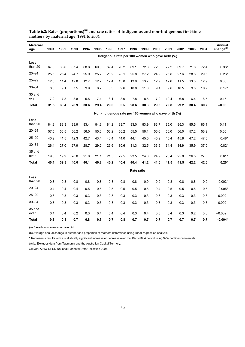| <b>Maternal</b><br>age | 1991 | 1992 | 1993 | 1994 | 1995 | 1996 | 1997                                                 | 1998       | 1999 | 2000 | 2001 | 2002 | 2003 | 2004 | Annual<br>change <sup>(b)</sup> |
|------------------------|------|------|------|------|------|------|------------------------------------------------------|------------|------|------|------|------|------|------|---------------------------------|
|                        |      |      |      |      |      |      | Indigenous rate per 100 women who gave birth (%)     |            |      |      |      |      |      |      |                                 |
| Less<br>than 20        | 67.8 | 68.6 | 67.4 | 68.8 | 69.3 | 69.4 | 70.2                                                 | 69.1       | 72.8 | 72.8 | 72.2 | 69.7 | 71.6 | 72.4 | $0.36*$                         |
| $20 - 24$              | 25.6 | 25.4 | 24.7 | 25.9 | 25.7 | 26.2 | 28.1                                                 | 25.8       | 27.2 | 24.9 | 26.8 | 27.6 | 28.8 | 29.6 | $0.26*$                         |
| $25 - 29$              | 12.3 | 11.4 | 12.8 | 12.7 | 12.2 | 12.4 | 13.0                                                 | 13.9       | 13.7 | 12.9 | 12.6 | 11.5 | 13.3 | 12.9 | 0.05                            |
| $30 - 34$              | 8.0  | 9.1  | 7.5  | 9.9  | 8.7  | 8.3  | 9.6                                                  | 10.8       | 11.0 | 9.1  | 9.6  | 10.5 | 9.8  | 10.7 | $0.17*$                         |
| 35 and<br>over         | 7.2  | 7.8  | 3.8  | 5.5  | 7.4  | 8.1  | 8.0                                                  | 7.8        | 8.5  | 7.9  | 10.4 | 6.8  | 6.4  | 8.5  | 0.15                            |
| <b>Total</b>           | 31.5 | 30.4 | 28.9 | 30.6 | 29.4 | 29.0 | 30.5                                                 | 28.6       | 30.3 | 29.3 | 29.8 | 29.2 | 30.4 | 30.7 | $-0.03$                         |
|                        |      |      |      |      |      |      | Non-Indigenous rate per 100 women who gave birth (%) |            |      |      |      |      |      |      |                                 |
| Less<br>than 20        | 84.8 | 83.3 | 83.9 | 83.4 | 84.3 | 84.2 | 83.7                                                 | 83.0       | 83.9 | 83.7 | 85.0 | 85.3 | 85.5 | 85.1 | 0.11                            |
| $20 - 24$              | 57.5 | 56.5 | 56.2 |      | 55.6 | 56.2 |                                                      | 55.5       |      |      | 56.0 |      |      | 56.9 | 0.00                            |
| $25 - 29$              |      |      |      | 56.0 |      |      | 56.2                                                 |            | 56.1 | 56.6 |      | 56.0 | 57.2 |      |                                 |
| $30 - 34$              | 40.9 | 41.5 | 42.3 | 42.7 | 43.4 | 43.4 | 44.0                                                 | 44.1       | 45.5 | 45.9 | 45.4 | 45.8 | 47.2 | 47.5 | $0.48*$                         |
|                        | 26.4 | 27.0 | 27.9 | 28.7 | 29.2 | 29.6 | 30.6                                                 | 31.3       | 32.5 | 33.6 | 34.4 | 34.9 | 35.9 | 37.0 | $0.82*$                         |
| 35 and<br>over         | 19.8 | 19.9 | 20.0 | 21.0 | 21.1 | 21.5 | 22.5                                                 | 23.5       | 24.0 | 24.9 | 25.4 | 25.8 | 26.5 | 27.3 | $0.61*$                         |
| Total                  | 40.1 | 39.8 | 40.0 | 40.1 | 40.2 | 40.2 | 40.4                                                 | 40.4       | 41.2 | 41.6 | 41.5 | 41.5 | 42.2 | 42.6 | $0.20*$                         |
|                        |      |      |      |      |      |      |                                                      | Rate ratio |      |      |      |      |      |      |                                 |
| Less                   |      |      |      |      |      |      |                                                      |            |      |      |      |      |      |      |                                 |
| than 20                | 0.8  | 0.8  | 0.8  | 0.8  | 0.8  | 0.8  | 0.8                                                  | 0.8        | 0.9  | 0.9  | 0.8  | 0.8  | 0.8  | 0.9  | $0.003*$                        |
| $20 - 24$              | 0.4  | 0.4  | 0.4  | 0.5  | 0.5  | 0.5  | 0.5                                                  | 0.5        | 0.5  | 0.4  | 0.5  | 0.5  | 0.5  | 0.5  | $0.005*$                        |
| $25 - 29$              | 0.3  | 0.3  | 0.3  | 0.3  | 0.3  | 0.3  | 0.3                                                  | 0.3        | 0.3  | 0.3  | 0.3  | 0.3  | 0.3  | 0.3  | $-0.002$                        |
| $30 - 34$              | 0.3  | 0.3  | 0.3  | 0.3  | 0.3  | 0.3  | 0.3                                                  | 0.3        | 0.3  | 0.3  | 0.3  | 0.3  | 0.3  | 0.3  | $-0.002$                        |
| 35 and<br>over         | 0.4  | 0.4  | 0.2  | 0.3  | 0.4  | 0.4  | 0.4                                                  | 0.3        | 0.4  | 0.3  | 0.4  | 0.3  | 0.2  | 0.3  | $-0.002$                        |
| Total                  | 0.8  | 0.8  | 0.7  | 0.8  | 0.7  | 0.7  | 0.8                                                  | 0.7        | 0.7  | 0.7  | 0.7  | 0.7  | 0.7  | 0.7  | $-0.004*$                       |

#### <span id="page-84-1"></span><span id="page-84-0"></span>**Table 6.2: Rates (proportions)(a) and rate ratios of Indigenous and non-Indigenous first-time mothers by maternal age, 1991 to 2004**

(a) Based on women who gave birth.

(b) Average annual change in number and proportion of mothers determined using linear regression analysis.

\* Represents results with a statistically significant increase or decrease over the 1991–2004 period using 99% confidence intervals.

*Note:* Excludes data from Tasmania and the Australian Capital Territory.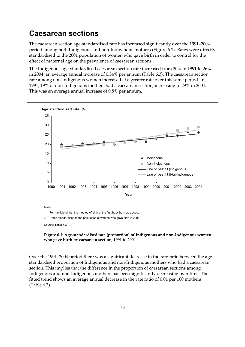### <span id="page-85-0"></span>**Caesarean sections**

The caesarean section age-standardised rate has increased significantly over the 1991–2004 period among both Indigenous and non-Indigenous mothers (Figure 6.1). Rates were directly standardised to the 2001 population of women who gave birth in order to control for the effect of maternal age on the prevalence of caesarean sections.

The Indigenous age-standardised caesarean section rate increased from 20% in 1991 to 26% in 2004, an average annual increase of 0.54% per annum (Table 6.3). The caesarean section rate among non-Indigenous women increased at a greater rate over this same period. In 1991, 19% of non-Indigenous mothers had a caesarean section, increasing to 29% in 2004. This was an average annual increase of 0.8% per annum.



<span id="page-85-1"></span>Over the 1991–2004 period there was a significant decrease in the rate ratio between the agestandardised proportion of Indigenous and non-Indigenous mothers who had a caesarean section. This implies that the difference in the proportion of caesarean sections among Indigenous and non-Indigenous mothers has been significantly decreasing over time. The fitted trend shows an average annual decrease in the rate ratio of 0.01 per 100 mothers (Table 6.3).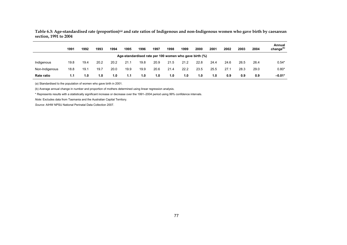**Table 6.3: Age-standardised rate (proportion)(a) and rate ratios of Indigenous and non-Indigenous women who gave birth by caesarean section, 1991 to 2004** 

|                | 1991 | 1992 | 1993 | 1994 | 1995 | 1996                                                   | 1997 | 1998 | 1999 | 2000 | 2001 | 2002 | 2003 | 2004 | Annual<br>change <sup>(b)</sup> |
|----------------|------|------|------|------|------|--------------------------------------------------------|------|------|------|------|------|------|------|------|---------------------------------|
|                |      |      |      |      |      | Age-standardised rate per 100 women who gave birth (%) |      |      |      |      |      |      |      |      |                                 |
| Indigenous     | 19.8 | 19.4 | 20.2 | 20.2 | 21.1 | 19.8                                                   | 20.9 | 21.5 | 21.2 | 22.8 | 24.4 | 24.6 | 26.5 | 26.4 | $0.54*$                         |
| Non-Indigenous | 18.8 | 19.1 | 19.7 | 20.0 | 19.9 | 19.9                                                   | 20.6 | 21.4 | 22.2 | 23.5 | 25.5 | 27.1 | 28.3 | 29.0 | $0.80*$                         |
| Rate ratio     | 1.1  | 1.0  | 1.0  | 1.0  | 1.1  | 1.0                                                    | 1.0  | 1.0  | 1.0  | 1.0  | 1.0  | 0.9  | 0.9  | 0.9  | $-0.01*$                        |

(a) Standardised to the population of women who gave birth in 2001.

(b) Average annual change in number and proportion of mothers determined using linear regression analysis.

\* Represents results with a statistically significant increase or decrease over the 1991–2004 period using 99% confidence intervals.

<span id="page-86-1"></span><span id="page-86-0"></span>*Note:* Excludes data from Tasmania and the Australian Capital Territory.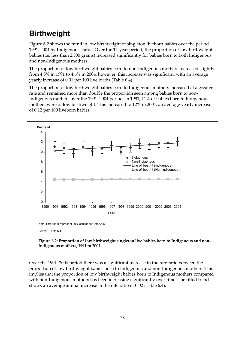## <span id="page-87-0"></span>**Birthweight**

Figure 6.2 shows the trend in low birthweight of singleton liveborn babies over the period 1991–2004 by Indigenous status. Over the 14-year period, the proportion of low birthweight babies (i.e. less than 2,500 grams) increased significantly for babies born to both Indigenous and non-Indigenous mothers.

The proportion of low birthweight babies born to non-Indigenous mothers increased slightly from 4.5% in 1991 to 4.6% in 2004; however, this increase was significant, with an average yearly increase of 0.01 per 100 live births (Table 6.4).

The proportion of low birthweight babies born to Indigenous mothers increased at a greater rate and remained more than double the proportion seen among babies born to non-Indigenous mothers over the 1991–2004 period. In 1991, 11% of babies born to Indigenous mothers were of low birthweight. This increased to 12% in 2004, an average yearly increase of 0.12 per 100 liveborn babies.



<span id="page-87-1"></span>Over the 1991–2004 period there was a significant increase in the rate ratio between the proportion of low birthweight babies born to Indigenous and non-Indigenous mothers. This implies that the proportion of low birthweight babies born to Indigenous mothers compared with non-Indigenous mothers has been increasing significantly over time. The fitted trend shows an average annual increase in the rate ratio of 0.02 (Table 6.4).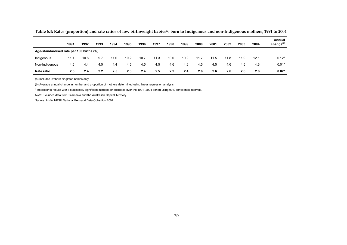|                                          | 1991 | 1992 | 1993 | 1994 | 1995 | 1996 | 1997 | 1998 | 1999 | 2000 | 2001 | 2002 | 2003 | 2004 | Annual<br>change $(b)$ |
|------------------------------------------|------|------|------|------|------|------|------|------|------|------|------|------|------|------|------------------------|
| Age-standardised rate per 100 births (%) |      |      |      |      |      |      |      |      |      |      |      |      |      |      |                        |
| Indigenous                               | 11.1 | 10.8 | 9.7  | 11.0 | 10.2 | 10.7 | 11.3 | 10.0 | 10.9 | 11.7 | 11.5 | 11.8 | 11.9 | 12.1 | $0.12*$                |
| Non-Indigenous                           | 4.5  | 4.4  | 4.5  | 4.4  | 4.5  | 4.5  | 4.5  | 4.6  | 4.6  | 4.5  | 4.5  | 4.6  | 4.5  | 4.6  | $0.01*$                |
| <b>Rate ratio</b>                        | 2.5  | 2.4  | 2.2  | 2.5  | 2.3  | 2.4  | 2.5  | 2.2  | 2.4  | 2.6  | 2.6  | 2.6  | 2.6  | 2.6  | $0.02*$                |

Table 6.4: Rates (proportion) and rate ratios of low birthweight babies<sup>(a)</sup> born to Indigenous and non-Indigenous mothers, 1991 to 2004

(a) Includes liveborn singleton babies only.

(b) Average annual change in number and proportion of mothers determined using linear regression analysis.

\* Represents results with a statistically significant increase or decrease over the 1991–2004 period using 99% confidence intervals.

<span id="page-88-1"></span><span id="page-88-0"></span>*Note:* Excludes data from Tasmania and the Australian Capital Territory.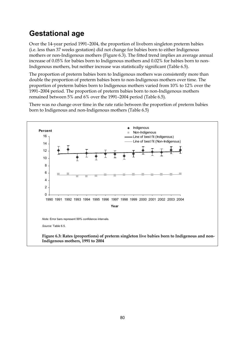## <span id="page-89-0"></span>**Gestational age**

Over the 14-year period 1991–2004, the proportion of liveborn singleton preterm babies (i.e. less than 37 weeks gestation) did not change for babies born to either Indigenous mothers or non-Indigenous mothers (Figure 6.3). The fitted trend implies an average annual increase of 0.05% for babies born to Indigenous mothers and 0.02% for babies born to non-Indigenous mothers, but neither increase was statistically significant (Table 6.5).

The proportion of preterm babies born to Indigenous mothers was consistently more than double the proportion of preterm babies born to non-Indigenous mothers over time. The proportion of preterm babies born to Indigenous mothers varied from 10% to 12% over the 1991–2004 period. The proportion of preterm babies born to non-Indigenous mothers remained between 5% and 6% over the 1991–2004 period (Table 6.5).

There was no change over time in the rate ratio between the proportion of preterm babies born to Indigenous and non-Indigenous mothers (Table 6.5)

<span id="page-89-1"></span>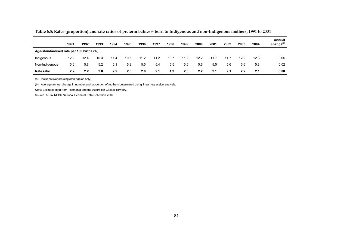|                                          | 1991 | 1992 | 1993 | 1994 | 1995 | 1996 | 1997 | 1998 | 1999 | 2000 | 2001 | 2002 | 2003 | 2004 | Annual<br>change <sup>(b)</sup> |
|------------------------------------------|------|------|------|------|------|------|------|------|------|------|------|------|------|------|---------------------------------|
| Age-standardised rate per 100 births (%) |      |      |      |      |      |      |      |      |      |      |      |      |      |      |                                 |
| Indigenous                               | 12.2 | 12.4 | 10.3 | 11.4 | 10.6 | 11.2 | 11.2 | 10.7 | 11.2 | 12.2 | 11.7 | 11.7 | 12.2 | 12.3 | 0.05                            |
| Non-Indigenous                           | 5.6  | 5.8  | 5.2  | 5.1  | 5.2  | 5.5  | 5.4  | 5.5  | 5.6  | 5.6  | 5.5  | 5.6  | 5.6  | 5.8  | 0.02                            |
| Rate ratio                               | 2.2  | 2.2  | 2.0  | 2.2  | 2.0  | 2.0  | 2.1  | 1.9  | 2.0  | 2.2  | 2.1  | 2.1  | 2.2  | 2.1  | 0.00                            |

**Table 6.5: Rates (proportion) and rate ratios of preterm babies(a) born to Indigenous and non-Indigenous mothers, 1991 to 2004** 

(a) Includes liveborn singleton babies only.

(b) Average annual change in number and proportion of mothers determined using linear regression analysis.

<span id="page-90-1"></span><span id="page-90-0"></span>*Note:* Excludes data from Tasmania and the Australian Capital Territory.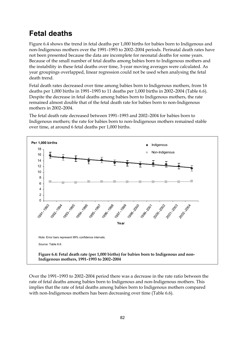## <span id="page-91-0"></span>**Fetal deaths**

Figure 6.4 shows the trend in fetal deaths per 1,000 births for babies born to Indigenous and non-Indigenous mothers over the 1991–1993 to 2002–2004 periods. Perinatal death rates have not been presented because the data are incomplete for neonatal deaths for some years. Because of the small number of fetal deaths among babies born to Indigenous mothers and the instability in these fetal deaths over time, 3-year moving averages were calculated. As year groupings overlapped, linear regression could not be used when analysing the fetal death trend.

Fetal death rates decreased over time among babies born to Indigenous mothers, from 16 deaths per 1,000 births in 1991–1993 to 11 deaths per 1,000 births in 2002–2004 (Table 6.6). Despite the decrease in fetal deaths among babies born to Indigenous mothers, the rate remained almost double that of the fetal death rate for babies born to non-Indigenous mothers in 2002–2004.

The fetal death rate decreased between 1991–1993 and 2002–2004 for babies born to Indigenous mothers; the rate for babies born to non-Indigenous mothers remained stable over time, at around 6 fetal deaths per 1,000 births.



<span id="page-91-1"></span>Over the 1991–1993 to 2002–2004 period there was a decrease in the rate ratio between the rate of fetal deaths among babies born to Indigenous and non-Indigenous mothers. This implies that the rate of fetal deaths among babies born to Indigenous mothers compared with non-Indigenous mothers has been decreasing over time (Table 6.6).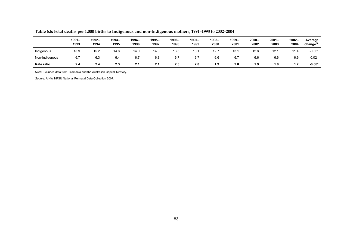|                | $1991 -$<br>1993 | 1992-<br>1994 | 1993-<br>1995 | 1994-<br>1996 | 1995-<br>1997 | 1996-<br>1998 | 1997–<br>1999 | 1998–<br>2000 | 1999-<br>2001 | $2000 -$<br>2002 | $2001 -$<br>2003 | $2002 -$<br>2004 | Average<br>change <sup>(a)</sup> |
|----------------|------------------|---------------|---------------|---------------|---------------|---------------|---------------|---------------|---------------|------------------|------------------|------------------|----------------------------------|
| Indigenous     | 15.9             | 15.2          | 14.8          | 14.0          | 14.3          | 13.3          | 13.7          | 12.7          | 13.1          | 12.8             | 12.1             | 11.4             | $-0.35*$                         |
| Non-Indigenous | 6.7              | 6.3           | 6.4           | 6.7           | 6.8           | 6.7           | 6.7           | 6.6           | 6.7           | 6.6              | 6.6              | 6.9              | 0.02                             |
| Rate ratio     | 2.4              | 2.4           | 2.3           | 2.1           | 2.1           | 2.0           | 2.0           | 1.9           | 2.0           | 1.9              | 1.8              | 1.7              | $-0.06*$                         |

**Table 6.6: Fetal deaths per 1,000 births to Indigenous and non-Indigenous mothers, 1991–1993 to 2002–2004** 

<span id="page-92-1"></span><span id="page-92-0"></span>*Note:* Excludes data from Tasmania and the Australian Capital Territory.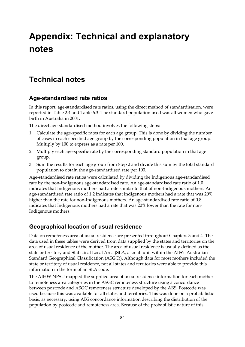# **Appendix: Technical and explanatory notes**

### **Technical notes**

#### **Age-standardised rate ratios**

In this report, age-standardised rate ratios, using the direct method of standardisation, were reported in Table 2.4 and Table 6.3. The standard population used was all women who gave birth in Australia in 2001.

The direct age-standardised method involves the following steps:

- 1. Calculate the age-specific rates for each age group. This is done by dividing the number of cases in each specified age group by the corresponding population in that age group. Multiply by 100 to express as a rate per 100.
- 2. Multiply each age-specific rate by the corresponding standard population in that age group.
- 3. Sum the results for each age group from Step 2 and divide this sum by the total standard population to obtain the age-standardised rate per 100.

Age-standardised rate ratios were calculated by dividing the Indigenous age-standardised rate by the non-Indigenous age-standardised rate. An age-standardised rate ratio of 1.0 indicates that Indigenous mothers had a rate similar to that of non-Indigenous mothers. An age-standardised rate ratio of 1.2 indicates that Indigenous mothers had a rate that was 20% higher than the rate for non-Indigenous mothers. An age-standardised rate ratio of 0.8 indicates that Indigenous mothers had a rate that was 20% lower than the rate for non-Indigenous mothers.

#### **Geographical location of usual residence**

Data on remoteness area of usual residence are presented throughout Chapters 3 and 4. The data used in these tables were derived from data supplied by the states and territories on the area of usual residence of the mother. The area of usual residence is usually defined as the state or territory and Statistical Local Area (SLA, a small unit within the ABS's Australian Standard Geographical Classification (ASGC)). Although data for most mothers included the state or territory of usual residence, not all states and territories were able to provide this information in the form of an SLA code.

The AIHW NPSU mapped the supplied area of usual residence information for each mother to remoteness area categories in the ASGC remoteness structure using a concordance between postcode and ASGC remoteness structure developed by the ABS. Postcode was used because this was available for all states and territories. This was done on a probabilistic basis, as necessary, using ABS concordance information describing the distribution of the population by postcode and remoteness area. Because of the probabilistic nature of this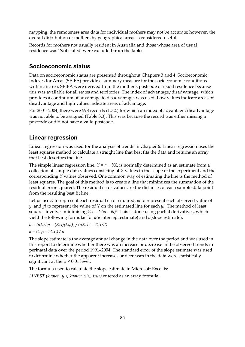mapping, the remoteness area data for individual mothers may not be accurate; however, the overall distribution of mothers by geographical areas is considered useful.

Records for mothers not usually resident in Australia and those whose area of usual residence was 'Not stated' were excluded from the tables.

#### **Socioeconomic status**

Data on socioeconomic status are presented throughout Chapters 3 and 4. Socioeconomic Indexes for Areas (SEIFA) provide a summary measure for the socioeconomic conditions within an area. SEIFA were derived from the mother's postcode of usual residence because this was available for all states and territories. The index of advantage/disadvantage, which provides a continuum of advantage to disadvantage, was used. Low values indicate areas of disadvantage and high values indicate areas of advantage.

For 2001–2004, there were 598 records (1.7%) for which an index of advantage/disadvantage was not able to be assigned (Table 3.3). This was because the record was either missing a postcode or did not have a valid postcode.

#### **Linear regression**

Linear regression was used for the analysis of trends in Chapter 6. Linear regression uses the least squares method to calculate a straight line that best fits the data and returns an array that best describes the line.

The simple linear regression line,  $Y = a + bX$ , is normally determined as an estimate from a collection of sample data values consisting of *X* values in the scope of the experiment and the corresponding *Y* values observed. One common way of estimating the line is the method of least squares. The goal of this method is to create a line that minimizes the summation of the residual error squared. The residual error values are the distances of each sample data point from the resulting best fit line.

Let us use *ei* to represent each residual error squared, *yi* to represent each observed value of  $\nu$ , and  $\hat{y}$ *i* to represent the value of Y on the estimated line for each  $\psi$ *i*. The method of least squares involves minimising *Σei = Σ(yi – ŷi)2*. This is done using partial derivatives, which yield the following formulas for *a(y* intercept estimate) and *b*(slope estimate):

$$
b = (n\Sigma x i yi - (\Sigma xi)(\Sigma yi)) / (n\Sigma xi2 - (\Sigma xi)^2)
$$

*a = (Σyi – bΣxi) / n* 

The slope estimate is the average annual change in the data over the period and was used in this report to determine whether there was an increase or decrease in the observed trends in perinatal data over the period 1991–2004. The standard error of the slope estimate was used to determine whether the apparent increases or decreases in the data were statistically significant at the p < 0.01 level.

The formula used to calculate the slope estimate in Microsoft Excel is:

*LINEST (known\_y's, known\_x's,, true)* entered as an array formula.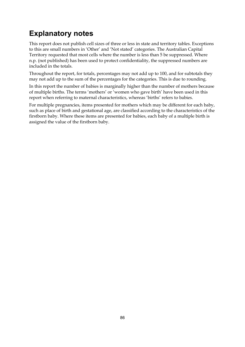## **Explanatory notes**

This report does not publish cell sizes of three or less in state and territory tables. Exceptions to this are small numbers in 'Other' and 'Not stated' categories. The Australian Capital Territory requested that most cells where the number is less than 5 be suppressed. Where n.p. (not published) has been used to protect confidentiality, the suppressed numbers are included in the totals.

Throughout the report, for totals, percentages may not add up to 100, and for subtotals they may not add up to the sum of the percentages for the categories. This is due to rounding.

In this report the number of babies is marginally higher than the number of mothers because of multiple births. The terms 'mothers' or 'women who gave birth' have been used in this report when referring to maternal characteristics, whereas 'births' refers to babies.

For multiple pregnancies, items presented for mothers which may be different for each baby, such as place of birth and gestational age, are classified according to the characteristics of the firstborn baby. Where these items are presented for babies, each baby of a multiple birth is assigned the value of the firstborn baby.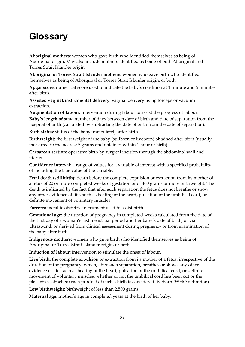# **Glossary**

**Aboriginal mothers:** women who gave birth who identified themselves as being of Aboriginal origin. May also include mothers identified as being of both Aboriginal and Torres Strait Islander origin.

**Aboriginal or Torres Strait Islander mothers:** women who gave birth who identified themselves as being of Aboriginal or Torres Strait Islander origin, or both.

**Apgar score:** numerical score used to indicate the baby's condition at 1 minute and 5 minutes after birth.

**Assisted vaginal/instrumental delivery:** vaginal delivery using forceps or vacuum extraction.

**Augmentation of labour:** intervention during labour to assist the progress of labour. **Baby's length of stay:** number of days between date of birth and date of separation from the hospital of birth (calculated by subtracting the date of birth from the date of separation).

**Birth status:** status of the baby immediately after birth.

**Birthweight:** the first weight of the baby (stillborn or liveborn) obtained after birth (usually measured to the nearest 5 grams and obtained within 1 hour of birth).

**Caesarean section:** operative birth by surgical incision through the abdominal wall and uterus.

**Confidence interval:** a range of values for a variable of interest with a specified probability of including the true value of the variable.

**Fetal death (stillbirth):** death before the complete expulsion or extraction from its mother of a fetus of 20 or more completed weeks of gestation or of 400 grams or more birthweight. The death is indicated by the fact that after such separation the fetus does not breathe or show any other evidence of life, such as beating of the heart, pulsation of the umbilical cord, or definite movement of voluntary muscles.

**Forceps:** metallic obstetric instrument used to assist birth.

**Gestational age:** the duration of pregnancy in completed weeks calculated from the date of the first day of a woman's last menstrual period and her baby's date of birth, or via ultrasound, or derived from clinical assessment during pregnancy or from examination of the baby after birth.

**Indigenous mothers:** women who gave birth who identified themselves as being of Aboriginal or Torres Strait Islander origin, or both.

**Induction of labour:** intervention to stimulate the onset of labour.

**Live birth:** the complete expulsion or extraction from its mother of a fetus, irrespective of the duration of the pregnancy, which, after such separation, breathes or shows any other evidence of life, such as beating of the heart, pulsation of the umbilical cord, or definite movement of voluntary muscles, whether or not the umbilical cord has been cut or the placenta is attached; each product of such a birth is considered liveborn (WHO definition).

**Low birthweight:** birthweight of less than 2,500 grams.

**Maternal age:** mother's age in completed years at the birth of her baby.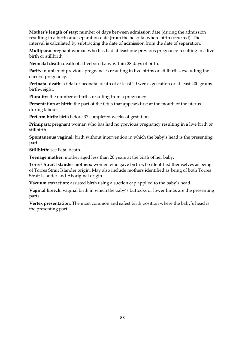**Mother's length of stay:** number of days between admission date (during the admission resulting in a birth) and separation date (from the hospital where birth occurred). The interval is calculated by subtracting the date of admission from the date of separation.

**Multipara:** pregnant woman who has had at least one previous pregnancy resulting in a live birth or stillbirth.

**Neonatal death:** death of a liveborn baby within 28 days of birth.

**Parity:** number of previous pregnancies resulting in live births or stillbirths, excluding the current pregnancy.

**Perinatal death:** a fetal or neonatal death of at least 20 weeks gestation or at least 400 grams birthweight.

**Plurality:** the number of births resulting from a pregnancy.

**Presentation at birth:** the part of the fetus that appears first at the mouth of the uterus during labour.

**Preterm birth:** birth before 37 completed weeks of gestation.

**Primipara:** pregnant woman who has had no previous pregnancy resulting in a live birth or stillbirth.

**Spontaneous vaginal:** birth without intervention in which the baby's head is the presenting part.

**Stillbirth:** see Fetal death.

**Teenage mother:** mother aged less than 20 years at the birth of her baby.

**Torres Strait Islander mothers:** women who gave birth who identified themselves as being of Torres Strait Islander origin. May also include mothers identified as being of both Torres Strait Islander and Aboriginal origin.

**Vacuum extraction:** assisted birth using a suction cap applied to the baby's head.

**Vaginal breech:** vaginal birth in which the baby's buttocks or lower limbs are the presenting parts.

**Vertex presentation:** The most common and safest birth position where the baby's head is the presenting part.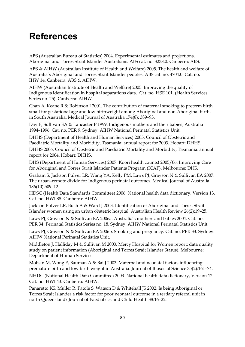# **References**

ABS (Australian Bureau of Statistics) 2004. Experimental estimates and projections, Aboriginal and Torres Strait Islander Australians. ABS cat. no. 3238.0. Canberra: ABS.

ABS & AIHW (Australian Institute of Health and Welfare) 2005. The health and welfare of Australia's Aboriginal and Torres Strait Islander peoples. ABS cat. no. 4704.0. Cat. no. IHW 14. Canberra: ABS & AIHW.

AIHW (Australian Institute of Health and Welfare) 2005. Improving the quality of Indigenous identification in hospital separations data. Cat. no. HSE 101. (Health Services Series no. 25). Canberra: AIHW.

Chan A, Keane R & Robinson J 2001. The contribution of maternal smoking to preterm birth, small for gestational age and low birthweight among Aboriginal and non-Aboriginal births in South Australia. Medical Journal of Australia 174(8): 389–93.

Day P, Sullivan EA & Lancaster P 1999. Indigenous mothers and their babies, Australia 1994–1996. Cat. no. PER 9. Sydney: AIHW National Perinatal Statistics Unit.

DHHS (Department of Health and Human Services) 2005. Council of Obstetric and Paediatric Mortality and Morbidity, Tasmania: annual report for 2003. Hobart: DHHS. DHHS 2006. Council of Obstetric and Paediatric Mortality and Morbidity, Tasmania: annual report for 2004. Hobart: DHHS.

DHS (Department of Human Services) 2007. Koori health counts! 2005/06: Improving Care for Aboriginal and Torres Strait Islander Patients Program (ICAP). Melbourne: DHS.

Graham S, Jackson Pulver LR, Wang YA, Kelly PM, Laws PJ, Grayson N & Sullivan EA 2007. The urban–remote divide for Indigenous perinatal outcomes. Medical Journal of Australia 186(10):509–12.

HDSC (Health Data Standards Committee) 2006. National health data dictionary, Version 13. Cat. no. HWI 88. Canberra: AIHW.

Jackson Pulver LR, Bush A & Ward J 2003. Identification of Aboriginal and Torres Strait Islander women using an urban obstetric hospital. Australian Health Review 26(2):19–25.

Laws PJ, Grayson N & Sullivan EA 2006a. Australia's mothers and babies 2004. Cat. no. PER 34. Perinatal Statistics Series no. 18. Sydney: AIHW National Perinatal Statistics Unit.

Laws PJ, Grayson N & Sullivan EA 2006b. Smoking and pregnancy. Cat. no. PER 33. Sydney: AIHW National Perinatal Statistics Unit.

Middleton J, Halliday M & Sullivan M 2003. Mercy Hospital for Women report: data quality study on patient information (Aboriginal and Torres Strait Islander Status). Melbourne: Department of Human Services.

Mohsin M, Wong F, Bauman A & Bai J 2003. Maternal and neonatal factors influencing premature birth and low birth weight in Australia. Journal of Biosocial Science 35(2):161–74.

NHDC (National Health Data Committee) 2003. National health data dictionary, Version 12. Cat. no. HWI 43. Canberra: AIHW.

Panaretto KS, Muller R, Patole S, Watson D & Whitehall JS 2002. Is being Aboriginal or Torres Strait Islander a risk factor for poor neonatal outcome in a tertiary referral unit in north Queensland? Journal of Paediatrics and Child Health 38:16–22.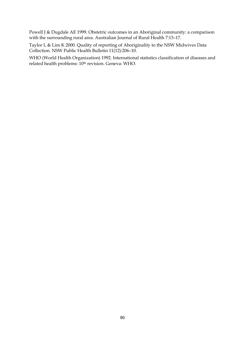Powell J & Dugdale AE 1999. Obstetric outcomes in an Aboriginal community: a comparison with the surrounding rural area. Australian Journal of Rural Health 7:13–17.

Taylor L & Lim K 2000. Quality of reporting of Aboriginality to the NSW Midwives Data Collection. NSW Public Health Bulletin 11(12):206–10.

WHO (World Health Organization) 1992. International statistics classification of diseases and related health problems: 10<sup>th</sup> revision. Geneva: WHO.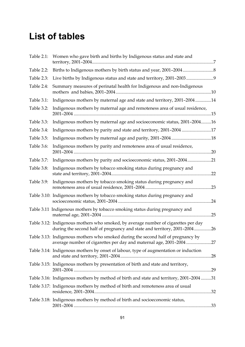# **List of tables**

| Table 2.1: | Women who gave birth and births by Indigenous status and state and                                                                                             |     |
|------------|----------------------------------------------------------------------------------------------------------------------------------------------------------------|-----|
| Table 2.2: |                                                                                                                                                                |     |
| Table 2.3: | Live births by Indigenous status and state and territory, 2001-20039                                                                                           |     |
| Table 2.4: | Summary measures of perinatal health for Indigenous and non-Indigenous                                                                                         |     |
| Table 3.1: | Indigenous mothers by maternal age and state and territory, 2001-200414                                                                                        |     |
| Table 3.2: | Indigenous mothers by maternal age and remoteness area of usual residence,                                                                                     |     |
| Table 3.3: | Indigenous mothers by maternal age and socioeconomic status, 2001-200416                                                                                       |     |
| Table 3.4: | Indigenous mothers by parity and state and territory, 2001-2004 17                                                                                             |     |
| Table 3.5: |                                                                                                                                                                |     |
| Table 3.6: | Indigenous mothers by parity and remoteness area of usual residence,                                                                                           |     |
| Table 3.7: | Indigenous mothers by parity and socioeconomic status, 2001-200421                                                                                             |     |
| Table 3.8: | Indigenous mothers by tobacco smoking status during pregnancy and                                                                                              | .22 |
| Table 3.9: | Indigenous mothers by tobacco smoking status during pregnancy and                                                                                              |     |
|            | Table 3.10: Indigenous mothers by tobacco smoking status during pregnancy and                                                                                  |     |
|            | Table 3.11 Indigenous mothers by tobacco smoking status during pregnancy and                                                                                   | .25 |
|            | Table 3.12: Indigenous mothers who smoked, by average number of cigarettes per day<br>during the second half of pregnancy and state and territory, 2001-200426 |     |
|            | Table 3.13: Indigenous mothers who smoked during the second half of pregnancy by<br>average number of cigarettes per day and maternal age, 2001-200427         |     |
|            | Table 3.14: Indigenous mothers by onset of labour, type of augmentation or induction                                                                           |     |
|            | Table 3.15: Indigenous mothers by presentation of birth and state and territory,                                                                               |     |
|            | Table 3.16: Indigenous mothers by method of birth and state and territory, 2001-2004 31                                                                        |     |
|            | Table 3.17: Indigenous mothers by method of birth and remoteness area of usual                                                                                 |     |
|            | Table 3.18: Indigenous mothers by method of birth and socioeconomic status,                                                                                    |     |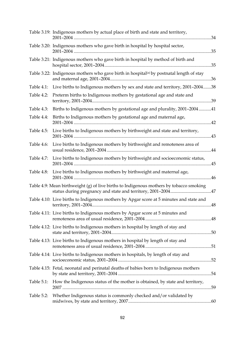|            | Table 3.19: Indigenous mothers by actual place of birth and state and territory,                     |            |
|------------|------------------------------------------------------------------------------------------------------|------------|
|            | Table 3.20: Indigenous mothers who gave birth in hospital by hospital sector,<br>35                  |            |
|            | Table 3.21: Indigenous mothers who gave birth in hospital by method of birth and                     | .35        |
|            | Table 3.22: Indigenous mothers who gave birth in hospital <sup>(a)</sup> by postnatal length of stay |            |
| Table 4.1: | Live births to Indigenous mothers by sex and state and territory, 2001-200438                        |            |
| Table 4.2: | Preterm births to Indigenous mothers by gestational age and state and                                |            |
| Table 4.3: | Births to Indigenous mothers by gestational age and plurality, 2001-200441                           |            |
| Table 4.4: | Births to Indigenous mothers by gestational age and maternal age,                                    |            |
| Table 4.5: | Live births to Indigenous mothers by birthweight and state and territory,                            |            |
| Table 4.6: | Live births to Indigenous mothers by birthweight and remoteness area of                              | $\dots$ 44 |
| Table 4.7: | Live births to Indigenous mothers by birthweight and socioeconomic status,                           |            |
| Table 4.8: | Live births to Indigenous mothers by birthweight and maternal age,                                   |            |
|            | Table 4.9: Mean birthweight (g) of live births to Indigenous mothers by tobacco smoking              |            |
|            | Table 4.10: Live births to Indigenous mothers by Apgar score at 5 minutes and state and              |            |
|            | Table 4.11: Live births to Indigenous mothers by Apgar score at 5 minutes and                        |            |
|            | Table 4.12: Live births to Indigenous mothers in hospital by length of stay and                      |            |
|            | Table 4.13: Live births to Indigenous mothers in hospital by length of stay and                      |            |
|            | Table 4.14: Live births to Indigenous mothers in hospitals, by length of stay and                    | .52        |
|            | Table 4.15: Fetal, neonatal and perinatal deaths of babies born to Indigenous mothers                |            |
| Table 5.1: | How the Indigenous status of the mother is obtained, by state and territory,                         | .59        |
| Table 5.2: | Whether Indigenous status is commonly checked and/or validated by                                    |            |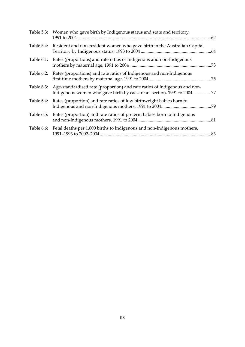|            | Table 5.3: Women who gave birth by Indigenous status and state and territory,                                                                     | .62 |
|------------|---------------------------------------------------------------------------------------------------------------------------------------------------|-----|
|            | Table 5.4: Resident and non-resident women who gave birth in the Australian Capital                                                               |     |
| Table 6.1: | Rates (proportions) and rate ratios of Indigenous and non-Indigenous                                                                              | .73 |
|            | Table 6.2: Rates (proportions) and rate ratios of Indigenous and non-Indigenous                                                                   | .75 |
| Table 6.3: | Age-standardised rate (proportion) and rate ratios of Indigenous and non-<br>Indigenous women who gave birth by caesarean section, 1991 to 200477 |     |
| Table 6.4: | Rates (proportion) and rate ratios of low birthweight babies born to                                                                              |     |
| Table 6.5: | Rates (proportion) and rate ratios of preterm babies born to Indigenous                                                                           |     |
|            | Table 6.6: Fetal deaths per 1,000 births to Indigenous and non-Indigenous mothers,                                                                | .83 |